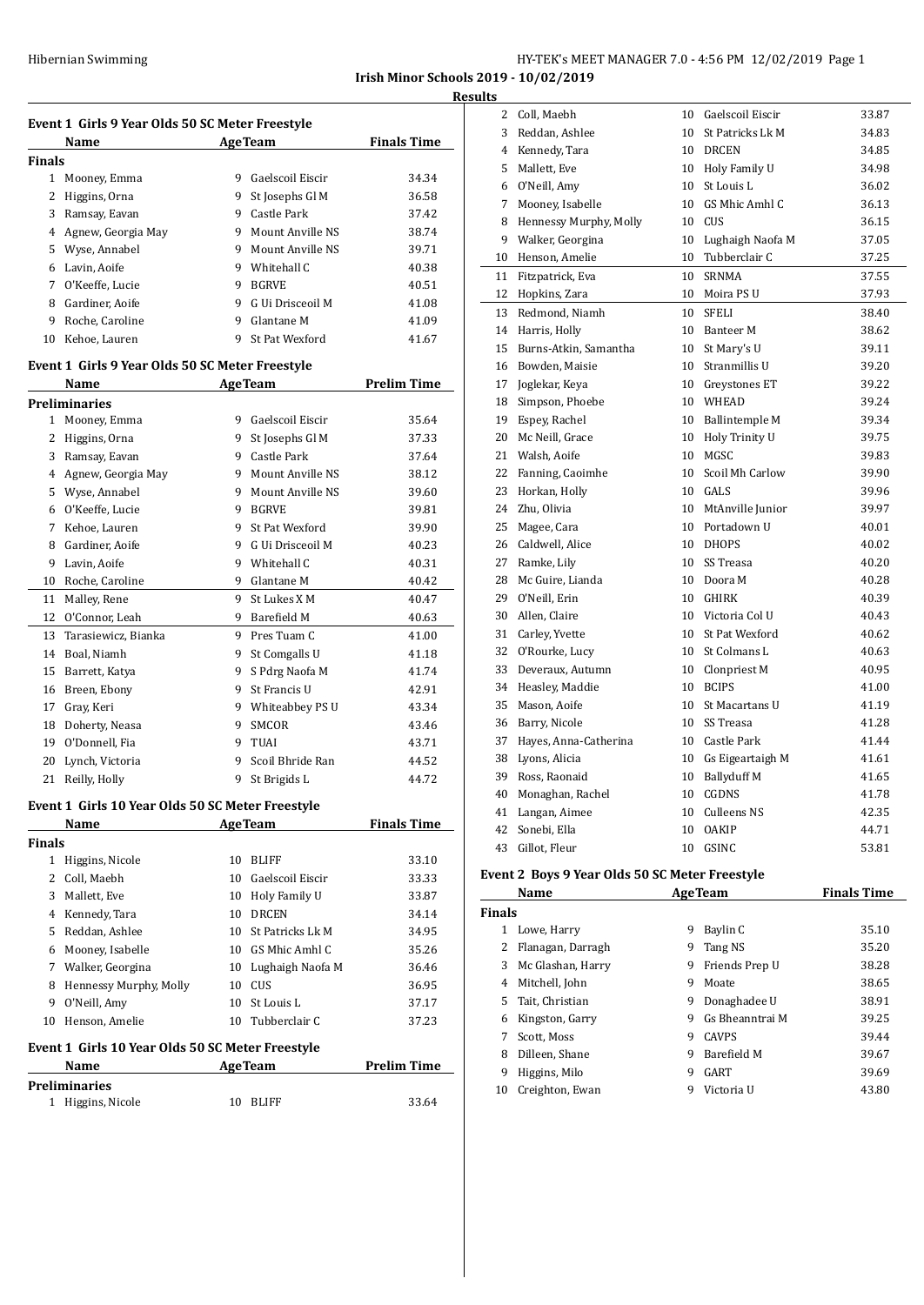**Irish Minor Schools 2019 - 10/02/2019**

**Results**

 $\overline{a}$ 

 $\overline{a}$ 

|        |                                                 |   |                             | Irish Minor Sc     |
|--------|-------------------------------------------------|---|-----------------------------|--------------------|
|        | Event 1 Girls 9 Year Olds 50 SC Meter Freestyle |   |                             |                    |
|        | Name                                            |   | <b>AgeTeam</b>              | <b>Finals Time</b> |
| Finals |                                                 |   |                             |                    |
| 1      | Mooney, Emma                                    | 9 | Gaelscoil Eiscir            | 34.34              |
| 2      | Higgins, Orna                                   | 9 | St Josephs Gl M             | 36.58              |
| 3      | Ramsay, Eavan                                   | 9 | Castle Park                 | 37.42              |
| 4      | Agnew, Georgia May                              | 9 | Mount Anville NS            | 38.74              |
| 5      | Wyse, Annabel                                   | 9 | Mount Anville NS            | 39.71              |
| 6      | Lavin, Aoife                                    | 9 | Whitehall C                 | 40.38              |
| 7      | O'Keeffe, Lucie                                 | 9 | <b>BGRVE</b>                | 40.51              |
| 8      | Gardiner, Aoife                                 | 9 | G Ui Drisceoil M            | 41.08              |
| 9      | Roche, Caroline                                 | 9 | Glantane M                  | 41.09              |
| 10     | Kehoe, Lauren                                   | 9 | St Pat Wexford              | 41.67              |
|        | Event 1 Girls 9 Year Olds 50 SC Meter Freestyle |   |                             |                    |
|        | Name                                            |   | <b>AgeTeam</b>              | <b>Prelim Time</b> |
|        | <b>Preliminaries</b>                            |   |                             |                    |
| 1      | Mooney, Emma                                    | 9 | Gaelscoil Eiscir            | 35.64              |
| 2      | Higgins, Orna                                   | 9 | St Josephs Gl M             | 37.33              |
| ີ      | $\mathbf n$ $\mathbf n$                         |   | $0 \quad 1 \quad 1 \quad 1$ | 27 <sub>4</sub>    |

| $\mathbf{1}$ | Mooney, Emma        | 9 | Gaelscoil Eiscir | 35.64 |
|--------------|---------------------|---|------------------|-------|
| 2            | Higgins, Orna       | 9 | St Josephs Gl M  | 37.33 |
| 3            | Ramsay, Eavan       | 9 | Castle Park      | 37.64 |
| 4            | Agnew, Georgia May  | 9 | Mount Anville NS | 38.12 |
| 5            | Wyse, Annabel       | 9 | Mount Anville NS | 39.60 |
| 6            | O'Keeffe, Lucie     | 9 | <b>BGRVE</b>     | 39.81 |
| 7            | Kehoe, Lauren       | 9 | St Pat Wexford   | 39.90 |
| 8            | Gardiner, Aoife     | 9 | G Ui Drisceoil M | 40.23 |
| 9            | Lavin, Aoife        | 9 | Whitehall C      | 40.31 |
| 10           | Roche, Caroline     | 9 | Glantane M       | 40.42 |
| 11           | Malley, Rene        | 9 | St Lukes X M     | 40.47 |
| 12           | O'Connor, Leah      | 9 | Barefield M      | 40.63 |
| 13           | Tarasiewicz, Bianka | 9 | Pres Tuam C      | 41.00 |
| 14           | Boal, Niamh         | 9 | St Comgalls U    | 41.18 |
| 15           | Barrett, Katya      | 9 | S Pdrg Naofa M   | 41.74 |
| 16           | Breen, Ebony        | 9 | St Francis U     | 42.91 |
| 17           | Gray, Keri          | 9 | Whiteabbey PS U  | 43.34 |
| 18           | Doherty, Neasa      | 9 | SMCOR            | 43.46 |
| 19           | O'Donnell, Fia      | 9 | TUAI             | 43.71 |
| 20           | Lynch, Victoria     | 9 | Scoil Bhride Ran | 44.52 |
| 21           | Reilly, Holly       | 9 | St Brigids L     | 44.72 |

#### **Event 1 Girls 10 Year Olds 50 SC Meter Freestyle**

|                                                  | Name                   |    | <b>AgeTeam</b>   | <b>Finals Time</b> |  |  |
|--------------------------------------------------|------------------------|----|------------------|--------------------|--|--|
| <b>Finals</b>                                    |                        |    |                  |                    |  |  |
| 1                                                | Higgins, Nicole        | 10 | <b>BLIFF</b>     | 33.10              |  |  |
| 2                                                | Coll, Maebh            | 10 | Gaelscoil Eiscir | 33.33              |  |  |
| 3                                                | Mallett, Eve           | 10 | Holy Family U    | 33.87              |  |  |
| 4                                                | Kennedy, Tara          | 10 | <b>DRCEN</b>     | 34.14              |  |  |
| 5                                                | Reddan, Ashlee         | 10 | St Patricks Lk M | 34.95              |  |  |
| 6                                                | Mooney, Isabelle       | 10 | GS Mhic Amhl C   | 35.26              |  |  |
| 7                                                | Walker, Georgina       | 10 | Lughaigh Naofa M | 36.46              |  |  |
| 8                                                | Hennessy Murphy, Molly | 10 | CUS              | 36.95              |  |  |
| 9                                                | O'Neill, Amy           | 10 | St Louis L       | 37.17              |  |  |
| 10                                               | Henson, Amelie         | 10 | Tubberclair C    | 37.23              |  |  |
| Event 1 Girls 10 Year Olds 50 SC Meter Freestyle |                        |    |                  |                    |  |  |

# **Name Age Team Prelim Time**

| <b>Preliminaries</b> |          |       |  |  |  |
|----------------------|----------|-------|--|--|--|
| 1 Higgins, Nicole    | 10 BLIFF | 33.64 |  |  |  |

| 2  | Coll, Maebh            | 10              | Gaelscoil Eiscir      | 33.87 |
|----|------------------------|-----------------|-----------------------|-------|
| 3  | Reddan, Ashlee         | 10              | St Patricks Lk M      | 34.83 |
| 4  | Kennedy, Tara          | 10              | <b>DRCEN</b>          | 34.85 |
| 5  | Mallett, Eve           | 10              | Holy Family U         | 34.98 |
| 6  | O'Neill, Amy           | 10 <sup>°</sup> | St Louis L            | 36.02 |
| 7  | Mooney, Isabelle       | 10              | GS Mhic Amhl C        | 36.13 |
| 8  | Hennessy Murphy, Molly | 10              | CUS                   | 36.15 |
| 9  | Walker, Georgina       | 10              | Lughaigh Naofa M      | 37.05 |
| 10 | Henson, Amelie         | 10              | Tubberclair C         | 37.25 |
| 11 | Fitzpatrick, Eva       | 10              | <b>SRNMA</b>          | 37.55 |
| 12 | Hopkins, Zara          | 10              | Moira PS U            | 37.93 |
| 13 | Redmond, Niamh         | 10              | SFELI                 | 38.40 |
| 14 | Harris, Holly          | 10              | Banteer M             | 38.62 |
| 15 | Burns-Atkin, Samantha  | 10              | St Mary's U           | 39.11 |
| 16 | Bowden, Maisie         | 10 <sup>°</sup> | Stranmillis U         | 39.20 |
| 17 | Joglekar, Keya         |                 | 10 Greystones ET      | 39.22 |
| 18 | Simpson, Phoebe        | 10              | WHEAD                 | 39.24 |
| 19 | Espey, Rachel          | 10              | Ballintemple M        | 39.34 |
| 20 | Mc Neill, Grace        | 10              | Holy Trinity U        | 39.75 |
| 21 | Walsh, Aoife           | 10              | MGSC                  | 39.83 |
| 22 | Fanning, Caoimhe       | 10              | Scoil Mh Carlow       | 39.90 |
| 23 | Horkan, Holly          | 10              | GALS                  | 39.96 |
| 24 | Zhu, Olivia            | 10              | MtAnville Junior      | 39.97 |
| 25 | Magee, Cara            | 10              | Portadown U           | 40.01 |
| 26 | Caldwell, Alice        | 10              | <b>DHOPS</b>          | 40.02 |
| 27 | Ramke, Lily            | 10              | SS Treasa             | 40.20 |
| 28 | Mc Guire, Lianda       | 10              | Doora M               | 40.28 |
| 29 | O'Neill, Erin          | 10              | GHIRK                 | 40.39 |
| 30 | Allen, Claire          | 10 <sup>°</sup> | Victoria Col U        | 40.43 |
| 31 | Carley, Yvette         | 10 <sup>°</sup> | <b>St Pat Wexford</b> | 40.62 |
| 32 | O'Rourke, Lucy         | 10              | St Colmans L          | 40.63 |
| 33 | Deveraux, Autumn       | 10              | Clonpriest M          | 40.95 |
| 34 | Heasley, Maddie        | 10              | <b>BCIPS</b>          | 41.00 |
| 35 | Mason, Aoife           | 10              | St Macartans U        | 41.19 |
| 36 | Barry, Nicole          | 10              | SS Treasa             | 41.28 |
| 37 | Hayes, Anna-Catherina  | 10              | Castle Park           | 41.44 |
| 38 | Lyons, Alicia          | 10              | Gs Eigeartaigh M      | 41.61 |
| 39 | Ross, Raonaid          | 10              | <b>Ballyduff M</b>    | 41.65 |
| 40 | Monaghan, Rachel       | 10              | <b>CGDNS</b>          | 41.78 |
| 41 | Langan, Aimee          | 10              | Culleens NS           | 42.35 |
| 42 | Sonebi, Ella           | 10              | <b>OAKIP</b>          | 44.71 |
| 43 | Gillot, Fleur          | 10              | GSINC                 | 53.81 |

# **Event 2 Boys 9 Year Olds 50 SC Meter Freestyle**

|    | Name<br><b>AgeTeam</b> |   | <b>Finals Time</b> |       |  |  |  |  |
|----|------------------------|---|--------------------|-------|--|--|--|--|
|    | <b>Finals</b>          |   |                    |       |  |  |  |  |
|    | Lowe, Harry            | 9 | Baylin C           | 35.10 |  |  |  |  |
|    | Flanagan, Darragh      | 9 | Tang NS            | 35.20 |  |  |  |  |
| 3  | Mc Glashan, Harry      | 9 | Friends Prep U     | 38.28 |  |  |  |  |
| 4  | Mitchell, John         | 9 | Moate              | 38.65 |  |  |  |  |
| 5. | Tait, Christian        | 9 | Donaghadee U       | 38.91 |  |  |  |  |
| 6  | Kingston, Garry        | 9 | Gs Bheanntrai M    | 39.25 |  |  |  |  |
|    | Scott, Moss            | 9 | <b>CAVPS</b>       | 39.44 |  |  |  |  |
| 8  | Dilleen, Shane         | 9 | Barefield M        | 39.67 |  |  |  |  |
| 9  | Higgins, Milo          | 9 | GART               | 39.69 |  |  |  |  |
| 10 | Creighton, Ewan        | q | Victoria U         | 43.80 |  |  |  |  |
|    |                        |   |                    |       |  |  |  |  |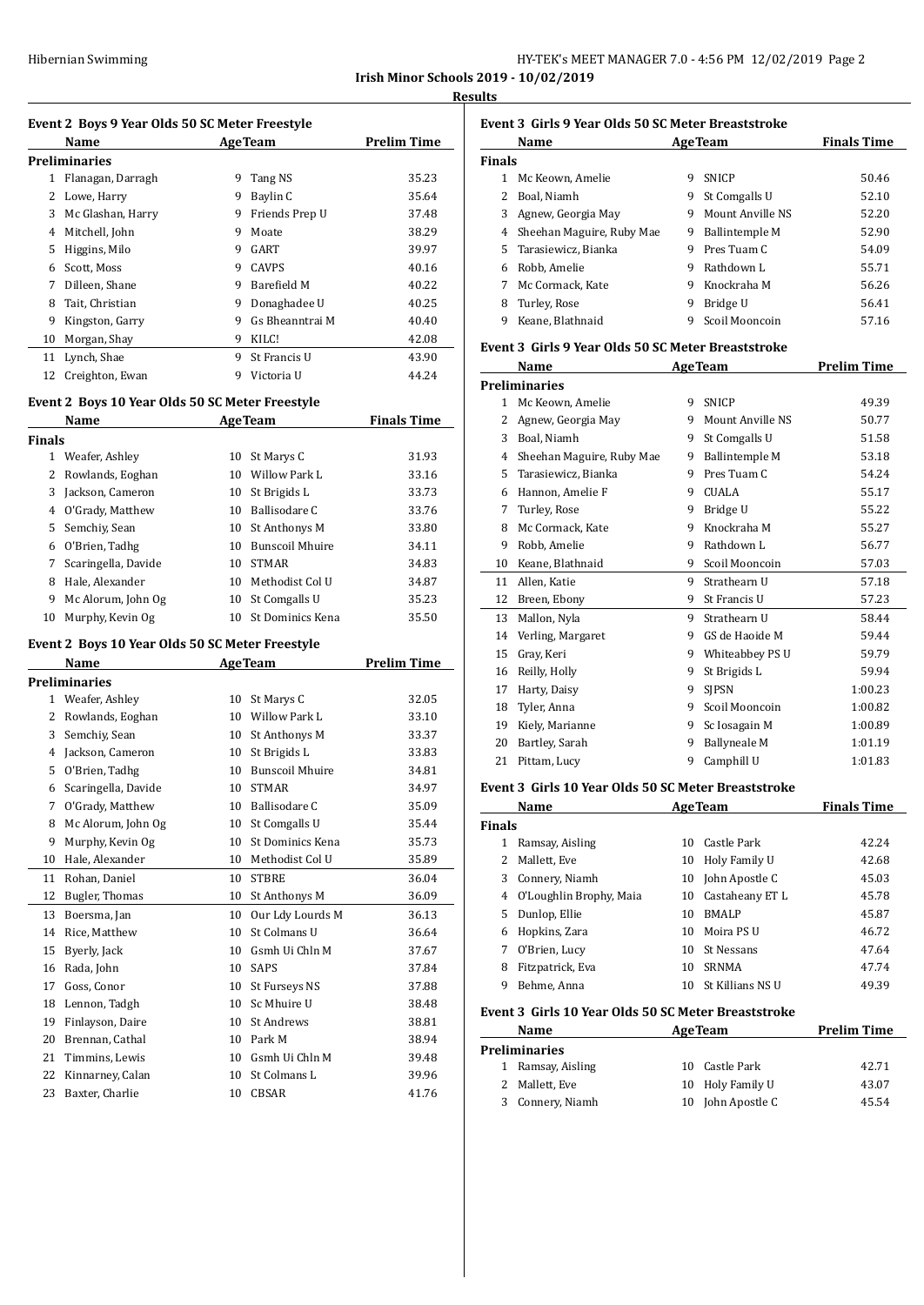| Hibernian Swimming |  | HY-TEK's MEET MANAGER 7.0 - 4:56 PM 12/02/2019 Page 2 |  |
|--------------------|--|-------------------------------------------------------|--|
|                    |  |                                                       |  |

**Irish Minor Schools 2019 - 10/02/2019 Results**

#### **Event 2 Boys 9 Year Olds 50 SC Meter Freestyle**

|    | Name              | <b>AgeTeam</b> |                 | <b>Prelim Time</b> |
|----|-------------------|----------------|-----------------|--------------------|
|    | Preliminaries     |                |                 |                    |
| 1  | Flanagan, Darragh | 9              | Tang NS         | 35.23              |
| 2  | Lowe, Harry       | 9              | Baylin C        | 35.64              |
| 3  | Mc Glashan, Harry | 9              | Friends Prep U  | 37.48              |
| 4  | Mitchell, John    | 9              | Moate           | 38.29              |
| 5  | Higgins, Milo     | 9              | GART            | 39.97              |
| 6  | Scott, Moss       | 9              | <b>CAVPS</b>    | 40.16              |
| 7  | Dilleen. Shane    | 9              | Barefield M     | 40.22              |
| 8  | Tait, Christian   | 9              | Donaghadee U    | 40.25              |
| 9  | Kingston, Garry   | 9              | Gs Bheanntrai M | 40.40              |
| 10 | Morgan, Shay      | 9              | KILC!           | 42.08              |
| 11 | Lynch, Shae       | 9              | St Francis U    | 43.90              |
| 12 | Creighton, Ewan   | 9              | Victoria U      | 44.24              |
|    |                   |                |                 |                    |

# **Event 2 Boys 10 Year Olds 50 SC Meter Freestyle**

|               | Name                | <b>AgeTeam</b> | <b>Finals Time</b>     |       |
|---------------|---------------------|----------------|------------------------|-------|
| <b>Finals</b> |                     |                |                        |       |
| 1.            | Weafer, Ashley      | 10             | St Marys C             | 31.93 |
|               | Rowlands, Eoghan    | 10             | Willow Park L          | 33.16 |
| 3             | Jackson, Cameron    | 10             | St Brigids L           | 33.73 |
| 4             | O'Grady, Matthew    | 10             | Ballisodare C          | 33.76 |
| 5             | Semchiy, Sean       | 10             | St Anthonys M          | 33.80 |
| 6             | O'Brien, Tadhg      | 10             | <b>Bunscoil Mhuire</b> | 34.11 |
| 7             | Scaringella, Davide | 10             | <b>STMAR</b>           | 34.83 |
| 8             | Hale, Alexander     | 10             | Methodist Col U        | 34.87 |
| 9             | Mc Alorum, John Og  | 10             | St Comgalls U          | 35.23 |
| 10            | Murphy, Kevin Og    | 10             | St Dominics Kena       | 35.50 |

# **Event 2 Boys 10 Year Olds 50 SC Meter Freestyle**

|              | Name                 |    | <b>AgeTeam</b>         | Prelim Time |
|--------------|----------------------|----|------------------------|-------------|
|              | <b>Preliminaries</b> |    |                        |             |
| $\mathbf{1}$ | Weafer, Ashley       | 10 | St Marys C             | 32.05       |
| 2            | Rowlands, Eoghan     | 10 | Willow Park L          | 33.10       |
| 3            | Semchiy, Sean        | 10 | St Anthonys M          | 33.37       |
| 4            | Jackson, Cameron     | 10 | St Brigids L           | 33.83       |
| 5            | O'Brien, Tadhg       | 10 | <b>Bunscoil Mhuire</b> | 34.81       |
| 6            | Scaringella, Davide  | 10 | <b>STMAR</b>           | 34.97       |
| 7            | O'Grady, Matthew     | 10 | Ballisodare C          | 35.09       |
| 8            | Mc Alorum, John Og   | 10 | St Comgalls U          | 35.44       |
| 9            | Murphy, Kevin Og     | 10 | St Dominics Kena       | 35.73       |
| 10           | Hale, Alexander      | 10 | Methodist Col U        | 35.89       |
| 11           | Rohan, Daniel        | 10 | <b>STBRE</b>           | 36.04       |
| 12           | Bugler, Thomas       | 10 | St Anthonys M          | 36.09       |
| 13           | Boersma, Jan         | 10 | Our Ldy Lourds M       | 36.13       |
| 14           | Rice, Matthew        | 10 | St Colmans U           | 36.64       |
| 15           | Byerly, Jack         | 10 | Gsmh Ui Chln M         | 37.67       |
| 16           | Rada, John           | 10 | <b>SAPS</b>            | 37.84       |
| 17           | Goss, Conor          | 10 | St Furseys NS          | 37.88       |
| 18           | Lennon, Tadgh        | 10 | Sc Mhuire U            | 38.48       |
| 19           | Finlayson, Daire     | 10 | St Andrews             | 38.81       |
| 20           | Brennan, Cathal      | 10 | Park M                 | 38.94       |
| 21           | Timmins, Lewis       | 10 | Gsmh Ui Chln M         | 39.48       |
| 22           | Kinnarney, Calan     | 10 | St Colmans L           | 39.96       |
| 23           | Baxter, Charlie      | 10 | <b>CBSAR</b>           | 41.76       |

# **Event 3 Girls 9 Year Olds 50 SC Meter Breaststroke**

|               | Name                      |   | <b>AgeTeam</b>   | <b>Finals Time</b> |
|---------------|---------------------------|---|------------------|--------------------|
| <b>Finals</b> |                           |   |                  |                    |
|               | Mc Keown, Amelie          | 9 | <b>SNICP</b>     | 50.46              |
|               | Boal, Niamh               | 9 | St Comgalls U    | 52.10              |
| 3             | Agnew, Georgia May        | 9 | Mount Anville NS | 52.20              |
| 4             | Sheehan Maguire, Ruby Mae | 9 | Ballintemple M   | 52.90              |
|               | 5 Tarasiewicz, Bianka     | 9 | Pres Tuam C      | 54.09              |
| 6             | Robb, Amelie              | 9 | Rathdown L       | 55.71              |
|               | Mc Cormack, Kate          | 9 | Knockraha M      | 56.26              |
| 8             | Turley, Rose              | 9 | Bridge U         | 56.41              |
| 9             | Keane, Blathnaid          |   | Scoil Mooncoin   | 57.16              |

#### **Event 3 Girls 9 Year Olds 50 SC Meter Breaststroke**

|              | Name                                                    |   | <b>AgeTeam</b>        | <b>Prelim Time</b> |  |  |
|--------------|---------------------------------------------------------|---|-----------------------|--------------------|--|--|
|              | <b>Preliminaries</b>                                    |   |                       |                    |  |  |
| $\mathbf{1}$ | Mc Keown, Amelie                                        | 9 | <b>SNICP</b>          | 49.39              |  |  |
| 2            | Agnew, Georgia May                                      | 9 | Mount Anville NS      | 50.77              |  |  |
| 3            | Boal, Niamh                                             | 9 | St Comgalls U         | 51.58              |  |  |
| 4            | Sheehan Maguire, Ruby Mae                               | 9 | <b>Ballintemple M</b> | 53.18              |  |  |
| 5            | Tarasiewicz. Bianka                                     | 9 | Pres Tuam C           | 54.24              |  |  |
| 6            | Hannon, Amelie F                                        | 9 | <b>CUALA</b>          | 55.17              |  |  |
| 7            | Turley, Rose                                            | 9 | Bridge U              | 55.22              |  |  |
| 8            | Mc Cormack, Kate                                        | 9 | Knockraha M           | 55.27              |  |  |
| 9            | Robb, Amelie                                            | 9 | Rathdown L            | 56.77              |  |  |
| 10           | Keane, Blathnaid                                        | 9 | Scoil Mooncoin        | 57.03              |  |  |
| 11           | Allen, Katie                                            | 9 | Strathearn U          | 57.18              |  |  |
| 12           | Breen, Ebony                                            | 9 | St Francis U          | 57.23              |  |  |
| 13           | Mallon, Nyla                                            | 9 | Strathearn U          | 58.44              |  |  |
| 14           | Verling, Margaret                                       | 9 | GS de Haoide M        | 59.44              |  |  |
| 15           | Gray, Keri                                              | 9 | Whiteabbey PS U       | 59.79              |  |  |
| 16           | Reilly, Holly                                           | 9 | St Brigids L          | 59.94              |  |  |
| 17           | Harty, Daisy                                            | 9 | <b>SIPSN</b>          | 1:00.23            |  |  |
| 18           | Tyler, Anna                                             | 9 | Scoil Mooncoin        | 1:00.82            |  |  |
| 19           | Kiely, Marianne                                         | 9 | Sc Iosagain M         | 1:00.89            |  |  |
| 20           | Bartley, Sarah                                          | 9 | <b>Ballyneale M</b>   | 1:01.19            |  |  |
| 21           | Pittam, Lucy                                            | 9 | Camphill U            | 1:01.83            |  |  |
|              | E-2004 2. Chile 4.0 Venu Olde FO CC Meter Dreambatrales |   |                       |                    |  |  |

#### **Event 3 Girls 10 Year Olds 50 SC Meter Breaststroke**

|               | Name                    |    | <b>AgeTeam</b>    | <b>Finals Time</b> |
|---------------|-------------------------|----|-------------------|--------------------|
| <b>Finals</b> |                         |    |                   |                    |
|               | Ramsay, Aisling         | 10 | Castle Park       | 42.24              |
| 2             | Mallett. Eve            | 10 | Holy Family U     | 42.68              |
| 3             | Connery, Niamh          | 10 | John Apostle C    | 45.03              |
| 4             | O'Loughlin Brophy, Maia | 10 | Castaheany ET L   | 45.78              |
| 5.            | Dunlop, Ellie           | 10 | <b>BMALP</b>      | 45.87              |
| 6             | Hopkins, Zara           | 10 | Moira PS U        | 46.72              |
|               | O'Brien, Lucy           | 10 | <b>St Nessans</b> | 47.64              |
| 8             | Fitzpatrick, Eva        | 10 | <b>SRNMA</b>      | 47.74              |
| 9             | Behme, Anna             | 10 | St Killians NS U  | 49.39              |
|               |                         |    |                   |                    |

#### **Event 3 Girls 10 Year Olds 50 SC Meter Breaststroke**

| Name |                  | <b>AgeTeam</b> |                   | <b>Prelim Time</b> |
|------|------------------|----------------|-------------------|--------------------|
|      | Preliminaries    |                |                   |                    |
| 1    | Ramsay, Aisling  |                | 10 Castle Park    | 42.71              |
|      | 2 Mallett, Eve   |                | 10 Holy Family U  | 43.07              |
|      | 3 Connery, Niamh |                | 10 John Apostle C | 45.54              |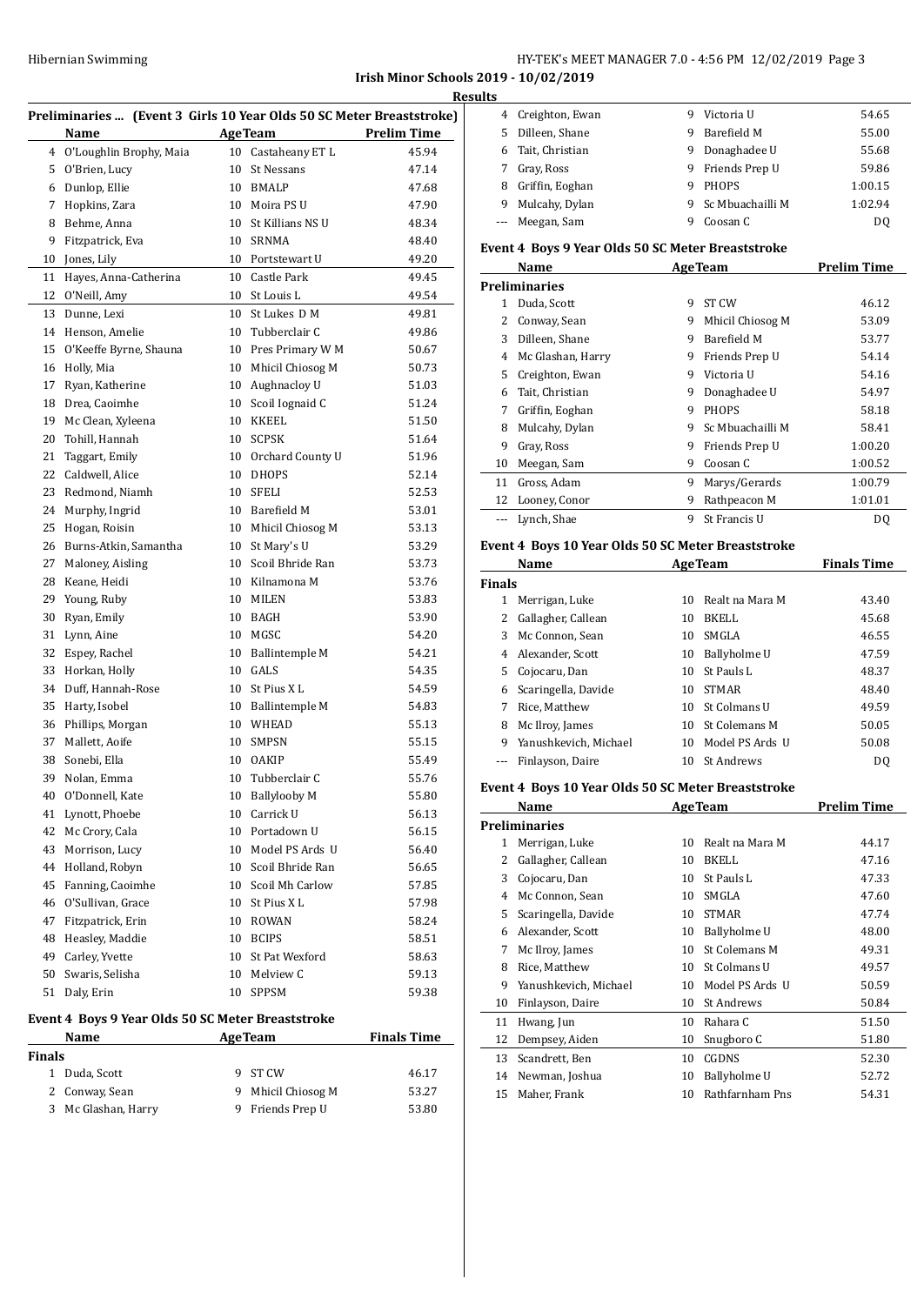#### **Irish Minor Schools 2019 - 10/02/2019 Results**

|        | Preliminaries  (Event 3 Girls 10 Year Olds 50 SC Meter Breaststroke)<br><b>AgeTeam</b> |    |                     |                    |  |  |
|--------|----------------------------------------------------------------------------------------|----|---------------------|--------------------|--|--|
|        | Name                                                                                   |    |                     | <b>Prelim Time</b> |  |  |
| 4      | O'Loughlin Brophy, Maia                                                                | 10 | Castaheany ET L     | 45.94              |  |  |
| 5      | O'Brien, Lucy                                                                          | 10 | St Nessans          | 47.14              |  |  |
|        | 6 Dunlop, Ellie                                                                        |    | 10 BMALP            | 47.68              |  |  |
| 7      | Hopkins, Zara                                                                          |    | 10 Moira PS U       | 47.90              |  |  |
|        | 8 Behme, Anna                                                                          |    | 10 St Killians NS U | 48.34              |  |  |
| 9      | Fitzpatrick, Eva                                                                       |    | 10 SRNMA            | 48.40              |  |  |
| 10     | Jones, Lily                                                                            |    | 10 Portstewart U    | 49.20              |  |  |
| 11     | Hayes, Anna-Catherina                                                                  |    | 10 Castle Park      | 49.45              |  |  |
| 12     | O'Neill, Amy                                                                           |    | 10 St Louis L       | 49.54              |  |  |
| 13     | Dunne, Lexi                                                                            | 10 | St Lukes D M        | 49.81              |  |  |
| 14     | Henson, Amelie                                                                         |    | 10 Tubberclair C    | 49.86              |  |  |
| 15     | O'Keeffe Byrne, Shauna                                                                 |    | 10 Pres Primary W M | 50.67              |  |  |
| 16     | Holly, Mia                                                                             | 10 | Mhicil Chiosog M    | 50.73              |  |  |
| 17     | Ryan, Katherine                                                                        |    | 10 Aughnacloy U     | 51.03              |  |  |
|        | 18 Drea, Caoimhe                                                                       | 10 | Scoil Iognaid C     | 51.24              |  |  |
| 19     | Mc Clean, Xyleena                                                                      | 10 | KKEEL               | 51.50              |  |  |
| 20     | Tohill, Hannah                                                                         |    | 10 SCPSK            | 51.64              |  |  |
| 21     | Taggart, Emily                                                                         |    | 10 Orchard County U | 51.96              |  |  |
| 22     | Caldwell, Alice                                                                        |    | 10 DHOPS            | 52.14              |  |  |
| 23     | Redmond, Niamh                                                                         |    | 10 SFELI            | 52.53              |  |  |
| 24     | Murphy, Ingrid                                                                         |    | 10 Barefield M      | 53.01              |  |  |
| 25     | Hogan, Roisin                                                                          | 10 | Mhicil Chiosog M    | 53.13              |  |  |
| 26     | Burns-Atkin, Samantha                                                                  | 10 | St Mary's U         | 53.29              |  |  |
| 27     | Maloney, Aisling                                                                       | 10 | Scoil Bhride Ran    | 53.73              |  |  |
| 28     | Keane, Heidi                                                                           |    | 10 Kilnamona M      | 53.76              |  |  |
| 29     | Young, Ruby                                                                            |    | 10 MILEN            | 53.83              |  |  |
| 30     | Ryan, Emily                                                                            |    | 10 BAGH             | 53.90              |  |  |
| 31     | Lynn, Aine                                                                             |    | 10 MGSC             | 54.20              |  |  |
| 32     | Espey, Rachel                                                                          |    | 10 Ballintemple M   | 54.21              |  |  |
| 33     | Horkan, Holly                                                                          |    | 10 GALS             | 54.35              |  |  |
|        | 34 Duff, Hannah-Rose                                                                   |    | 10 St Pius X L      | 54.59              |  |  |
| 35     | Harty, Isobel                                                                          |    | 10 Ballintemple M   | 54.83              |  |  |
| 36     | Phillips, Morgan                                                                       |    | 10 WHEAD            | 55.13              |  |  |
| 37     | Mallett, Aoife                                                                         | 10 | SMPSN               | 55.15              |  |  |
| 38     | Sonebi, Ella                                                                           | 10 | <b>OAKIP</b>        | 55.49              |  |  |
| 39     | Nolan, Emma                                                                            | 10 | Tubberclair C       | 55.76              |  |  |
| 40     | O'Donnell, Kate                                                                        |    | 10 Ballylooby M     | 55.80              |  |  |
| 41     | Lynott, Phoebe                                                                         | 10 | Carrick U           | 56.13              |  |  |
| 42     | Mc Crory, Cala                                                                         | 10 | Portadown U         | 56.15              |  |  |
| 43     | Morrison, Lucy                                                                         |    | 10 Model PS Ards U  | 56.40              |  |  |
|        | 44 Holland, Robyn                                                                      |    | 10 Scoil Bhride Ran | 56.65              |  |  |
| 45     | Fanning, Caoimhe                                                                       |    | 10 Scoil Mh Carlow  | 57.85              |  |  |
|        | 46 O'Sullivan, Grace                                                                   |    | 10 St Pius X L      | 57.98              |  |  |
| 47     | Fitzpatrick, Erin                                                                      |    | 10 ROWAN            | 58.24              |  |  |
| 48     | Heasley, Maddie                                                                        |    | 10 BCIPS            | 58.51              |  |  |
| 49     | Carley, Yvette                                                                         | 10 | St Pat Wexford      | 58.63              |  |  |
| 50     | Swaris, Selisha                                                                        | 10 | Melview C           | 59.13              |  |  |
| 51     | Daly, Erin                                                                             | 10 | SPPSM               | 59.38              |  |  |
|        |                                                                                        |    |                     |                    |  |  |
|        | Event 4 Boys 9 Year Olds 50 SC Meter Breaststroke                                      |    |                     |                    |  |  |
|        | Name                                                                                   |    | <b>AgeTeam</b>      | <b>Finals Time</b> |  |  |
| Finals |                                                                                        |    |                     |                    |  |  |
|        | $1$ Dudo Scott                                                                         |    | $Q$ $CT$ $C$ $M$    | 1617               |  |  |

| als |                     |                    |       |  |
|-----|---------------------|--------------------|-------|--|
|     | 1 Duda, Scott       | 9 ST CW            | 46.17 |  |
|     | 2 Conway, Sean      | 9 Mhicil Chiosog M | 53.27 |  |
|     | 3 Mc Glashan, Harry | 9 Friends Prep U   | 53.80 |  |

| LS. |                 |    |                    |         |
|-----|-----------------|----|--------------------|---------|
| 4   | Creighton, Ewan | 9  | Victoria U         | 54.65   |
| 5.  | Dilleen, Shane  | 9  | Barefield M        | 55.00   |
|     | Tait, Christian | 9  | Donaghadee U       | 55.68   |
| 7   | Gray, Ross      | 9. | Friends Prep U     | 59.86   |
| 8   | Griffin, Eoghan | 9  | <b>PHOPS</b>       | 1:00.15 |
| 9   | Mulcahy, Dylan  |    | 9 Sc Mbuachailli M | 1:02.94 |
|     | --- Meegan, Sam |    | Coosan C           | DO      |

#### **Event 4 Boys 9 Year Olds 50 SC Meter Breaststroke**

|    | Name                 | <b>AgeTeam</b> |                  | <b>Prelim Time</b> |
|----|----------------------|----------------|------------------|--------------------|
|    | <b>Preliminaries</b> |                |                  |                    |
| 1  | Duda, Scott          | 9              | ST <sub>CW</sub> | 46.12              |
| 2  | Conway, Sean         | 9              | Mhicil Chiosog M | 53.09              |
| 3  | Dilleen, Shane       | 9              | Barefield M      | 53.77              |
| 4  | Mc Glashan, Harry    | 9              | Friends Prep U   | 54.14              |
| 5. | Creighton, Ewan      | 9              | Victoria U       | 54.16              |
| 6  | Tait, Christian      | 9              | Donaghadee U     | 54.97              |
| 7  | Griffin, Eoghan      | 9              | <b>PHOPS</b>     | 58.18              |
| 8  | Mulcahy, Dylan       | 9              | Sc Mbuachailli M | 58.41              |
| 9  | Gray, Ross           | 9              | Friends Prep U   | 1:00.20            |
| 10 | Meegan, Sam          | 9              | Coosan C         | 1:00.52            |
| 11 | Gross, Adam          | 9              | Marys/Gerards    | 1:00.79            |
| 12 | Looney, Conor        | 9              | Rathpeacon M     | 1:01.01            |
|    | Lynch, Shae          | 9              | St Francis U     | DO                 |

# **Event 4 Boys 10 Year Olds 50 SC Meter Breaststroke**

|               | Name<br><b>AgeTeam</b> |    |                      | <b>Finals Time</b> |
|---------------|------------------------|----|----------------------|--------------------|
| <b>Finals</b> |                        |    |                      |                    |
| 1             | Merrigan, Luke         | 10 | - Realt na Mara M    | 43.40              |
| 2             | Gallagher, Callean     | 10 | BKELL                | 45.68              |
| 3             | Mc Connon, Sean        | 10 | <b>SMGLA</b>         | 46.55              |
|               | 4 Alexander, Scott     | 10 | Ballyholme U         | 47.59              |
| 5.            | Cojocaru, Dan          | 10 | - St Pauls L         | 48.37              |
| 6             | Scaringella, Davide    | 10 | <b>STMAR</b>         | 48.40              |
| 7             | Rice. Matthew          | 10 | St Colmans U         | 49.59              |
| 8             | Mc Ilroy, James        | 10 | <b>St Colemans M</b> | 50.05              |
| 9             | Yanushkevich, Michael  | 10 | Model PS Ards U      | 50.08              |
|               | Finlayson, Daire       | 10 | St Andrews           | DO                 |

#### **Event 4 Boys 10 Year Olds 50 SC Meter Breaststroke**

|    | Name                  |    | <b>AgeTeam</b>    | <b>Prelim Time</b> |
|----|-----------------------|----|-------------------|--------------------|
|    | <b>Preliminaries</b>  |    |                   |                    |
| 1  | Merrigan, Luke        | 10 | Realt na Mara M   | 44.17              |
| 2  | Gallagher, Callean    | 10 | BKELL             | 47.16              |
| 3  | Cojocaru, Dan         | 10 | St Pauls L        | 47.33              |
| 4  | Mc Connon, Sean       | 10 | <b>SMGLA</b>      | 47.60              |
| 5. | Scaringella, Davide   | 10 | <b>STMAR</b>      | 47.74              |
| 6  | Alexander, Scott      | 10 | Ballyholme U      | 48.00              |
| 7  | Mc Ilroy, James       | 10 | St Colemans M     | 49.31              |
| 8  | Rice, Matthew         | 10 | St Colmans U      | 49.57              |
| 9  | Yanushkevich, Michael | 10 | Model PS Ards U   | 50.59              |
| 10 | Finlayson, Daire      | 10 | <b>St Andrews</b> | 50.84              |
| 11 | Hwang, Jun            | 10 | Rahara C          | 51.50              |
| 12 | Dempsey, Aiden        | 10 | Snugboro C        | 51.80              |
| 13 | Scandrett, Ben        | 10 | CGDNS             | 52.30              |
| 14 | Newman, Joshua        | 10 | Ballyholme U      | 52.72              |
| 15 | Maher, Frank          | 10 | Rathfarnham Pns   | 54.31              |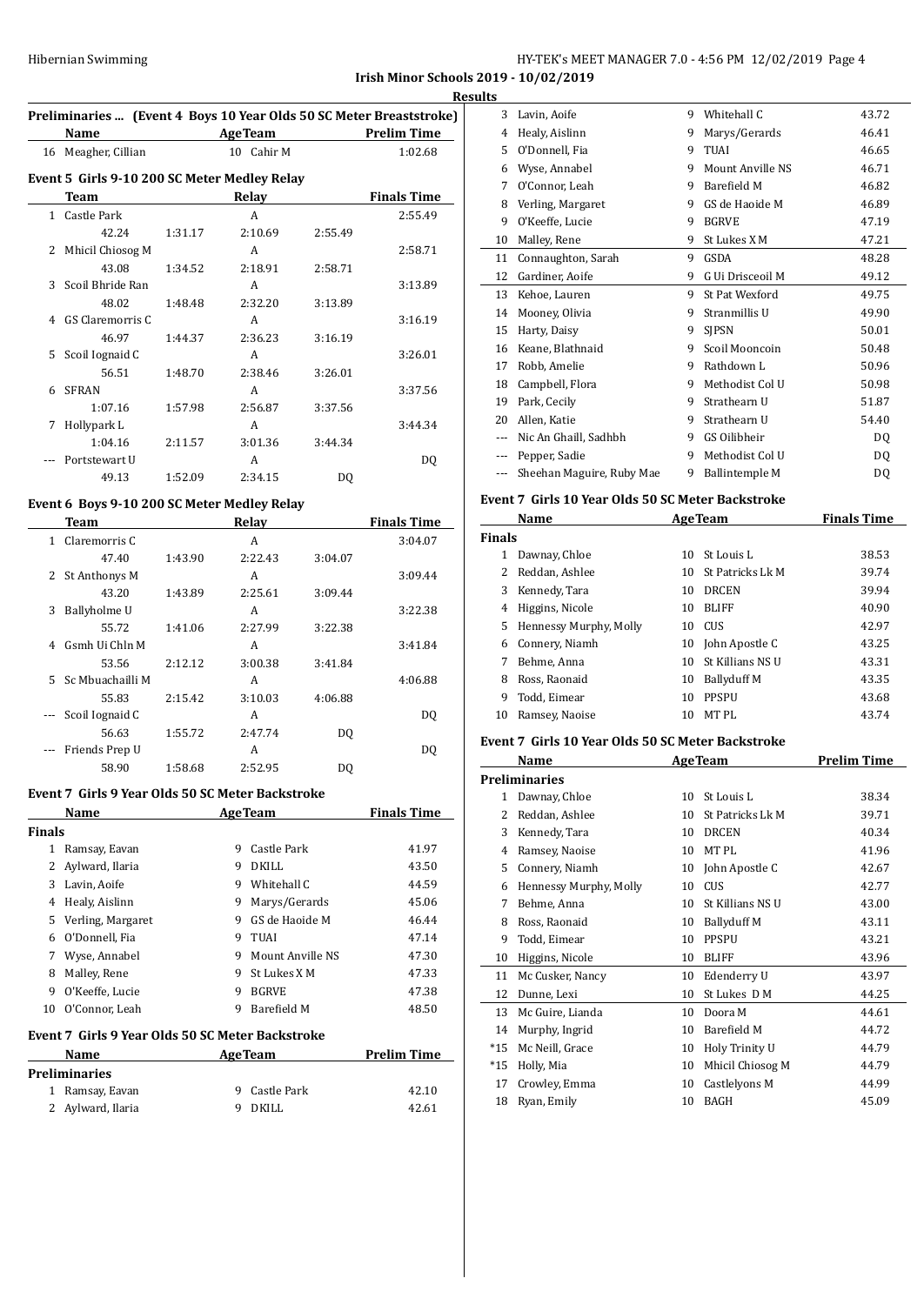#### **Irish Minor Schools 2019 - 10/02/2019**

|    |                                                                     |         |                |                |                    | <b>Results</b> |
|----|---------------------------------------------------------------------|---------|----------------|----------------|--------------------|----------------|
|    | Preliminaries  (Event 4 Boys 10 Year Olds 50 SC Meter Breaststroke) |         |                |                |                    |                |
|    | Name                                                                |         | <b>AgeTeam</b> |                | <b>Prelim Time</b> |                |
|    | 16 Meagher, Cillian                                                 |         | 10 Cahir M     |                | 1:02.68            |                |
|    | Event 5 Girls 9-10 200 SC Meter Medley Relay                        |         |                |                |                    |                |
|    | Team                                                                |         | Relay          |                | <b>Finals Time</b> |                |
|    | 1 Castle Park                                                       |         | A              |                | 2:55.49            |                |
|    | 42.24                                                               | 1:31.17 | 2:10.69        | 2:55.49        |                    | 1              |
|    | 2 Mhicil Chiosog M                                                  |         | A              |                | 2:58.71            |                |
|    | 43.08                                                               | 1:34.52 | 2:18.91        | 2:58.71        |                    |                |
| 3  | Scoil Bhride Ran                                                    |         | A              |                | 3:13.89            | 1              |
|    | 48.02                                                               | 1:48.48 | 2:32.20        | 3:13.89        |                    |                |
|    | 4 GS Claremorris C                                                  |         | A              |                | 3:16.19            |                |
|    | 46.97                                                               | 1:44.37 | 2:36.23        | 3:16.19        |                    |                |
| 5. | Scoil Iognaid C                                                     |         | A              |                | 3:26.01            |                |
|    | 56.51                                                               | 1:48.70 | 2:38.46        | 3:26.01        |                    |                |
| 6  | <b>SFRAN</b>                                                        |         | A              |                | 3:37.56            |                |
|    | 1:07.16                                                             | 1:57.98 | 2:56.87        | 3:37.56        |                    | 1              |
| 7  | Hollypark L                                                         |         | A              |                | 3:44.34            | 2              |
|    | 1:04.16                                                             | 2:11.57 | 3:01.36        | 3:44.34        |                    |                |
|    | Portstewart U                                                       |         | A              |                | DQ                 |                |
|    | 49.13                                                               | 1:52.09 | 2:34.15        | D <sub>0</sub> |                    |                |
|    |                                                                     |         |                |                |                    |                |

#### **Event 6 Boys 9-10 200 SC Meter Medley Relay**

|    | Team             |         | Relay   |         | <b>Finals Time</b> |
|----|------------------|---------|---------|---------|--------------------|
| 1  | Claremorris C    |         | A       |         | 3:04.07            |
|    | 47.40            | 1:43.90 | 2:22.43 | 3:04.07 |                    |
|    | 2 St Anthonys M  |         | A       |         | 3:09.44            |
|    | 43.20            | 1:43.89 | 2:25.61 | 3:09.44 |                    |
| 3  | Ballyholme U     |         | A       |         | 3:22.38            |
|    | 55.72            | 1:41.06 | 2:27.99 | 3:22.38 |                    |
| 4  | Gsmh Ui Chln M   |         | A       |         | 3:41.84            |
|    | 53.56            | 2:12.12 | 3:00.38 | 3:41.84 |                    |
| 5. | Sc Mbuachailli M |         | A       |         | 4:06.88            |
|    | 55.83            | 2:15.42 | 3:10.03 | 4:06.88 |                    |
|    | Scoil Iognaid C  |         | A       |         | DQ                 |
|    | 56.63            | 1:55.72 | 2:47.74 | DQ      |                    |
|    | Friends Prep U   |         | A       |         | DQ                 |
|    | 58.90            | 1:58.68 | 2:52.95 | DO      |                    |

#### **Event 7 Girls 9 Year Olds 50 SC Meter Backstroke**

|                                                  | Name              |   | <b>AgeTeam</b>   | <b>Finals Time</b> |  |
|--------------------------------------------------|-------------------|---|------------------|--------------------|--|
| <b>Finals</b>                                    |                   |   |                  |                    |  |
| 1                                                | Ramsay, Eavan     | 9 | Castle Park      | 41.97              |  |
|                                                  | Aylward, Ilaria   | 9 | DKILL            | 43.50              |  |
| 3                                                | Lavin, Aoife      | 9 | Whitehall C      | 44.59              |  |
| 4                                                | Healy, Aislinn    | 9 | Marys/Gerards    | 45.06              |  |
| 5.                                               | Verling, Margaret | 9 | GS de Haoide M   | 46.44              |  |
| 6                                                | O'Donnell, Fia    | 9 | TUAI             | 47.14              |  |
| 7                                                | Wyse, Annabel     | 9 | Mount Anville NS | 47.30              |  |
| 8                                                | Malley, Rene      | 9 | St Lukes X M     | 47.33              |  |
| 9                                                | O'Keeffe, Lucie   | 9 | <b>BGRVE</b>     | 47.38              |  |
| 10                                               | O'Connor, Leah    | 9 | Barefield M      | 48.50              |  |
| Event 7 Girls 9 Year Olds 50 SC Meter Backstroke |                   |   |                  |                    |  |

| <b>Name</b>          | <b>AgeTeam</b> | <b>Prelim Time</b> |
|----------------------|----------------|--------------------|
| <b>Preliminaries</b> |                |                    |
| 1 Ramsay, Eavan      | 9 Castle Park  | 42.10              |
| 2 Aylward, Ilaria    | DKILL          | 42.61              |

| ults |                |                           |   |                       |       |
|------|----------------|---------------------------|---|-----------------------|-------|
|      | 3              | Lavin, Aoife              | 9 | Whitehall C           | 43.72 |
|      | 4              | Healy, Aislinn            | 9 | Marys/Gerards         | 46.41 |
|      | 5              | O'Donnell, Fia            | 9 | <b>TUAI</b>           | 46.65 |
|      | 6              | Wyse, Annabel             | 9 | Mount Anville NS      | 46.71 |
|      | 7              | O'Connor, Leah            | 9 | Barefield M           | 46.82 |
|      | 8              | Verling, Margaret         | 9 | GS de Haoide M        | 46.89 |
|      | 9              | O'Keeffe, Lucie           | 9 | <b>BGRVE</b>          | 47.19 |
|      | 10             | Malley, Rene              | 9 | St Lukes X M          | 47.21 |
|      | 11             | Connaughton, Sarah        | 9 | GSDA                  | 48.28 |
|      | 12             | Gardiner, Aoife           | 9 | G Ui Drisceoil M      | 49.12 |
|      | 13             | Kehoe, Lauren             | 9 | St Pat Wexford        | 49.75 |
|      | 14             | Mooney, Olivia            | 9 | Stranmillis U         | 49.90 |
|      | 15             | Harty, Daisy              | 9 | <b>SIPSN</b>          | 50.01 |
|      | 16             | Keane, Blathnaid          | 9 | Scoil Mooncoin        | 50.48 |
|      | 17             | Robb, Amelie              | 9 | Rathdown L            | 50.96 |
|      | 18             | Campbell, Flora           | 9 | Methodist Col U       | 50.98 |
|      | 19             | Park, Cecily              | 9 | Strathearn U          | 51.87 |
|      | 20             | Allen, Katie              | 9 | Strathearn U          | 54.40 |
|      | $\overline{a}$ | Nic An Ghaill, Sadhbh     | 9 | GS Oilibheir          | DQ    |
|      | $\cdots$       | Pepper, Sadie             | 9 | Methodist Col U       | DQ    |
|      |                | Sheehan Maguire, Ruby Mae | 9 | <b>Ballintemple M</b> | DQ    |
|      |                |                           |   |                       |       |

#### **Event 7 Girls 10 Year Olds 50 SC Meter Backstroke**

|               | Name                   |    | <b>AgeTeam</b>     | <b>Finals Time</b> |
|---------------|------------------------|----|--------------------|--------------------|
| <b>Finals</b> |                        |    |                    |                    |
| 1             | Dawnay, Chloe          | 10 | <b>St Louis L</b>  | 38.53              |
| 2             | Reddan, Ashlee         | 10 | St Patricks Lk M   | 39.74              |
| 3             | Kennedy, Tara          | 10 | <b>DRCEN</b>       | 39.94              |
| 4             | Higgins, Nicole        | 10 | <b>BLIFF</b>       | 40.90              |
| 5.            | Hennessy Murphy, Molly | 10 | CUS                | 42.97              |
|               | 6 Connery, Niamh       | 10 | John Apostle C     | 43.25              |
| 7             | Behme, Anna            | 10 | St Killians NS U   | 43.31              |
| 8             | Ross, Raonaid          | 10 | <b>Ballyduff M</b> | 43.35              |
| 9             | Todd, Eimear           | 10 | <b>PPSPU</b>       | 43.68              |
| 10            | Ramsey, Naoise         | 10 | MT PL              | 43.74              |

#### **Event 7 Girls 10 Year Olds 50 SC Meter Backstroke**

|       | Name                   |    | <b>AgeTeam</b>     | Prelim Time |
|-------|------------------------|----|--------------------|-------------|
|       | <b>Preliminaries</b>   |    |                    |             |
| 1     | Dawnay, Chloe          | 10 | St Louis L         | 38.34       |
| 2     | Reddan, Ashlee         | 10 | St Patricks Lk M   | 39.71       |
| 3     | Kennedy, Tara          | 10 | <b>DRCEN</b>       | 40.34       |
| 4     | Ramsey, Naoise         | 10 | MT PL              | 41.96       |
| 5     | Connery, Niamh         | 10 | John Apostle C     | 42.67       |
| 6     | Hennessy Murphy, Molly | 10 | CUS                | 42.77       |
| 7     | Behme, Anna            | 10 | St Killians NS U   | 43.00       |
| 8     | Ross, Raonaid          | 10 | <b>Ballyduff M</b> | 43.11       |
| 9     | Todd, Eimear           | 10 | <b>PPSPU</b>       | 43.21       |
| 10    | Higgins, Nicole        | 10 | <b>BLIFF</b>       | 43.96       |
| 11    | Mc Cusker, Nancy       | 10 | Edenderry U        | 43.97       |
| 12    | Dunne, Lexi            | 10 | St Lukes D M       | 44.25       |
| 13    | Mc Guire, Lianda       | 10 | Doora M            | 44.61       |
| 14    | Murphy, Ingrid         | 10 | Barefield M        | 44.72       |
| $*15$ | Mc Neill, Grace        | 10 | Holy Trinity U     | 44.79       |
| $*15$ | Holly, Mia             | 10 | Mhicil Chiosog M   | 44.79       |
| 17    | Crowley, Emma          | 10 | Castlelyons M      | 44.99       |
| 18    | Ryan, Emily            | 10 | <b>BAGH</b>        | 45.09       |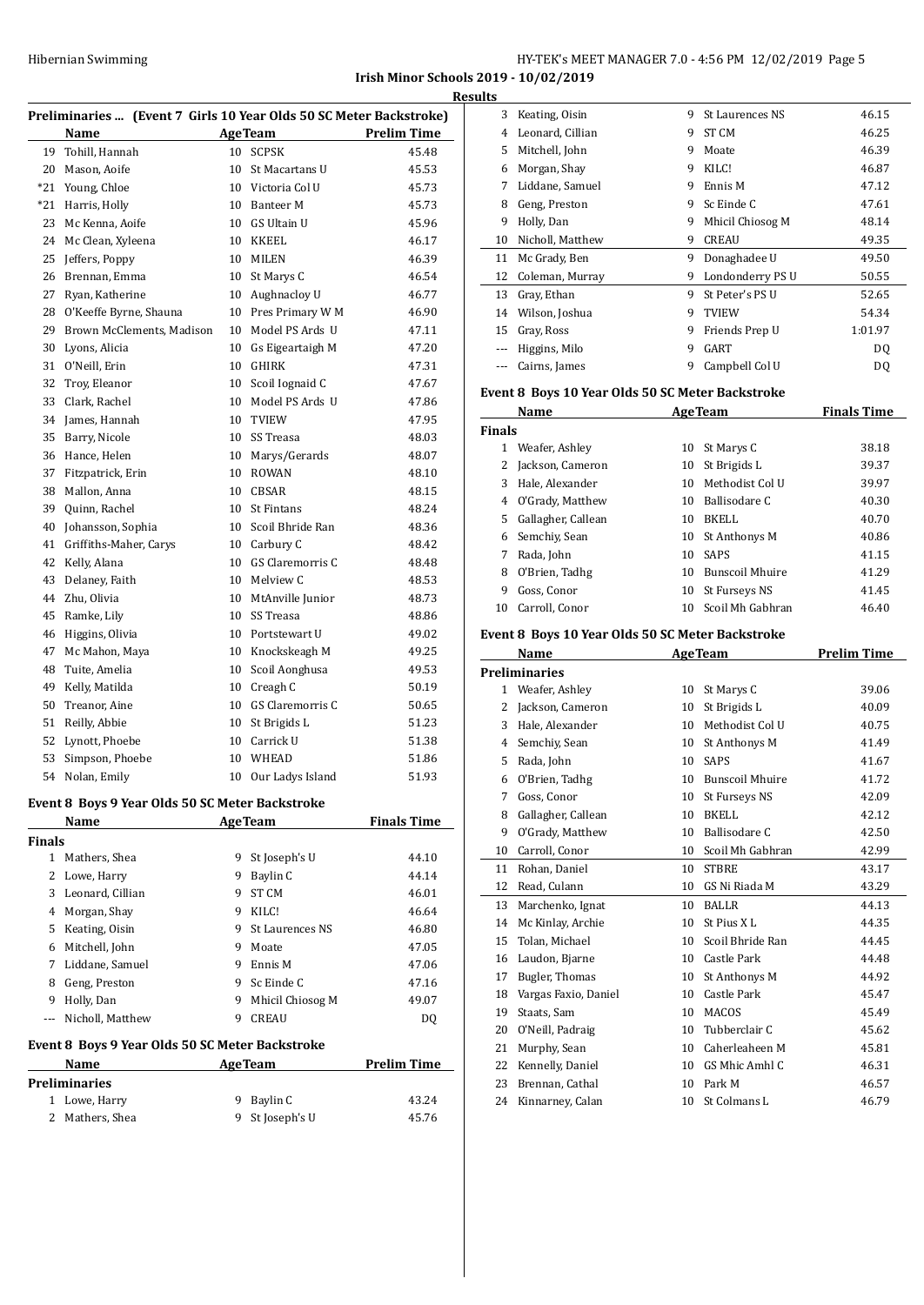**Irish Minor Schools 2019 - 10/02/2019 Results**

| Preliminaries  (Event 7 Girls 10 Year Olds 50 SC Meter Backstroke) |                           |    |                     |                    |  |
|--------------------------------------------------------------------|---------------------------|----|---------------------|--------------------|--|
|                                                                    | Name                      |    | <b>AgeTeam</b>      | <b>Prelim Time</b> |  |
| 19                                                                 | Tohill, Hannah            | 10 | <b>SCPSK</b>        | 45.48              |  |
| 20                                                                 | Mason, Aoife              | 10 | St Macartans U      | 45.53              |  |
| $*21$                                                              | Young, Chloe              |    | 10 Victoria Col U   | 45.73              |  |
| $*21$                                                              | Harris, Holly             |    | 10 Banteer M        | 45.73              |  |
| 23                                                                 | Mc Kenna, Aoife           | 10 | <b>GS Ultain U</b>  | 45.96              |  |
| 24                                                                 | Mc Clean, Xyleena         | 10 | <b>KKEEL</b>        | 46.17              |  |
| 25                                                                 | Jeffers, Poppy            | 10 | <b>MILEN</b>        | 46.39              |  |
| 26                                                                 | Brennan, Emma             | 10 | St Marys C          | 46.54              |  |
| 27                                                                 | Ryan, Katherine           | 10 | Aughnacloy U        | 46.77              |  |
| 28                                                                 | O'Keeffe Byrne, Shauna    | 10 | Pres Primary W M    | 46.90              |  |
| 29                                                                 | Brown McClements, Madison | 10 | Model PS Ards U     | 47.11              |  |
| 30                                                                 | Lyons, Alicia             | 10 | Gs Eigeartaigh M    | 47.20              |  |
| 31                                                                 | O'Neill, Erin             | 10 | GHIRK               | 47.31              |  |
| 32                                                                 | Troy, Eleanor             | 10 | Scoil Iognaid C     | 47.67              |  |
| 33                                                                 | Clark, Rachel             | 10 | Model PS Ards U     | 47.86              |  |
| 34                                                                 | James, Hannah             | 10 | <b>TVIEW</b>        | 47.95              |  |
| 35                                                                 | Barry, Nicole             | 10 | SS Treasa           | 48.03              |  |
| 36                                                                 | Hance, Helen              | 10 | Marys/Gerards       | 48.07              |  |
| 37                                                                 | Fitzpatrick, Erin         | 10 | <b>ROWAN</b>        | 48.10              |  |
| 38                                                                 | Mallon, Anna              | 10 | <b>CBSAR</b>        | 48.15              |  |
| 39                                                                 | Quinn, Rachel             | 10 | <b>St Fintans</b>   | 48.24              |  |
| 40                                                                 | Johansson, Sophia         |    | 10 Scoil Bhride Ran | 48.36              |  |
| 41                                                                 | Griffiths-Maher, Carys    |    | 10 Carbury C        | 48.42              |  |
| 42                                                                 | Kelly, Alana              | 10 | GS Claremorris C    | 48.48              |  |
| 43                                                                 | Delaney, Faith            |    | 10 Melview C        | 48.53              |  |
| 44                                                                 | Zhu, Olivia               | 10 | MtAnville Junior    | 48.73              |  |
| 45                                                                 | Ramke, Lily               | 10 | SS Treasa           | 48.86              |  |
| 46                                                                 | Higgins, Olivia           |    | 10 Portstewart U    | 49.02              |  |
| 47                                                                 | Mc Mahon, Maya            |    | 10 Knockskeagh M    | 49.25              |  |
| 48                                                                 | Tuite, Amelia             | 10 | Scoil Aonghusa      | 49.53              |  |
| 49                                                                 | Kelly, Matilda            | 10 | Creagh C            | 50.19              |  |
| 50                                                                 | Treanor, Aine             | 10 | GS Claremorris C    | 50.65              |  |
| 51                                                                 | Reilly, Abbie             | 10 | St Brigids L        | 51.23              |  |
| 52                                                                 | Lynott, Phoebe            | 10 | Carrick U           | 51.38              |  |
| 53                                                                 | Simpson, Phoebe           | 10 | <b>WHEAD</b>        | 51.86              |  |
| 54                                                                 | Nolan, Emily              | 10 | Our Ladys Island    | 51.93              |  |

# **Event 8 Boys 9 Year Olds 50 SC Meter Backstroke**

|               | Name                                            |    | <b>AgeTeam</b>         | <b>Finals Time</b> |
|---------------|-------------------------------------------------|----|------------------------|--------------------|
| <b>Finals</b> |                                                 |    |                        |                    |
| 1             | Mathers, Shea                                   | 9  | St Joseph's U          | 44.10              |
| 2             | Lowe, Harry                                     | 9  | Baylin C               | 44.14              |
| 3             | Leonard, Cillian                                | 9  | <b>ST CM</b>           | 46.01              |
| 4             | Morgan, Shay                                    | 9  | KILC!                  | 46.64              |
| 5             | Keating, Oisin                                  | 9. | <b>St Laurences NS</b> | 46.80              |
| 6             | Mitchell, John                                  | 9  | Moate                  | 47.05              |
| 7             | Liddane, Samuel                                 | 9  | Ennis M                | 47.06              |
| 8             | Geng, Preston                                   | 9  | Sc Einde C             | 47.16              |
| 9             | Holly, Dan                                      | 9  | Mhicil Chiosog M       | 49.07              |
|               | Nicholl, Matthew                                | 9  | <b>CREAU</b>           | DO.                |
|               | Event 8 Boys 9 Year Olds 50 SC Meter Backstroke |    |                        |                    |
|               | <b>B</b> T $\sim$ $\sim$ $\sim$ $\sim$          |    | $\blacksquare$         | D., 11., 11.       |

| <b>Name</b>     | <b>AgeTeam</b>  | <b>Prelim Time</b> |
|-----------------|-----------------|--------------------|
| Preliminaries   |                 |                    |
| 1 Lowe, Harry   | 9 Baylin C      | 43.24              |
| 2 Mathers, Shea | 9 St Joseph's U | 45.76              |

| lllə  |                  |   |                        |           |
|-------|------------------|---|------------------------|-----------|
| 3     | Keating, Oisin   | 9 | <b>St Laurences NS</b> | 46.15     |
| 4     | Leonard, Cillian | 9 | ST <sub>CM</sub>       | 46.25     |
| 5     | Mitchell, John   | 9 | Moate                  | 46.39     |
| 6     | Morgan, Shay     | 9 | KILC!                  | 46.87     |
| 7     | Liddane, Samuel  | 9 | Ennis M                | 47.12     |
| 8     | Geng, Preston    | 9 | Sc Einde C             | 47.61     |
| 9     | Holly, Dan       | 9 | Mhicil Chiosog M       | 48.14     |
| 10    | Nicholl, Matthew | 9 | <b>CREAU</b>           | 49.35     |
| 11    | Mc Grady, Ben    | 9 | Donaghadee U           | 49.50     |
| 12    | Coleman, Murray  | 9 | Londonderry PS U       | 50.55     |
| 13    | Gray, Ethan      | 9 | St Peter's PS U        | 52.65     |
| 14    | Wilson, Joshua   | 9 | <b>TVIEW</b>           | 54.34     |
| 15    | Gray, Ross       | 9 | Friends Prep U         | 1:01.97   |
|       | Higgins, Milo    | 9 | GART                   | DQ        |
| $---$ | Cairns, James    | 9 | Campbell Col U         | <b>DQ</b> |

# **Event 8 Boys 10 Year Olds 50 SC Meter Backstroke**

|               | Name               |    | <b>AgeTeam</b>         | <b>Finals Time</b> |
|---------------|--------------------|----|------------------------|--------------------|
| <b>Finals</b> |                    |    |                        |                    |
|               | Weafer, Ashley     | 10 | St Marys C             | 38.18              |
|               | Jackson, Cameron   | 10 | St Brigids L           | 39.37              |
| 3             | Hale, Alexander    | 10 | Methodist Col U        | 39.97              |
| 4             | O'Grady, Matthew   | 10 | Ballisodare C          | 40.30              |
| 5.            | Gallagher, Callean | 10 | BKELL                  | 40.70              |
| 6             | Semchiy, Sean      | 10 | St Anthonys M          | 40.86              |
|               | Rada, John         | 10 | <b>SAPS</b>            | 41.15              |
| 8             | O'Brien, Tadhg     | 10 | <b>Bunscoil Mhuire</b> | 41.29              |
| 9             | Goss, Conor        | 10 | St Furseys NS          | 41.45              |
| 10            | Carroll, Conor     | 10 | Scoil Mh Gabhran       | 46.40              |

#### **Event 8 Boys 10 Year Olds 50 SC Meter Backstroke**

|              | Name                 |                 | <b>AgeTeam</b>         | <b>Prelim Time</b> |
|--------------|----------------------|-----------------|------------------------|--------------------|
|              | <b>Preliminaries</b> |                 |                        |                    |
| $\mathbf{1}$ | Weafer, Ashley       | 10              | St Marys C             | 39.06              |
| 2            | Jackson, Cameron     | 10              | St Brigids L           | 40.09              |
| 3            | Hale, Alexander      | 10              | Methodist Col U        | 40.75              |
| 4            | Semchiy, Sean        | 10              | St Anthonys M          | 41.49              |
| 5            | Rada, John           | 10              | <b>SAPS</b>            | 41.67              |
| 6            | O'Brien, Tadhg       | 10              | <b>Bunscoil Mhuire</b> | 41.72              |
| 7            | Goss, Conor          | 10              | St Furseys NS          | 42.09              |
| 8            | Gallagher, Callean   | 10              | BKELL                  | 42.12              |
| 9            | O'Grady, Matthew     | 10 <sup>1</sup> | Ballisodare C          | 42.50              |
| 10           | Carroll, Conor       | 10              | Scoil Mh Gabhran       | 42.99              |
| 11           | Rohan, Daniel        | 10              | <b>STBRE</b>           | 43.17              |
| 12           | Read, Culann         | 10              | GS Ni Riada M          | 43.29              |
| 13           | Marchenko, Ignat     | 10              | <b>BALLR</b>           | 44.13              |
| 14           | Mc Kinlay, Archie    | 10              | St Pius X L            | 44.35              |
| 15           | Tolan, Michael       | 10              | Scoil Bhride Ran       | 44.45              |
| 16           | Laudon, Bjarne       | 10              | Castle Park            | 44.48              |
| 17           | Bugler, Thomas       | 10              | St Anthonys M          | 44.92              |
| 18           | Vargas Faxio, Daniel | 10              | Castle Park            | 45.47              |
| 19           | Staats, Sam          | 10              | <b>MACOS</b>           | 45.49              |
| 20           | O'Neill, Padraig     | 10              | Tubberclair C          | 45.62              |
| 21           | Murphy, Sean         | 10              | Caherleaheen M         | 45.81              |
| 22           | Kennelly, Daniel     | 10              | GS Mhic Amhl C         | 46.31              |
| 23           | Brennan, Cathal      | 10              | Park M                 | 46.57              |
| 24           | Kinnarney, Calan     | 10              | St Colmans L           | 46.79              |
|              |                      |                 |                        |                    |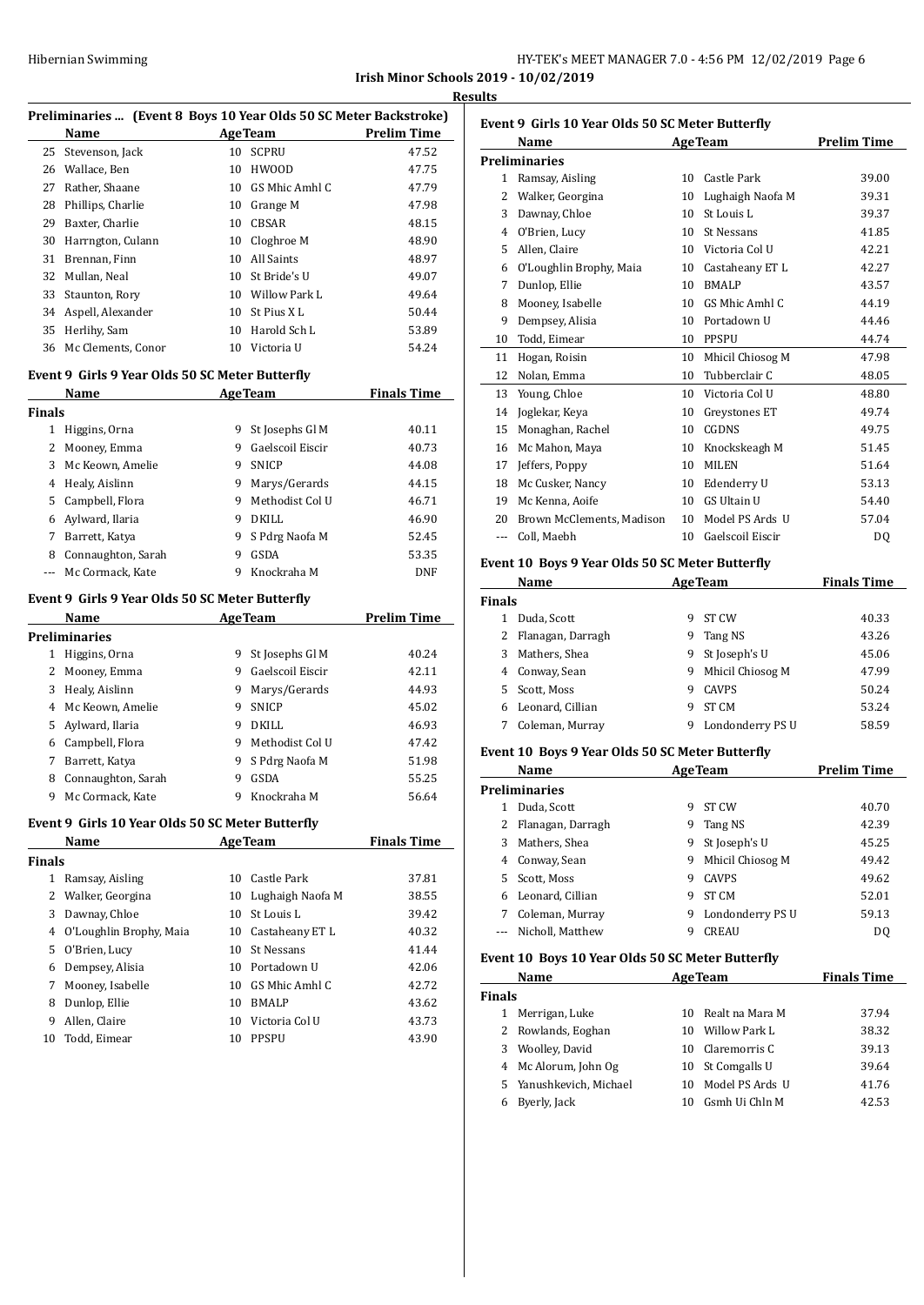| Hibernian Swimming | HY-TEK's MEET MANAGER 7.0 - 4:56 PM 12/02/2019 Page 6 |  |
|--------------------|-------------------------------------------------------|--|
|                    |                                                       |  |

**Irish Minor Schools 2019 - 10/02/2019 Results**

| Preliminaries  (Event 8 Boys 10 Year Olds 50 SC Meter Backstroke) |                                                  |    |                    |                    |
|-------------------------------------------------------------------|--------------------------------------------------|----|--------------------|--------------------|
|                                                                   | Name                                             |    | <b>AgeTeam</b>     | <b>Prelim Time</b> |
| 25                                                                | Stevenson, Jack                                  | 10 | <b>SCPRU</b>       | 47.52              |
|                                                                   | 26 Wallace, Ben                                  | 10 | <b>HWOOD</b>       | 47.75              |
|                                                                   | 27 Rather, Shaane                                |    | 10 GS Mhic Amhl C  | 47.79              |
|                                                                   | 28 Phillips, Charlie                             |    | 10 Grange M        | 47.98              |
|                                                                   | 29 Baxter, Charlie                               |    | 10 CBSAR           | 48.15              |
|                                                                   | 30 Harrngton, Culann                             |    | 10 Cloghroe M      | 48.90              |
|                                                                   | 31 Brennan, Finn                                 |    | 10 All Saints      | 48.97              |
| 32                                                                | Mullan, Neal                                     |    | 10 St Bride's U    | 49.07              |
| 33                                                                | Staunton, Rory                                   |    | 10 Willow Park L   | 49.64              |
|                                                                   | 34 Aspell, Alexander                             |    | 10 St Pius X L     | 50.44              |
| 35                                                                | Herlihy, Sam                                     |    | 10 Harold Sch L    | 53.89              |
|                                                                   | 36 Mc Clements, Conor                            |    | 10 Victoria U      | 54.24              |
|                                                                   | Event 9 Girls 9 Year Olds 50 SC Meter Butterfly  |    |                    |                    |
|                                                                   | Name                                             |    | <b>AgeTeam</b>     | <b>Finals Time</b> |
| <b>Finals</b>                                                     |                                                  |    |                    |                    |
|                                                                   | 1 Higgins, Orna                                  |    | 9 St Josephs Gl M  | 40.11              |
|                                                                   | 2 Mooney, Emma                                   |    | 9 Gaelscoil Eiscir | 40.73              |
|                                                                   | 3 Mc Keown, Amelie                               | 9  | <b>SNICP</b>       | 44.08              |
|                                                                   | 4 Healy, Aislinn                                 | 9  | Marys/Gerards      | 44.15              |
|                                                                   | 5 Campbell, Flora                                | 9  | Methodist Col U    | 46.71              |
|                                                                   | 6 Aylward, Ilaria                                | 9  | DKILL              |                    |
|                                                                   |                                                  |    |                    | 46.90              |
|                                                                   | 7 Barrett, Katya                                 | 9  | S Pdrg Naofa M     | 52.45              |
|                                                                   | 8 Connaughton, Sarah                             | 9  | GSDA               | 53.35              |
| --- 1                                                             | Mc Cormack, Kate                                 | 9  | Knockraha M        | DNF                |
|                                                                   | Event 9 Girls 9 Year Olds 50 SC Meter Butterfly  |    |                    |                    |
|                                                                   | Name                                             |    | <b>AgeTeam</b>     | <b>Prelim Time</b> |
|                                                                   | <b>Preliminaries</b>                             |    |                    |                    |
|                                                                   | 1 Higgins, Orna                                  | 9  | St Josephs Gl M    | 40.24              |
|                                                                   | 2 Mooney, Emma                                   |    | 9 Gaelscoil Eiscir | 42.11              |
|                                                                   | 3 Healy, Aislinn                                 | 9  | Marys/Gerards      | 44.93              |
|                                                                   | 4 Mc Keown, Amelie                               | 9  | SNICP              | 45.02              |
|                                                                   | 5 Aylward, Ilaria                                |    | 9 DKILL            | 46.93              |
|                                                                   | 6 Campbell, Flora                                | 9  | Methodist Col U    | 47.42              |
|                                                                   | 7 Barrett, Katya                                 | 9  | S Pdrg Naofa M     | 51.98              |
|                                                                   | 8 Connaughton, Sarah                             | 9  | GSDA               | 55.25              |
|                                                                   | 9 Mc Cormack, Kate                               |    | 9 Knockraha M      | 56.64              |
|                                                                   | Event 9 Girls 10 Year Olds 50 SC Meter Butterfly |    |                    |                    |
|                                                                   | Name                                             |    | <b>AgeTeam</b>     | <b>Finals Time</b> |
| <b>Finals</b>                                                     |                                                  |    |                    |                    |
|                                                                   | 1 Ramsay, Aisling                                | 10 | Castle Park        | 37.81              |
|                                                                   | 2 Walker, Georgina                               | 10 | Lughaigh Naofa M   | 38.55              |
| 3                                                                 | Dawnay, Chloe                                    | 10 | St Louis L         | 39.42              |
|                                                                   | 4 O'Loughlin Brophy, Maia                        | 10 | Castaheany ET L    | 40.32              |
|                                                                   | 5 O'Brien, Lucy                                  | 10 | St Nessans         | 41.44              |
|                                                                   | 6 Dempsey, Alisia                                |    | 10 Portadown U     | 42.06              |
| 7                                                                 | Mooney, Isabelle                                 | 10 | GS Mhic Amhl C     | 42.72              |
|                                                                   | 8 Dunlop, Ellie                                  | 10 | <b>BMALP</b>       | 43.62              |
|                                                                   | 9 Allen, Claire                                  |    | 10 Victoria Col U  | 43.73              |
|                                                                   | 10 Todd, Eimear                                  |    | 10 PPSPU           | 43.90              |
|                                                                   |                                                  |    |                    |                    |

| Event 9 Girls 10 Year Olds 50 SC Meter Butterfly |                           |    |                    |                    |  |
|--------------------------------------------------|---------------------------|----|--------------------|--------------------|--|
|                                                  | Name                      |    | <b>AgeTeam</b>     | <b>Prelim Time</b> |  |
|                                                  | <b>Preliminaries</b>      |    |                    |                    |  |
| 1                                                | Ramsay, Aisling           | 10 | Castle Park        | 39.00              |  |
| $\mathcal{L}$                                    | Walker, Georgina          | 10 | Lughaigh Naofa M   | 39.31              |  |
| 3                                                | Dawnay, Chloe             | 10 | St Louis L         | 39.37              |  |
| 4                                                | O'Brien, Lucy             | 10 | <b>St Nessans</b>  | 41.85              |  |
| 5                                                | Allen, Claire             | 10 | Victoria Col U     | 42.21              |  |
| 6                                                | O'Loughlin Brophy, Maia   | 10 | Castaheany ET L    | 42.27              |  |
| 7                                                | Dunlop, Ellie             | 10 | <b>BMALP</b>       | 43.57              |  |
| 8                                                | Mooney, Isabelle          | 10 | GS Mhic Amhl C     | 44.19              |  |
| 9                                                | Dempsey, Alisia           | 10 | Portadown U        | 44.46              |  |
| 10                                               | Todd, Eimear              | 10 | <b>PPSPU</b>       | 44.74              |  |
| 11                                               | Hogan, Roisin             | 10 | Mhicil Chiosog M   | 47.98              |  |
| 12                                               | Nolan, Emma               | 10 | Tubberclair C      | 48.05              |  |
| 13                                               | Young, Chloe              | 10 | Victoria Col U     | 48.80              |  |
| 14                                               | Joglekar, Keya            | 10 | Greystones ET      | 49.74              |  |
| 15                                               | Monaghan, Rachel          | 10 | CGDNS              | 49.75              |  |
| 16                                               | Mc Mahon, Maya            | 10 | Knockskeagh M      | 51.45              |  |
| 17                                               | Jeffers, Poppy            | 10 | <b>MILEN</b>       | 51.64              |  |
| 18                                               | Mc Cusker, Nancy          | 10 | Edenderry U        | 53.13              |  |
| 19                                               | Mc Kenna, Aoife           | 10 | <b>GS Ultain U</b> | 54.40              |  |
| 20                                               | Brown McClements, Madison | 10 | Model PS Ards U    | 57.04              |  |
| ---                                              | Coll, Maebh               | 10 | Gaelscoil Eiscir   | DO.                |  |
|                                                  |                           |    |                    |                    |  |

# **Event 10 Boys 9 Year Olds 50 SC Meter Butterfly**

|               | Name<br><b>AgeTeam</b> |   | <b>Finals Time</b> |       |
|---------------|------------------------|---|--------------------|-------|
| <b>Finals</b> |                        |   |                    |       |
|               | Duda, Scott            | 9 | ST CW              | 40.33 |
|               | Flanagan, Darragh      | 9 | Tang NS            | 43.26 |
| 3             | Mathers, Shea          | 9 | St Joseph's U      | 45.06 |
|               | 4 Conway, Sean         | 9 | Mhicil Chiosog M   | 47.99 |
| 5.            | Scott, Moss            | 9 | <b>CAVPS</b>       | 50.24 |
|               | Leonard, Cillian       | 9 | ST <sub>CM</sub>   | 53.24 |
|               | Coleman, Murray        | 9 | Londonderry PS U   | 58.59 |

# **Event 10 Boys 9 Year Olds 50 SC Meter Butterfly**

|                      | Name              | <b>AgeTeam</b> |                  | <b>Prelim Time</b> |
|----------------------|-------------------|----------------|------------------|--------------------|
| <b>Preliminaries</b> |                   |                |                  |                    |
|                      | Duda, Scott       | 9              | <b>ST CW</b>     | 40.70              |
| 2                    | Flanagan, Darragh | 9              | Tang NS          | 42.39              |
| 3                    | Mathers, Shea     | 9              | St Joseph's U    | 45.25              |
| 4                    | Conway, Sean      | 9              | Mhicil Chiosog M | 49.42              |
| 5.                   | Scott. Moss       | 9              | <b>CAVPS</b>     | 49.62              |
| 6                    | Leonard, Cillian  | 9              | <b>ST CM</b>     | 52.01              |
|                      | Coleman, Murray   | 9              | Londonderry PS U | 59.13              |
|                      | Nicholl, Matthew  | 9              | <b>CREAU</b>     | DO.                |

# **Event 10 Boys 10 Year Olds 50 SC Meter Butterfly**

|               | Name                    |     | <b>AgeTeam</b>     | <b>Finals Time</b> |
|---------------|-------------------------|-----|--------------------|--------------------|
| <b>Finals</b> |                         |     |                    |                    |
| 1             | Merrigan, Luke          |     | 10 Realt na Mara M | 37.94              |
|               | 2 Rowlands, Eoghan      | 10. | Willow Park L      | 38.32              |
| 3.            | Woolley, David          | 10. | Claremorris C      | 39.13              |
|               | 4 Mc Alorum, John Og    |     | 10 St Comgalls U   | 39.64              |
|               | 5 Yanushkevich, Michael |     | Model PS Ards. U   | 41.76              |
| 6             | Byerly, Jack            |     | Gsmh Ui Chln M     | 42.53              |
|               |                         |     |                    |                    |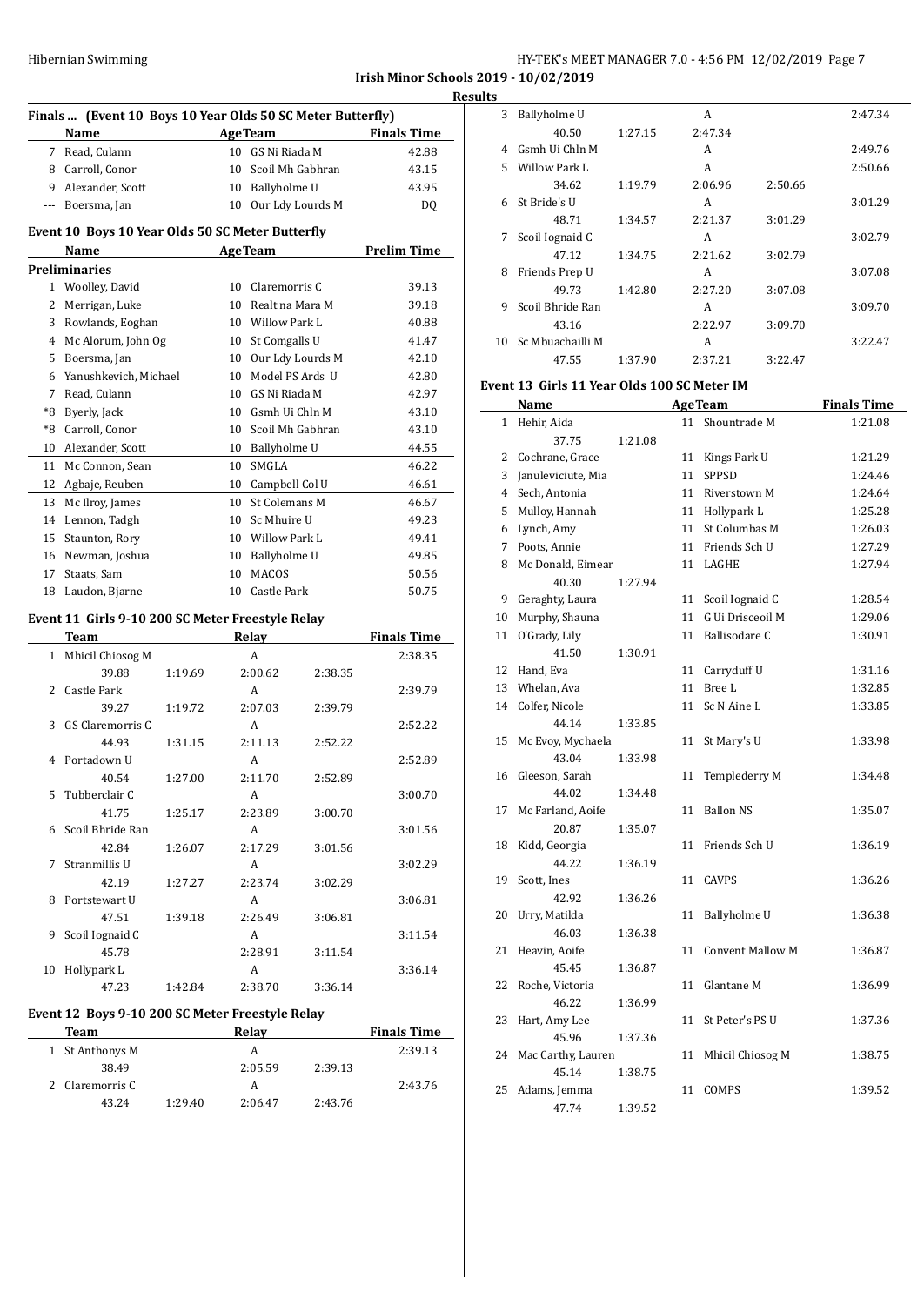| Hibernian Swimming | HY-TEK's MEET MANAGER 7.0 - 4:56 PM 12/02/2019 Page 7 |
|--------------------|-------------------------------------------------------|
|--------------------|-------------------------------------------------------|

**Irish Minor Schools 2019 - 10/02/2019 Results**

|                | Finals  (Event 10 Boys 10 Year Olds 50 SC Meter Butterfly)<br>Name |         |    | <b>AgeTeam</b>      |         | <b>Finals Time</b> |
|----------------|--------------------------------------------------------------------|---------|----|---------------------|---------|--------------------|
|                | 7 Read, Culann                                                     |         |    | 10 GS Ni Riada M    |         | 42.88              |
|                | 8 Carroll, Conor                                                   |         |    | 10 Scoil Mh Gabhran |         | 43.15              |
|                | 9 Alexander, Scott                                                 |         |    | 10 Ballyholme U     |         | 43.95              |
|                | --- Boersma, Jan                                                   |         |    | 10 Our Ldy Lourds M |         | DQ                 |
|                |                                                                    |         |    |                     |         |                    |
|                | Event 10 Boys 10 Year Olds 50 SC Meter Butterfly                   |         |    |                     |         |                    |
|                | Name                                                               |         |    | <b>AgeTeam</b>      |         | <b>Prelim Time</b> |
|                | <b>Preliminaries</b>                                               |         |    |                     |         |                    |
|                | 1 Woolley, David                                                   |         | 10 | Claremorris C       |         | 39.13              |
| $\overline{2}$ | Merrigan, Luke                                                     |         |    | 10 Realt na Mara M  |         | 39.18              |
| 3              | Rowlands, Eoghan                                                   |         |    | 10 Willow Park L    |         | 40.88              |
|                | 4 Mc Alorum, John Og                                               |         |    | 10 St Comgalls U    |         | 41.47              |
| 5              | Boersma, Jan                                                       |         |    | 10 Our Ldy Lourds M |         | 42.10              |
| 6              | Yanushkevich, Michael                                              |         | 10 | Model PS Ards U     |         | 42.80              |
| 7              | Read, Culann                                                       |         |    | 10 GS Ni Riada M    |         | 42.97              |
| *8             | Byerly, Jack                                                       |         |    | 10 Gsmh Ui Chln M   |         | 43.10              |
| *8             | Carroll, Conor                                                     |         |    | 10 Scoil Mh Gabhran |         | 43.10              |
| 10             | Alexander, Scott                                                   |         |    | 10 Ballyholme U     |         | 44.55              |
| 11             | Mc Connon, Sean                                                    |         |    | 10 SMGLA            |         | 46.22              |
| 12             | Agbaje, Reuben                                                     |         |    | 10 Campbell Col U   |         | 46.61              |
| 13             | Mc Ilroy, James                                                    |         | 10 | St Colemans M       |         | 46.67              |
|                | 14 Lennon, Tadgh                                                   |         |    | 10 Sc Mhuire U      |         | 49.23              |
| 15             | Staunton, Rory                                                     |         |    | 10 Willow Park L    |         | 49.41              |
|                | 16 Newman, Joshua                                                  |         | 10 | Ballyholme U        |         | 49.85              |
| 17             | Staats, Sam                                                        |         | 10 | <b>MACOS</b>        |         | 50.56              |
| 18             | Laudon, Bjarne                                                     |         |    | 10 Castle Park      |         | 50.75              |
|                | Event 11 Girls 9-10 200 SC Meter Freestyle Relay                   |         |    |                     |         |                    |
|                | Team                                                               |         |    | Relay               |         | Finals Time        |
| 1              | Mhicil Chiosog M                                                   |         |    | A                   |         | 2:38.35            |
|                | 39.88                                                              | 1:19.69 |    | 2:00.62             | 2:38.35 |                    |
| 2              | Castle Park                                                        |         |    | A                   |         | 2:39.79            |
|                | 39.27                                                              | 1:19.72 |    | 2:07.03             | 2:39.79 |                    |
| 3              | <b>GS Claremorris C</b>                                            |         |    | A                   |         | 2:52.22            |
|                | 44.93                                                              | 1:31.15 |    | 2:11.13             | 2:52.22 |                    |
| 4              | Portadown U                                                        |         |    | A                   |         | 2:52.89            |
|                | 40.54                                                              | 1:27.00 |    | 2:11.70             | 2:52.89 |                    |
| 5              | Tubberclair C                                                      |         |    | A                   |         | 3:00.70            |
|                | 41.75                                                              | 1:25.17 |    | 2:23.89             | 3:00.70 |                    |
| 6              | Scoil Bhride Ran                                                   |         |    | A                   |         | 3:01.56            |
|                | 42.84                                                              | 1:26.07 |    | 2:17.29             | 3:01.56 |                    |
| 7              | Stranmillis U                                                      |         |    | A                   |         | 3:02.29            |
|                | 42.19                                                              | 1:27.27 |    | 2:23.74             | 3:02.29 |                    |
| 8              | Portstewart U                                                      |         |    | A                   |         | 3:06.81            |
|                | 47.51                                                              | 1:39.18 |    | 2:26.49             | 3:06.81 |                    |
| 9              | Scoil Iognaid C                                                    |         |    | A                   |         | 3:11.54            |
|                | 45.78                                                              |         |    | 2:28.91             | 3:11.54 |                    |
| 10             | Hollypark L                                                        |         |    | A                   |         | 3:36.14            |
|                | 47.23                                                              | 1:42.84 |    | 2:38.70             | 3:36.14 |                    |
|                | Event 12 Boys 9-10 200 SC Meter Freestyle Relay                    |         |    |                     |         |                    |
|                | Team                                                               |         |    | <b>Relay</b>        |         | <b>Finals Time</b> |
| $\mathbf{1}$   | St Anthonys M                                                      |         |    | A                   |         | 2:39.13            |

38.49 2:05.59 2:39.13 2 Claremorris C A 2:43.76 43.24 1:29.40 2:06.47 2:43.76

| э  |                  |         |         |         |         |
|----|------------------|---------|---------|---------|---------|
| 3  | Ballyholme U     |         | A       |         | 2:47.34 |
|    | 40.50            | 1:27.15 | 2:47.34 |         |         |
| 4  | Gsmh Ui Chln M   |         | A       |         | 2:49.76 |
| 5. | Willow Park L    |         | A       |         | 2:50.66 |
|    | 34.62            | 1:19.79 | 2:06.96 | 2:50.66 |         |
| 6  | St Bride's U     |         | A       |         | 3:01.29 |
|    | 48.71            | 1:34.57 | 2:21.37 | 3:01.29 |         |
| 7  | Scoil Iognaid C  |         | A       |         | 3:02.79 |
|    | 47.12            | 1:34.75 | 2:21.62 | 3:02.79 |         |
| 8  | Friends Prep U   |         | A       |         | 3:07.08 |
|    | 49.73            | 1:42.80 | 2:27.20 | 3:07.08 |         |
| 9  | Scoil Bhride Ran |         | A       |         | 3:09.70 |
|    | 43.16            |         | 2:22.97 | 3:09.70 |         |
| 10 | Sc Mbuachailli M |         | A       |         | 3:22.47 |
|    | 47.55            | 1:37.90 | 2:37.21 | 3:22.47 |         |

# **Event 13 Girls 11 Year Olds 100 SC Meter IM**

|              | <b>Name</b>                 |         |    | <b>AgeTeam</b>          | <b>Finals Time</b> |
|--------------|-----------------------------|---------|----|-------------------------|--------------------|
| $\mathbf{1}$ | Hehir, Aida                 |         | 11 | Shountrade M            | 1:21.08            |
|              | 37.75                       | 1:21.08 |    |                         |                    |
|              | 2 Cochrane, Grace           |         | 11 | Kings Park U            | 1:21.29            |
| 3            | Januleviciute, Mia          |         | 11 | <b>SPPSD</b>            | 1:24.46            |
|              | 4 Sech, Antonia             |         |    | 11 Riverstown M         | 1:24.64            |
| 5            | Mulloy, Hannah              |         |    | 11 Hollypark L          | 1:25.28            |
| 6            | Lynch, Amy                  |         | 11 | St Columbas M           | 1:26.03            |
| 7            | Poots, Annie                |         | 11 | Friends Sch U           | 1:27.29            |
| 8            | Mc Donald, Eimear           |         | 11 | LAGHE                   | 1:27.94            |
|              | 40.30                       | 1:27.94 |    |                         |                    |
| 9            | Geraghty, Laura             |         |    | 11 Scoil Iognaid C      | 1:28.54            |
| 10           | Murphy, Shauna              |         | 11 | G Ui Drisceoil M        | 1:29.06            |
| 11           | O'Grady, Lily               |         | 11 | Ballisodare C           | 1:30.91            |
|              | 41.50                       | 1:30.91 |    |                         |                    |
| 12           | Hand, Eva                   |         | 11 | Carryduff U             | 1:31.16            |
|              | 13 Whelan, Ava              |         | 11 | Bree L                  | 1:32.85            |
| 14           | Colfer, Nicole              |         | 11 | Sc N Aine L             | 1:33.85            |
|              | 44.14                       | 1:33.85 |    |                         |                    |
| 15           | Mc Evoy, Mychaela           |         | 11 | St Mary's U             | 1:33.98            |
|              | 43.04                       | 1:33.98 |    |                         |                    |
| 16           | Gleeson, Sarah              |         | 11 | Templederry M           | 1:34.48            |
|              | 44.02                       | 1:34.48 |    |                         |                    |
| 17           | Mc Farland, Aoife           |         | 11 | <b>Ballon NS</b>        | 1:35.07            |
|              | 20.87                       | 1:35.07 |    |                         |                    |
| 18           | Kidd, Georgia               |         | 11 | Friends Sch U           | 1:36.19            |
|              | 44.22                       | 1:36.19 |    |                         |                    |
| 19           | Scott, Ines                 |         | 11 | <b>CAVPS</b>            | 1:36.26            |
|              | 42.92                       | 1:36.26 |    |                         |                    |
| 20           | Urry, Matilda               |         | 11 | Ballyholme U            | 1:36.38            |
|              | 46.03                       | 1:36.38 |    |                         |                    |
| 21           | Heavin, Aoife               |         | 11 | <b>Convent Mallow M</b> | 1:36.87            |
|              | 45.45                       | 1:36.87 |    |                         |                    |
| 22           | Roche, Victoria<br>46.22    |         | 11 | Glantane M              | 1:36.99            |
|              |                             | 1:36.99 |    |                         |                    |
| 23           | Hart, Amy Lee<br>45.96      |         | 11 | St Peter's PS U         | 1:37.36            |
|              |                             | 1:37.36 |    |                         |                    |
| 24           | Mac Carthy, Lauren<br>45.14 | 1:38.75 | 11 | Mhicil Chiosog M        | 1:38.75            |
| 25           | Adams, Jemma                |         | 11 | COMPS                   | 1:39.52            |
|              | 47.74                       | 1:39.52 |    |                         |                    |
|              |                             |         |    |                         |                    |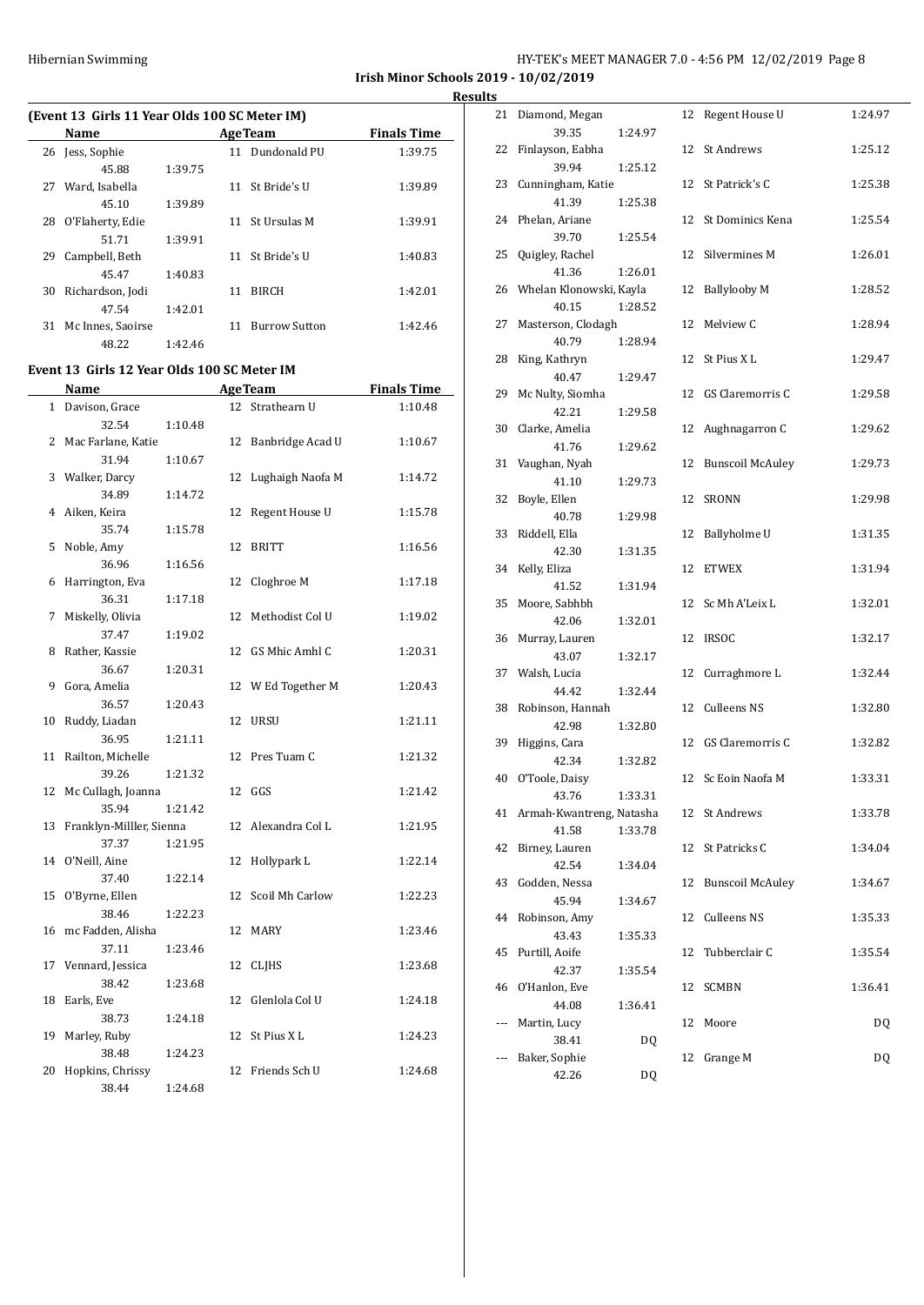**Irish Minor Schools 2019 - 10/02/2019 Results**

# **(Event 13 Girls 11 Year Olds 100 SC Meter IM)**

|    | Name              |         |    | <b>AgeTeam</b>       | <b>Finals Time</b> |
|----|-------------------|---------|----|----------------------|--------------------|
| 26 | Jess, Sophie      |         |    | 11 Dundonald PU      | 1:39.75            |
|    | 45.88             | 1:39.75 |    |                      |                    |
| 27 | Ward, Isabella    |         | 11 | St Bride's U         | 1:39.89            |
|    | 45.10             | 1:39.89 |    |                      |                    |
| 28 | O'Flaherty, Edie  |         | 11 | St Ursulas M         | 1:39.91            |
|    | 51.71             | 1:39.91 |    |                      |                    |
| 29 | Campbell, Beth    |         |    | 11 St Bride's U      | 1:40.83            |
|    | 45.47             | 1:40.83 |    |                      |                    |
| 30 | Richardson, Jodi  |         | 11 | <b>BIRCH</b>         | 1:42.01            |
|    | 47.54             | 1:42.01 |    |                      |                    |
| 31 | Mc Innes, Saoirse |         | 11 | <b>Burrow Sutton</b> | 1:42.46            |
|    | 48.22             | 1:42.46 |    |                      |                    |

#### **Event 13 Girls 12 Year Olds 100 SC Meter IM**

|              | Name                     |         |    | <b>AgeTeam</b>   | <b>Finals Time</b> |
|--------------|--------------------------|---------|----|------------------|--------------------|
| $\mathbf{1}$ | Davison, Grace           |         | 12 | Strathearn U     | 1:10.48            |
|              | 32.54                    | 1:10.48 |    |                  |                    |
| 2            | Mac Farlane, Katie       |         | 12 | Banbridge Acad U | 1:10.67            |
|              | 31.94                    | 1:10.67 |    |                  |                    |
| 3            | Walker, Darcy            |         | 12 | Lughaigh Naofa M | 1:14.72            |
|              | 34.89                    | 1:14.72 |    |                  |                    |
| 4            | Aiken, Keira             |         | 12 | Regent House U   | 1:15.78            |
|              | 35.74                    | 1:15.78 |    |                  |                    |
| 5            | Noble, Amy               |         | 12 | <b>BRITT</b>     | 1:16.56            |
|              | 36.96                    | 1:16.56 |    |                  |                    |
| 6            | Harrington, Eva          |         | 12 | Cloghroe M       | 1:17.18            |
|              | 36.31                    | 1:17.18 |    |                  |                    |
| 7            | Miskelly, Olivia         |         | 12 | Methodist Col U  | 1:19.02            |
|              | 37.47                    | 1:19.02 |    |                  |                    |
| 8            | Rather, Kassie           |         | 12 | GS Mhic Amhl C   | 1:20.31            |
|              | 36.67                    | 1:20.31 |    |                  |                    |
| 9            | Gora, Amelia             |         | 12 | W Ed Together M  | 1:20.43            |
|              | 36.57                    | 1:20.43 |    |                  |                    |
| 10           | Ruddy, Liadan            |         | 12 | <b>URSU</b>      | 1:21.11            |
|              | 36.95                    | 1:21.11 |    |                  |                    |
| 11           | Railton, Michelle        |         | 12 | Pres Tuam C      | 1:21.32            |
|              | 39.26                    | 1:21.32 |    |                  |                    |
| 12           | Mc Cullagh, Joanna       |         |    | 12 GGS           | 1:21.42            |
|              | 35.94                    | 1:21.42 |    |                  |                    |
| 13           | Franklyn-Milller, Sienna |         | 12 | Alexandra Col L  | 1:21.95            |
|              | 37.37                    | 1:21.95 |    |                  |                    |
| 14           | O'Neill, Aine            |         | 12 | Hollypark L      | 1:22.14            |
|              | 37.40                    | 1:22.14 |    |                  |                    |
| 15           | O'Byrne, Ellen           |         | 12 | Scoil Mh Carlow  | 1:22.23            |
|              | 38.46                    | 1:22.23 |    |                  |                    |
| 16           | mc Fadden, Alisha        |         | 12 | <b>MARY</b>      | 1:23.46            |
|              | 37.11                    | 1:23.46 |    |                  |                    |
| 17           | Vennard, Jessica         |         | 12 | <b>CLIHS</b>     | 1:23.68            |
|              | 38.42                    | 1:23.68 |    |                  |                    |
| 18           | Earls, Eve               |         | 12 | Glenlola Col U   | 1:24.18            |
|              | 38.73                    | 1:24.18 |    |                  |                    |
| 19           | Marley, Ruby             |         | 12 | St Pius XL       | 1:24.23            |
|              | 38.48                    | 1:24.23 |    |                  |                    |
| 20           | Hopkins, Chrissy         |         | 12 | Friends Sch U    | 1:24.68            |
|              | 38.44                    | 1:24.68 |    |                  |                    |

|     | 21 Diamond, Megan           |         |    | 12 Regent House U       | 1:24.97 |
|-----|-----------------------------|---------|----|-------------------------|---------|
| 22  | 39.35<br>Finlayson, Eabha   | 1:24.97 | 12 | St Andrews              | 1:25.12 |
|     | 39.94                       | 1:25.12 |    |                         |         |
| 23  | Cunningham, Katie<br>41.39  | 1:25.38 |    | 12 St Patrick's C       | 1:25.38 |
| 24  | Phelan, Ariane              |         | 12 | St Dominics Kena        | 1:25.54 |
|     | 39.70                       | 1:25.54 |    |                         |         |
| 25  | Quigley, Rachel<br>41.36    | 1:26.01 |    | 12 Silvermines M        | 1:26.01 |
| 26  | Whelan Klonowski, Kayla     |         | 12 | <b>Ballylooby M</b>     | 1:28.52 |
|     | 40.15                       | 1:28.52 |    |                         |         |
| 27  | Masterson, Clodagh          |         |    | 12 Melview C            | 1:28.94 |
|     | 40.79                       | 1:28.94 |    |                         |         |
| 28  | King, Kathryn<br>40.47      |         | 12 | St Pius X L             | 1:29.47 |
| 29  | Mc Nulty, Siomha            | 1:29.47 | 12 | GS Claremorris C        | 1:29.58 |
|     | 42.21                       | 1:29.58 |    |                         |         |
|     | 30 Clarke, Amelia           |         |    | 12 Aughnagarron C       | 1:29.62 |
|     | 41.76                       | 1:29.62 |    |                         |         |
| 31  | Vaughan, Nyah               |         | 12 | <b>Bunscoil McAuley</b> | 1:29.73 |
|     | 41.10                       | 1:29.73 |    |                         |         |
| 32  | Boyle, Ellen                |         | 12 | <b>SRONN</b>            | 1:29.98 |
| 33  | 40.78<br>Riddell, Ella      | 1:29.98 | 12 | Ballyholme U            | 1:31.35 |
|     | 42.30                       | 1:31.35 |    |                         |         |
| 34  | Kelly, Eliza                |         | 12 | <b>ETWEX</b>            | 1:31.94 |
|     | 41.52                       | 1:31.94 |    |                         |         |
| 35  | Moore, Sabhbh               |         | 12 | Sc Mh A'Leix L          | 1:32.01 |
|     | 42.06                       | 1:32.01 |    |                         |         |
| 36  | Murray, Lauren              |         | 12 | <b>IRSOC</b>            | 1:32.17 |
|     | 43.07                       | 1:32.17 |    |                         |         |
| 37  | Walsh, Lucia<br>44.42       |         | 12 | Curraghmore L           | 1:32.44 |
| 38  | Robinson, Hannah            | 1:32.44 | 12 | Culleens NS             | 1:32.80 |
|     | 42.98                       | 1:32.80 |    |                         |         |
| 39  | Higgins, Cara               |         |    | 12 GS Claremorris C     | 1:32.82 |
|     | 42.34                       | 1:32.82 |    |                         |         |
|     | 40 O'Toole, Daisy           |         |    | 12 Sc Eoin Naofa M      | 1:33.31 |
|     | 43.76                       | 1:33.31 |    |                         |         |
|     | 41 Armah-Kwantreng, Natasha |         |    | 12 St Andrews           | 1:33.78 |
| 42  | 41.58<br>Birney, Lauren     | 1:33.78 | 12 | St Patricks C           | 1:34.04 |
|     | 42.54                       | 1:34.04 |    |                         |         |
| 43  | Godden, Nessa               |         | 12 | <b>Bunscoil McAuley</b> | 1:34.67 |
|     | 45.94                       | 1:34.67 |    |                         |         |
| 44  | Robinson, Amy               |         | 12 | Culleens NS             | 1:35.33 |
|     | 43.43                       | 1:35.33 |    |                         |         |
| 45  | Purtill, Aoife              |         | 12 | Tubberclair C           | 1:35.54 |
|     | 42.37                       | 1:35.54 |    |                         |         |
| 46  | O'Hanlon, Eve               |         | 12 | SCMBN                   | 1:36.41 |
| --- | 44.08<br>Martin, Lucy       | 1:36.41 | 12 | Moore                   | DQ      |
|     | 38.41                       | DQ      |    |                         |         |
| --- | Baker, Sophie               |         | 12 | Grange M                | DQ      |
|     | 42.26                       | DQ      |    |                         |         |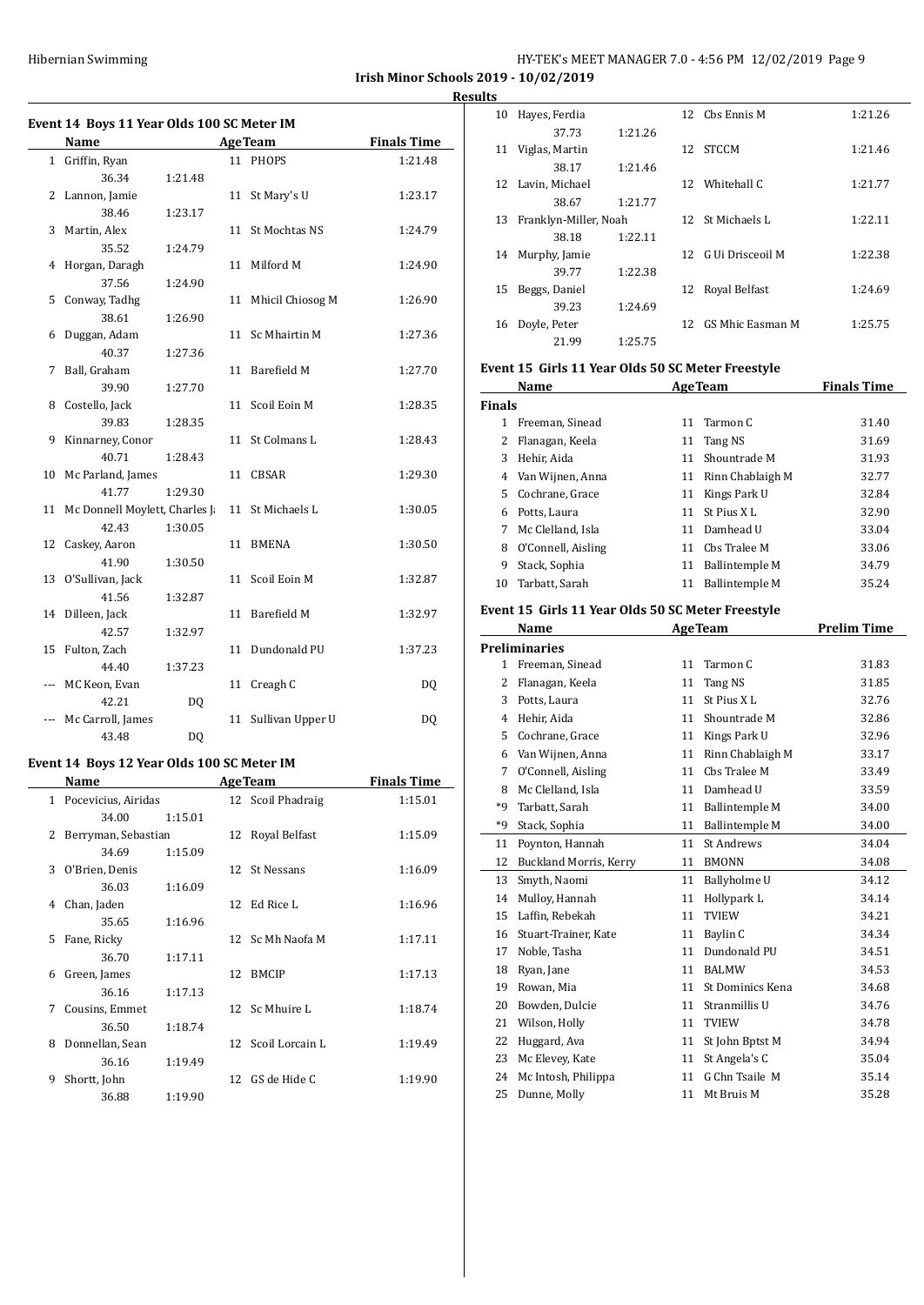| HY-TEK's MEET MANAGER 7.0 - 4:56 PM 12/02/2019 Page 9 |
|-------------------------------------------------------|
|-------------------------------------------------------|

**Irish Minor Schools 2019 - 10/02/2019**

**Results**

|  | Event 14 Boys 11 Year Olds 100 SC Meter IM |  |
|--|--------------------------------------------|--|
|  |                                            |  |

|     | Name                             |         |    | <b>AgeTeam</b>   | <b>Finals Time</b> |
|-----|----------------------------------|---------|----|------------------|--------------------|
|     | 1 Griffin, Ryan                  |         |    | 11 PHOPS         | 1:21.48            |
|     | 36.34                            | 1:21.48 |    |                  |                    |
| 2   | Lannon, Jamie                    |         | 11 | St Mary's U      | 1:23.17            |
|     | 38.46                            | 1:23.17 |    |                  |                    |
| 3   | Martin, Alex                     |         | 11 | St Mochtas NS    | 1:24.79            |
|     | 35.52                            | 1:24.79 |    |                  |                    |
|     | 4 Horgan, Daragh                 |         | 11 | Milford M        | 1:24.90            |
|     | 37.56                            | 1:24.90 |    |                  |                    |
| 5   | Conway, Tadhg                    |         | 11 | Mhicil Chiosog M | 1:26.90            |
|     | 38.61                            | 1:26.90 |    |                  |                    |
| 6   | Duggan, Adam                     |         | 11 | Sc Mhairtin M    | 1:27.36            |
|     | 40.37                            | 1:27.36 |    |                  |                    |
| 7   | Ball, Graham                     |         | 11 | Barefield M      | 1:27.70            |
|     | 39.90                            | 1:27.70 |    |                  |                    |
| 8   | Costello, Jack                   |         | 11 | Scoil Eoin M     | 1:28.35            |
|     | 39.83                            | 1:28.35 |    |                  |                    |
| 9   | Kinnarney, Conor                 |         | 11 | St Colmans L     | 1:28.43            |
|     | 40.71                            | 1:28.43 |    |                  |                    |
|     | 10 Mc Parland, James             |         | 11 | <b>CBSAR</b>     | 1:29.30            |
|     | 41.77                            | 1:29.30 |    |                  |                    |
|     | 11 Mc Donnell Moylett, Charles J |         | 11 | St Michaels L    | 1:30.05            |
|     | 42.43                            | 1:30.05 |    |                  |                    |
| 12  | Caskey, Aaron                    |         | 11 | <b>BMENA</b>     | 1:30.50            |
|     | 41.90                            | 1:30.50 |    |                  |                    |
|     | 13 O'Sullivan, Jack              |         | 11 | Scoil Eoin M     | 1:32.87            |
|     | 41.56                            | 1:32.87 |    |                  |                    |
|     | 14 Dilleen, Jack                 |         | 11 | Barefield M      | 1:32.97            |
|     | 42.57<br>Fulton, Zach            | 1:32.97 | 11 | Dundonald PU     | 1:37.23            |
| 15  | 44.40                            | 1:37.23 |    |                  |                    |
| --- | MC Keon, Evan                    |         | 11 | Creagh C         | DQ                 |
|     | 42.21                            | DQ      |    |                  |                    |
|     | Mc Carroll, James                |         | 11 | Sullivan Upper U | DQ                 |
|     | 43.48                            | DQ      |    |                  |                    |
|     |                                  |         |    |                  |                    |

# **Event 14 Boys 12 Year Olds 100 SC Meter IM**

|    | Name                |         |    | <b>AgeTeam</b>     | <b>Finals Time</b> |
|----|---------------------|---------|----|--------------------|--------------------|
| 1  | Pocevicius, Airidas |         |    | 12 Scoil Phadraig  | 1:15.01            |
|    | 34.00               | 1:15.01 |    |                    |                    |
| 2  | Berryman, Sebastian |         |    | 12 Royal Belfast   | 1:15.09            |
|    | 34.69               | 1:15.09 |    |                    |                    |
| 3  | O'Brien, Denis      |         |    | 12 St Nessans      | 1:16.09            |
|    | 36.03               | 1:16.09 |    |                    |                    |
| 4  | Chan, Jaden         |         |    | 12 Ed Rice L       | 1:16.96            |
|    | 35.65               | 1:16.96 |    |                    |                    |
| 5. | Fane, Ricky         |         |    | 12 Sc Mh Naofa M   | 1:17.11            |
|    | 36.70               | 1:17.11 |    |                    |                    |
| 6  | Green, James        |         | 12 | <b>BMCIP</b>       | 1:17.13            |
|    | 36.16               | 1:17.13 |    |                    |                    |
| 7  | Cousins, Emmet      |         |    | 12 Sc Mhuire L     | 1:18.74            |
|    | 36.50               | 1:18.74 |    |                    |                    |
| 8  | Donnellan, Sean     |         |    | 12 Scoil Lorcain L | 1:19.49            |
|    | 36.16               | 1:19.49 |    |                    |                    |
| 9  | Shortt, John        |         |    | 12 GS de Hide C    | 1:19.90            |
|    | 36.88               | 1:19.90 |    |                    |                    |

| 10 | Hayes, Ferdia         |         |     | 12 Chs Ennis M      | 1:21.26 |
|----|-----------------------|---------|-----|---------------------|---------|
|    | 37.73                 | 1:21.26 |     |                     |         |
| 11 | Viglas, Martin        |         | 12  | <b>STCCM</b>        | 1:21.46 |
|    | 38.17                 | 1:21.46 |     |                     |         |
|    | 12 Lavin, Michael     |         | 12  | Whitehall C         | 1:21.77 |
|    | 38.67                 | 1:21.77 |     |                     |         |
| 13 | Franklyn-Miller, Noah |         |     | 12 St Michaels L    | 1:22.11 |
|    | 38.18                 | 1:22.11 |     |                     |         |
| 14 | Murphy, Jamie         |         |     | 12 G Ui Drisceoil M | 1:22.38 |
|    | 39.77                 | 1:22.38 |     |                     |         |
| 15 | Beggs, Daniel         |         | 12  | Royal Belfast       | 1:24.69 |
|    | 39.23                 | 1:24.69 |     |                     |         |
| 16 | Doyle, Peter          |         | 12. | GS Mhic Easman M    | 1:25.75 |
|    | 21.99                 | 1:25.75 |     |                     |         |

# **Event 15 Girls 11 Year Olds 50 SC Meter Freestyle**

|               | Name               |    | <b>AgeTeam</b>        | <b>Finals Time</b> |
|---------------|--------------------|----|-----------------------|--------------------|
| <b>Finals</b> |                    |    |                       |                    |
|               | Freeman, Sinead    | 11 | Tarmon C              | 31.40              |
| 2             | Flanagan, Keela    | 11 | Tang NS               | 31.69              |
| 3             | Hehir, Aida        | 11 | Shountrade M          | 31.93              |
| 4             | Van Wijnen, Anna   | 11 | Rinn Chablaigh M      | 32.77              |
| 5.            | Cochrane, Grace    | 11 | Kings Park U          | 32.84              |
| 6             | Potts, Laura       | 11 | <b>St Pius XL</b>     | 32.90              |
|               | Mc Clelland, Isla  | 11 | Damhead U             | 33.04              |
| 8             | O'Connell, Aisling | 11 | Chs Tralee M          | 33.06              |
| 9             | Stack, Sophia      | 11 | <b>Ballintemple M</b> | 34.79              |
| 10            | Tarbatt, Sarah     | 11 | <b>Ballintemple M</b> | 35.24              |

#### **Event 15 Girls 11 Year Olds 50 SC Meter Freestyle**

|              | <b>AgeTeam</b><br>Name        |    |                       | <b>Prelim Time</b> |
|--------------|-------------------------------|----|-----------------------|--------------------|
|              | <b>Preliminaries</b>          |    |                       |                    |
| $\mathbf{1}$ | Freeman, Sinead               | 11 | Tarmon C              | 31.83              |
| 2            | Flanagan, Keela               | 11 | Tang NS               | 31.85              |
| 3            | Potts, Laura                  | 11 | St Pius X L           | 32.76              |
| 4            | Hehir, Aida                   | 11 | Shountrade M          | 32.86              |
| 5            | Cochrane, Grace               | 11 | Kings Park U          | 32.96              |
| 6            | Van Wijnen, Anna              | 11 | Rinn Chablaigh M      | 33.17              |
| 7            | O'Connell, Aisling            | 11 | Chs Tralee M          | 33.49              |
| 8            | Mc Clelland, Isla             | 11 | Damhead U             | 33.59              |
| *9           | Tarbatt, Sarah                | 11 | <b>Ballintemple M</b> | 34.00              |
| $*9$         | Stack, Sophia                 | 11 | <b>Ballintemple M</b> | 34.00              |
| 11           | Poynton, Hannah               | 11 | St Andrews            | 34.04              |
| 12           | <b>Buckland Morris, Kerry</b> | 11 | <b>BMONN</b>          | 34.08              |
| 13           | Smyth, Naomi                  | 11 | Ballyholme U          | 34.12              |
| 14           | Mulloy, Hannah                | 11 | Hollypark L           | 34.14              |
| 15           | Laffin, Rebekah               | 11 | <b>TVIEW</b>          | 34.21              |
| 16           | Stuart-Trainer, Kate          | 11 | Baylin C              | 34.34              |
| 17           | Noble, Tasha                  | 11 | Dundonald PU          | 34.51              |
| 18           | Ryan, Jane                    | 11 | <b>BALMW</b>          | 34.53              |
| 19           | Rowan, Mia                    | 11 | St Dominics Kena      | 34.68              |
| 20           | Bowden, Dulcie                | 11 | Stranmillis U         | 34.76              |
| 21           | Wilson, Holly                 | 11 | <b>TVIEW</b>          | 34.78              |
| 22           | Huggard, Ava                  | 11 | St John Bptst M       | 34.94              |
| 23           | Mc Elevey, Kate               | 11 | St Angela's C         | 35.04              |
| 24           | Mc Intosh, Philippa           | 11 | G Chn Tsaile M        | 35.14              |
| 25           | Dunne, Molly                  | 11 | Mt Bruis M            | 35.28              |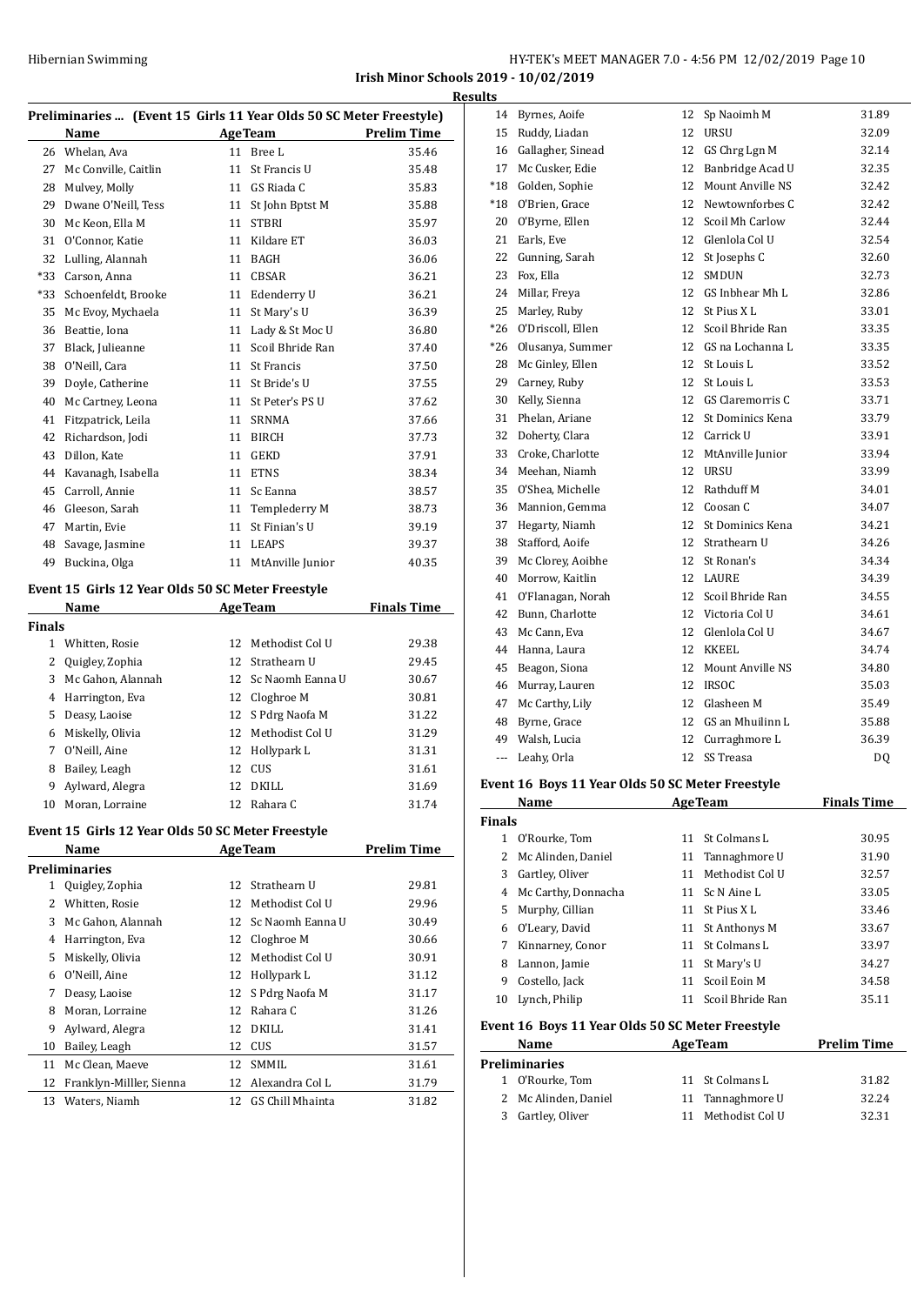**Irish Minor Schools 2019 - 10/02/2019 Results**

| Preliminaries  (Event 15 Girls 11 Year Olds 50 SC Meter Freestyle) |  |  |  |
|--------------------------------------------------------------------|--|--|--|
|                                                                    |  |  |  |

| Preminialies  (Event I5 GHTs II fear Olds 50 SC Meter Preestyle) |                      |    |                   |                    |  |  |
|------------------------------------------------------------------|----------------------|----|-------------------|--------------------|--|--|
|                                                                  | Name                 |    | <b>AgeTeam</b>    | <b>Prelim Time</b> |  |  |
| 26                                                               | Whelan, Ava          | 11 | Bree L            | 35.46              |  |  |
| 27                                                               | Mc Conville, Caitlin | 11 | St Francis U      | 35.48              |  |  |
| 28                                                               | Mulvey, Molly        | 11 | GS Riada C        | 35.83              |  |  |
| 29                                                               | Dwane O'Neill, Tess  | 11 | St John Bptst M   | 35.88              |  |  |
| 30                                                               | Mc Keon, Ella M      | 11 | <b>STBRI</b>      | 35.97              |  |  |
| 31                                                               | O'Connor, Katie      | 11 | Kildare ET        | 36.03              |  |  |
| 32                                                               | Lulling, Alannah     | 11 | BAGH              | 36.06              |  |  |
| $*33$                                                            | Carson, Anna         | 11 | <b>CBSAR</b>      | 36.21              |  |  |
| *33                                                              | Schoenfeldt, Brooke  | 11 | Edenderry U       | 36.21              |  |  |
| 35                                                               | Mc Evoy, Mychaela    | 11 | St Mary's U       | 36.39              |  |  |
| 36                                                               | Beattie, Iona        | 11 | Lady & St Moc U   | 36.80              |  |  |
| 37                                                               | Black, Julieanne     | 11 | Scoil Bhride Ran  | 37.40              |  |  |
| 38                                                               | O'Neill, Cara        | 11 | <b>St Francis</b> | 37.50              |  |  |
| 39                                                               | Doyle, Catherine     | 11 | St Bride's U      | 37.55              |  |  |
| 40                                                               | Mc Cartney, Leona    | 11 | St Peter's PS U   | 37.62              |  |  |
| 41                                                               | Fitzpatrick, Leila   | 11 | SRNMA             | 37.66              |  |  |
| 42                                                               | Richardson, Jodi     | 11 | <b>BIRCH</b>      | 37.73              |  |  |
| 43                                                               | Dillon, Kate         | 11 | <b>GEKD</b>       | 37.91              |  |  |
| 44                                                               | Kavanagh, Isabella   | 11 | <b>ETNS</b>       | 38.34              |  |  |
| 45                                                               | Carroll, Annie       | 11 | Sc Eanna          | 38.57              |  |  |
| 46                                                               | Gleeson, Sarah       | 11 | Templederry M     | 38.73              |  |  |
| 47                                                               | Martin, Evie         | 11 | St Finian's U     | 39.19              |  |  |
| 48                                                               | Savage, Jasmine      | 11 | <b>LEAPS</b>      | 39.37              |  |  |
| 49                                                               | Buckina, Olga        | 11 | MtAnville Junior  | 40.35              |  |  |
|                                                                  |                      |    |                   |                    |  |  |

# **Event 15 Girls 12 Year Olds 50 SC Meter Freestyle**

| Name<br><b>AgeTeam</b> |                   |    | <b>Finals Time</b>  |       |
|------------------------|-------------------|----|---------------------|-------|
| Finals                 |                   |    |                     |       |
|                        | Whitten, Rosie    | 12 | - Methodist Col U   | 29.38 |
| 2                      | Quigley, Zophia   |    | 12 Strathearn U     | 29.45 |
| 3                      | Mc Gahon, Alannah |    | 12 Sc Naomh Eanna U | 30.67 |
| 4                      | Harrington, Eva   |    | 12 Cloghroe M       | 30.81 |
| 5                      | Deasy, Laoise     |    | 12 S Pdrg Naofa M   | 31.22 |
| 6                      | Miskelly, Olivia  |    | 12 Methodist Col U  | 31.29 |
| 7                      | O'Neill, Aine     |    | 12 Hollypark L      | 31.31 |
| 8                      | Bailey, Leagh     |    | 12 CUS              | 31.61 |
| 9                      | Aylward, Alegra   | 12 | DKILL               | 31.69 |
| 10                     | Moran, Lorraine   | 12 | Rahara C            | 31.74 |

#### **Event 15 Girls 12 Year Olds 50 SC Meter Freestyle**

| Name                     | <b>AgeTeam</b> |                  | <b>Prelim Time</b>  |
|--------------------------|----------------|------------------|---------------------|
| Preliminaries            |                |                  |                     |
| Quigley, Zophia          | 12.            | Strathearn II    | 29.81               |
| Whitten, Rosie           | 12             | Methodist Col U  | 29.96               |
| Mc Gahon, Alannah        |                |                  | 30.49               |
| Harrington, Eva          | 12             | Cloghroe M       | 30.66               |
| Miskelly, Olivia         | 12             | Methodist Col U  | 30.91               |
| O'Neill, Aine            | 12             | Hollypark L      | 31.12               |
| Deasy, Laoise            | 12             | S Pdrg Naofa M   | 31.17               |
| Moran, Lorraine          | 12             | Rahara C         | 31.26               |
| Aylward, Alegra          | 12             | DKILL            | 31.41               |
| Bailey, Leagh            | 12             | CUS              | 31.57               |
| Mc Clean, Maeve          | 12             | SMMIL.           | 31.61               |
| Franklyn-Milller, Sienna | 12             | Alexandra Col L  | 31.79               |
| Waters, Niamh            | 12             | GS Chill Mhainta | 31.82               |
|                          |                |                  | 12 Sc Naomh Eanna U |

| 14                       | Byrnes, Aoife     | 12 | Sp Naoimh M            | 31.89 |
|--------------------------|-------------------|----|------------------------|-------|
| 15                       | Ruddy, Liadan     | 12 | <b>URSU</b>            | 32.09 |
| 16                       | Gallagher, Sinead | 12 | GS Chrg Lgn M          | 32.14 |
| 17                       | Mc Cusker, Edie   | 12 | Banbridge Acad U       | 32.35 |
| $*18$                    | Golden, Sophie    | 12 | Mount Anville NS       | 32.42 |
| $*18$                    | O'Brien, Grace    | 12 | Newtownforbes C        | 32.42 |
| 20                       | O'Byrne, Ellen    | 12 | <b>Scoil Mh Carlow</b> | 32.44 |
| 21                       | Earls, Eve        | 12 | Glenlola Col U         | 32.54 |
| 22                       | Gunning, Sarah    | 12 | St Josephs C           | 32.60 |
| 23                       | Fox, Ella         | 12 | <b>SMDUN</b>           | 32.73 |
| 24                       | Millar, Freya     | 12 | GS Inbhear Mh L        | 32.86 |
| 25                       | Marley, Ruby      | 12 | St Pius XL             | 33.01 |
| $*26$                    | O'Driscoll, Ellen | 12 | Scoil Bhride Ran       | 33.35 |
| $*26$                    | Olusanya, Summer  | 12 | GS na Lochanna L       | 33.35 |
| 28                       | Mc Ginley, Ellen  | 12 | St Louis L             | 33.52 |
| 29                       | Carney, Ruby      | 12 | St Louis L             | 33.53 |
| 30                       | Kelly, Sienna     | 12 | GS Claremorris C       | 33.71 |
| 31                       | Phelan, Ariane    | 12 | St Dominics Kena       | 33.79 |
| 32                       | Doherty, Clara    | 12 | Carrick U              | 33.91 |
| 33                       | Croke, Charlotte  | 12 | MtAnville Junior       | 33.94 |
| 34                       | Meehan, Niamh     | 12 | <b>URSU</b>            | 33.99 |
| 35                       | O'Shea, Michelle  | 12 | Rathduff M             | 34.01 |
| 36                       | Mannion, Gemma    | 12 | Coosan C               | 34.07 |
| 37                       | Hegarty, Niamh    | 12 | St Dominics Kena       | 34.21 |
| 38                       | Stafford, Aoife   | 12 | Strathearn U           | 34.26 |
| 39                       | Mc Clorey, Aoibhe | 12 | St Ronan's             | 34.34 |
| 40                       | Morrow, Kaitlin   | 12 | LAURE                  | 34.39 |
| 41                       | O'Flanagan, Norah | 12 | Scoil Bhride Ran       | 34.55 |
| 42                       | Bunn, Charlotte   | 12 | Victoria Col U         | 34.61 |
| 43                       | Mc Cann, Eva      | 12 | Glenlola Col U         | 34.67 |
| 44                       | Hanna, Laura      | 12 | <b>KKEEL</b>           | 34.74 |
| 45                       | Beagon, Siona     | 12 | Mount Anville NS       | 34.80 |
| 46                       | Murray, Lauren    | 12 | <b>IRSOC</b>           | 35.03 |
| 47                       | Mc Carthy, Lily   | 12 | Glasheen M             | 35.49 |
| 48                       | Byrne, Grace      | 12 | GS an Mhuilinn L       | 35.88 |
| 49                       | Walsh, Lucia      | 12 | Curraghmore L          | 36.39 |
| $\overline{\phantom{a}}$ | Leahy, Orla       | 12 | SS Treasa              | DQ    |
|                          |                   |    |                        |       |

#### **Event 16 Boys 11 Year Olds 50 SC Meter Freestyle**

| <b>Name</b>         | <b>AgeTeam</b> |                  | <b>Finals Time</b>                                                                                |
|---------------------|----------------|------------------|---------------------------------------------------------------------------------------------------|
| <b>Finals</b>       |                |                  |                                                                                                   |
| O'Rourke, Tom       |                |                  | 30.95                                                                                             |
| Mc Alinden, Daniel  |                |                  | 31.90                                                                                             |
| Gartley, Oliver     |                | Methodist Col U  | 32.57                                                                                             |
| Mc Carthy, Donnacha |                |                  | 33.05                                                                                             |
| Murphy, Cillian     |                | St Pius X L      | 33.46                                                                                             |
| O'Leary, David<br>6 |                |                  | 33.67                                                                                             |
| Kinnarney, Conor    |                | St Colmans L     | 33.97                                                                                             |
| Lannon, Jamie       |                | St Mary's U      | 34.27                                                                                             |
| Costello, Jack      | 11             | Scoil Eoin M     | 34.58                                                                                             |
| Lynch, Philip       | 11             | Scoil Bhride Ran | 35.11                                                                                             |
|                     |                |                  | 11 St Colmans L<br>11 Tannaghmore U<br>11<br>11 Sc N Aine L<br>11<br>11 St Anthonys M<br>11<br>11 |

#### **Event 16 Boys 11 Year Olds 50 SC Meter Freestyle**

| Name                 | <b>AgeTeam</b>     | <b>Prelim Time</b> |
|----------------------|--------------------|--------------------|
| <b>Preliminaries</b> |                    |                    |
| 1 O'Rourke, Tom      | 11 St Colmans L    | 31.82              |
| 2 Mc Alinden, Daniel | 11 Tannaghmore U   | 32.24              |
| 3 Gartley, Oliver    | 11 Methodist Col U | 32.31              |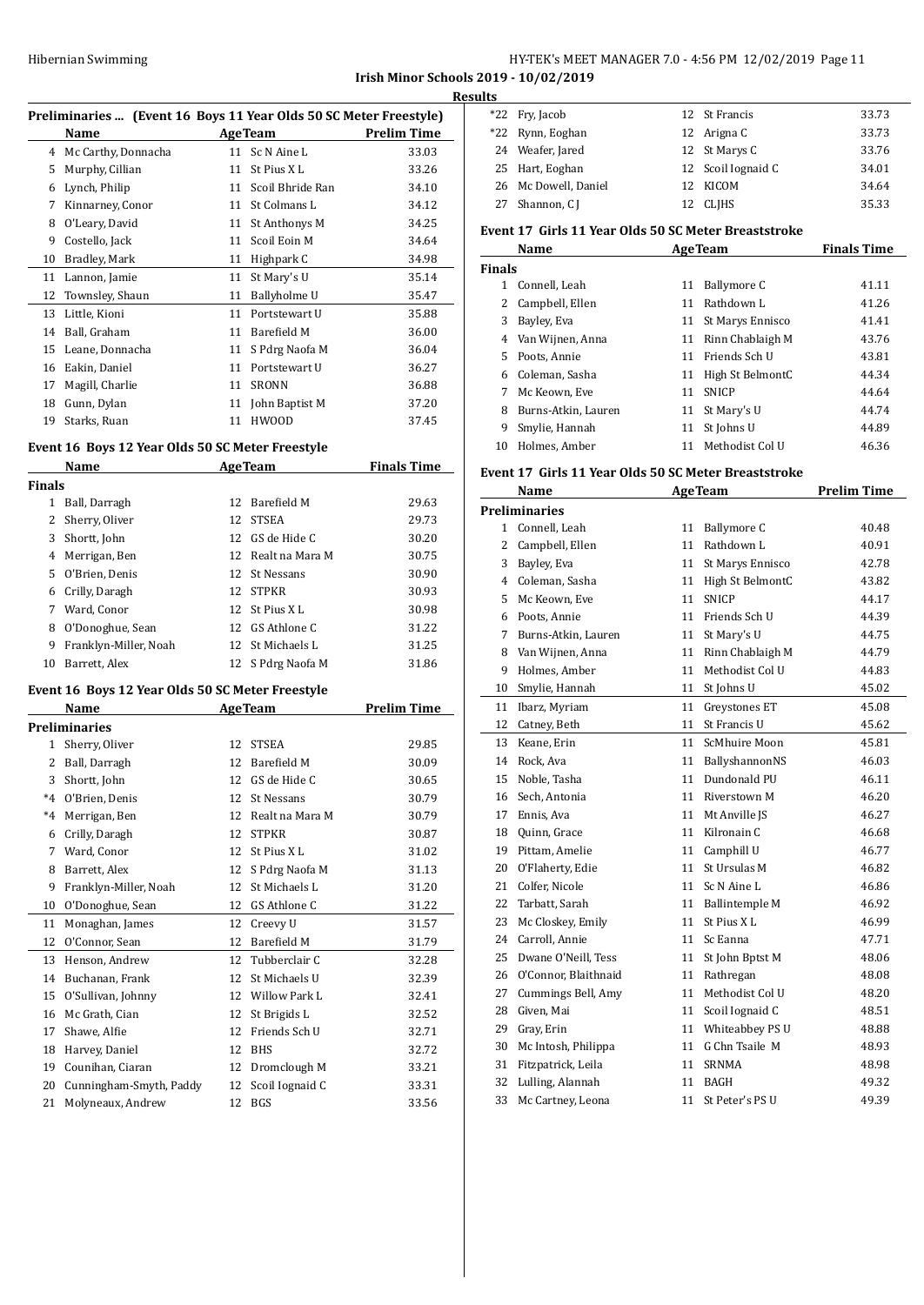**Irish Minor Schools 2019 - 10/02/2019**

| Preliminaries  (Event 16 Boys 11 Year Olds 50 SC Meter Freestyle) |                     |    |                  |                    |  |  |
|-------------------------------------------------------------------|---------------------|----|------------------|--------------------|--|--|
|                                                                   | Name                |    | <b>AgeTeam</b>   | <b>Prelim Time</b> |  |  |
| 4                                                                 | Mc Carthy, Donnacha | 11 | Sc N Aine L      | 33.03              |  |  |
| 5                                                                 | Murphy, Cillian     | 11 | St Pius XL       | 33.26              |  |  |
| 6                                                                 | Lynch, Philip       | 11 | Scoil Bhride Ran | 34.10              |  |  |
| 7                                                                 | Kinnarney, Conor    | 11 | St Colmans L     | 34.12              |  |  |
| 8                                                                 | O'Leary, David      | 11 | St Anthonys M    | 34.25              |  |  |
| 9                                                                 | Costello, Jack      | 11 | Scoil Eoin M     | 34.64              |  |  |
| 10                                                                | Bradley, Mark       | 11 | Highpark C       | 34.98              |  |  |
| 11                                                                | Lannon, Jamie       | 11 | St Mary's U      | 35.14              |  |  |
| 12                                                                | Townsley, Shaun     | 11 | Ballyholme U     | 35.47              |  |  |
| 13                                                                | Little, Kioni       | 11 | Portstewart U    | 35.88              |  |  |
| 14                                                                | Ball, Graham        | 11 | Barefield M      | 36.00              |  |  |
| 15                                                                | Leane, Donnacha     | 11 | S Pdrg Naofa M   | 36.04              |  |  |
| 16                                                                | Eakin, Daniel       | 11 | Portstewart U    | 36.27              |  |  |
| 17                                                                | Magill, Charlie     | 11 | SRONN            | 36.88              |  |  |
| 18                                                                | Gunn, Dylan         | 11 | John Baptist M   | 37.20              |  |  |
| 19                                                                | Starks, Ruan        | 11 | <b>HWOOD</b>     | 37.45              |  |  |
|                                                                   |                     |    |                  |                    |  |  |

#### **Event 16 Boys 12 Year Olds 50 SC Meter Freestyle**

| Name          |                       |    | <b>AgeTeam</b>     | <b>Finals Time</b> |  |  |
|---------------|-----------------------|----|--------------------|--------------------|--|--|
| <b>Finals</b> |                       |    |                    |                    |  |  |
| 1             | Ball, Darragh         | 12 | Barefield M        | 29.63              |  |  |
|               | 2 Sherry, Oliver      | 12 | <b>STSEA</b>       | 29.73              |  |  |
| 3             | Shortt, John          | 12 | GS de Hide C       | 30.20              |  |  |
| 4             | Merrigan, Ben         |    | 12 Realt na Mara M | 30.75              |  |  |
| 5.            | O'Brien, Denis        | 12 | St Nessans         | 30.90              |  |  |
| 6             | Crilly, Daragh        | 12 | <b>STPKR</b>       | 30.93              |  |  |
| 7             | Ward, Conor           |    | 12 St Pius X L     | 30.98              |  |  |
| 8             | O'Donoghue, Sean      | 12 | GS Athlone C       | 31.22              |  |  |
| 9             | Franklyn-Miller, Noah | 12 | St Michaels L      | 31.25              |  |  |
| 10            | Barrett, Alex         |    | 12 S Pdrg Naofa M  | 31.86              |  |  |

#### **Event 16 Boys 12 Year Olds 50 SC Meter Freestyle**

|              | Name<br><b>AgeTeam</b>  |    | <b>Prelim Time</b>   |       |
|--------------|-------------------------|----|----------------------|-------|
|              | <b>Preliminaries</b>    |    |                      |       |
| $\mathbf{1}$ | Sherry, Oliver          | 12 | <b>STSEA</b>         | 29.85 |
| 2            | Ball, Darragh           | 12 | <b>Barefield M</b>   | 30.09 |
| 3            | Shortt, John            | 12 | GS de Hide C         | 30.65 |
| $*4$         | O'Brien, Denis          | 12 | St Nessans           | 30.79 |
| $*4$         | Merrigan, Ben           | 12 | Realt na Mara M      | 30.79 |
| 6            | Crilly, Daragh          | 12 | <b>STPKR</b>         | 30.87 |
| 7            | Ward, Conor             | 12 | St Pius XL           | 31.02 |
| 8            | Barrett, Alex           | 12 | S Pdrg Naofa M       | 31.13 |
| 9            | Franklyn-Miller, Noah   | 12 | St Michaels L        | 31.20 |
| 10           | O'Donoghue, Sean        | 12 | GS Athlone C         | 31.22 |
| 11           | Monaghan, James         | 12 | Creevy U             | 31.57 |
| 12           | O'Connor, Sean          | 12 | <b>Barefield M</b>   | 31.79 |
| 13           | Henson, Andrew          | 12 | Tubberclair C        | 32.28 |
| 14           | Buchanan, Frank         | 12 | St Michaels U        | 32.39 |
| 15           | O'Sullivan, Johnny      | 12 | <b>Willow Park L</b> | 32.41 |
| 16           | Mc Grath, Cian          | 12 | St Brigids L         | 32.52 |
| 17           | Shawe, Alfie            | 12 | Friends Sch U        | 32.71 |
| 18           | Harvey, Daniel          | 12 | <b>BHS</b>           | 32.72 |
| 19           | Counihan, Ciaran        | 12 | Dromclough M         | 33.21 |
| 20           | Cunningham-Smyth, Paddy | 12 | Scoil Iognaid C      | 33.31 |
| 21           | Molyneaux, Andrew       | 12 | <b>BGS</b>           | 33.56 |

| <b>Results</b> |                      |    |                    |       |  |  |
|----------------|----------------------|----|--------------------|-------|--|--|
|                | *22 Fry, Jacob       |    | 12 St Francis      | 33.73 |  |  |
|                | *22 Rynn, Eoghan     |    | 12 Arigna C        | 33.73 |  |  |
|                | 24 Weafer, Jared     |    | 12 St Marys C      | 33.76 |  |  |
|                | 25 Hart, Eoghan      |    | 12 Scoil Iognaid C | 34.01 |  |  |
|                | 26 Mc Dowell, Daniel |    | 12 KICOM           | 34.64 |  |  |
| 27             | Shannon, C I         | 12 | CLIHS              | 35.33 |  |  |

#### **Event 17 Girls 11 Year Olds 50 SC Meter Breaststroke**

|               | Name                | <b>AgeTeam</b> | <b>Finals Time</b> |       |
|---------------|---------------------|----------------|--------------------|-------|
| <b>Finals</b> |                     |                |                    |       |
| 1             | Connell, Leah       | 11             | Ballymore C        | 41.11 |
| 2             | Campbell, Ellen     | 11             | Rathdown L         | 41.26 |
| 3             | Bayley, Eva         | 11             | St Marys Ennisco   | 41.41 |
| 4             | Van Wijnen, Anna    | 11             | Rinn Chablaigh M   | 43.76 |
| 5.            | Poots, Annie        | 11             | Friends Sch U      | 43.81 |
| 6.            | Coleman, Sasha      | 11             | High St BelmontC   | 44.34 |
|               | Mc Keown, Eve       | 11             | <b>SNICP</b>       | 44.64 |
| 8             | Burns-Atkin, Lauren | 11             | St Mary's U        | 44.74 |
| 9             | Smylie, Hannah      | 11             | St Johns U         | 44.89 |
| 10            | Holmes, Amber       | 11             | Methodist Col U    | 46.36 |

# **Event 17 Girls 11 Year Olds 50 SC Meter Breaststroke**

|    | Name                 |    | <b>AgeTeam</b>        | <b>Prelim Time</b> |
|----|----------------------|----|-----------------------|--------------------|
|    | <b>Preliminaries</b> |    |                       |                    |
|    | 1 Connell, Leah      | 11 | Ballymore C           | 40.48              |
| 2  | Campbell, Ellen      | 11 | Rathdown L            | 40.91              |
| 3  | Bayley, Eva          | 11 | St Marys Ennisco      | 42.78              |
|    | 4 Coleman, Sasha     | 11 | High St BelmontC      | 43.82              |
| 5  | Mc Keown, Eve        | 11 | <b>SNICP</b>          | 44.17              |
| 6  | Poots, Annie         | 11 | Friends Sch U         | 44.39              |
| 7  | Burns-Atkin, Lauren  | 11 | St Mary's U           | 44.75              |
| 8  | Van Wijnen, Anna     | 11 | Rinn Chablaigh M      | 44.79              |
| 9  | Holmes, Amber        | 11 | Methodist Col U       | 44.83              |
| 10 | Smylie, Hannah       | 11 | St Johns U            | 45.02              |
| 11 | Ibarz, Myriam        | 11 | Greystones ET         | 45.08              |
| 12 | Catney, Beth         | 11 | St Francis U          | 45.62              |
| 13 | Keane, Erin          | 11 | ScMhuire Moon         | 45.81              |
| 14 | Rock, Ava            | 11 | BallyshannonNS        | 46.03              |
| 15 | Noble, Tasha         | 11 | Dundonald PU          | 46.11              |
| 16 | Sech, Antonia        | 11 | Riverstown M          | 46.20              |
| 17 | Ennis, Ava           | 11 | Mt Anville JS         | 46.27              |
| 18 | Quinn, Grace         | 11 | Kilronain C           | 46.68              |
|    | 19 Pittam. Amelie    | 11 | Camphill U            | 46.77              |
| 20 | O'Flaherty, Edie     | 11 | St Ursulas M          | 46.82              |
| 21 | Colfer, Nicole       | 11 | Sc N Aine L           | 46.86              |
| 22 | Tarbatt, Sarah       | 11 | <b>Ballintemple M</b> | 46.92              |
| 23 | Mc Closkey, Emily    | 11 | St Pius XL            | 46.99              |
| 24 | Carroll, Annie       | 11 | Sc Eanna              | 47.71              |
| 25 | Dwane O'Neill, Tess  | 11 | St John Bptst M       | 48.06              |
| 26 | O'Connor, Blaithnaid | 11 | Rathregan             | 48.08              |
| 27 | Cummings Bell, Amy   | 11 | Methodist Col U       | 48.20              |
| 28 | Given, Mai           | 11 | Scoil Iognaid C       | 48.51              |
| 29 | Gray, Erin           | 11 | Whiteabbey PS U       | 48.88              |
| 30 | Mc Intosh, Philippa  | 11 | G Chn Tsaile M        | 48.93              |
| 31 | Fitzpatrick, Leila   | 11 | <b>SRNMA</b>          | 48.98              |
| 32 | Lulling, Alannah     | 11 | <b>BAGH</b>           | 49.32              |
| 33 | Mc Cartney, Leona    | 11 | St Peter's PS U       | 49.39              |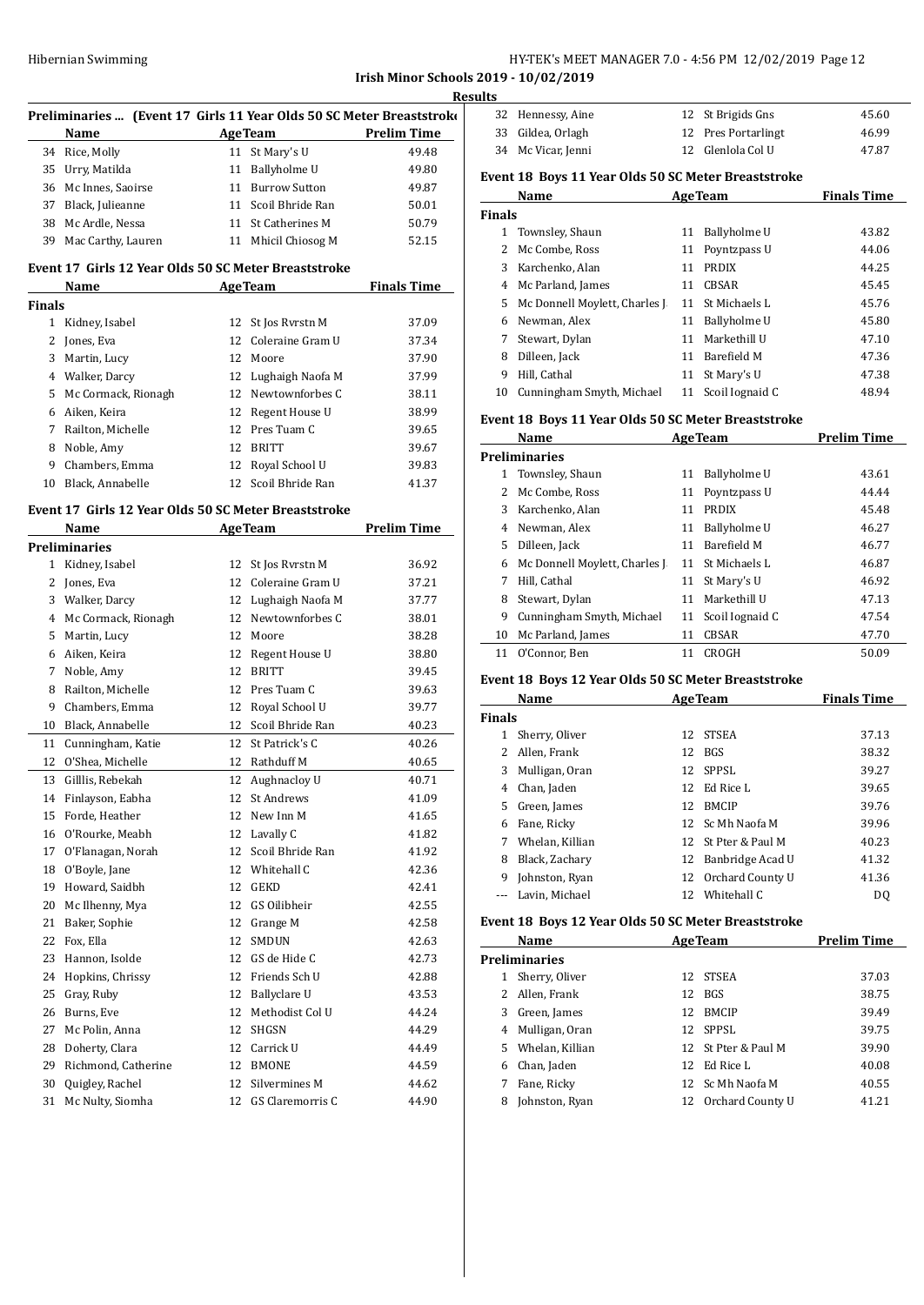**Irish Minor Schools 2019 - 10/02/2019**

|               | Preliminaries  (Event 17 Girls 11 Year Olds 50 SC Meter Breaststroke<br>Name<br><u> 1980 - Johann Barbara, martxa a</u> |          | AgeTeam Prelim Time               |                    |
|---------------|-------------------------------------------------------------------------------------------------------------------------|----------|-----------------------------------|--------------------|
|               | 34 Rice, Molly                                                                                                          |          | 11 St Mary's U                    | 49.48              |
|               | 35 Urry, Matilda                                                                                                        |          | 11 Ballyholme U                   | 49.80              |
|               | 36 Mc Innes, Saoirse                                                                                                    |          | 11 Burrow Sutton                  | 49.87              |
|               | 37 Black, Julieanne                                                                                                     |          | 11 Scoil Bhride Ran               | 50.01              |
|               | 38 Mc Ardle, Nessa                                                                                                      |          | 11 St Catherines M                | 50.79              |
|               | 39 Mac Carthy, Lauren                                                                                                   |          | 11 Mhicil Chiosog M               | 52.15              |
|               | Event 17 Girls 12 Year Olds 50 SC Meter Breaststroke<br>Name                                                            |          | <b>AgeTeam</b>                    | <b>Finals Time</b> |
| <b>Finals</b> |                                                                                                                         |          |                                   |                    |
|               | 1 Kidney, Isabel                                                                                                        | 12       | St Jos Ryrstn M                   | 37.09              |
|               | 2 Jones, Eva                                                                                                            | 12       | Coleraine Gram U                  | 37.34              |
|               | 3 Martin, Lucy                                                                                                          |          | 12 Moore                          | 37.90              |
|               | 4 Walker, Darcy                                                                                                         |          | 12 Lughaigh Naofa M               | 37.99              |
|               | 5 Mc Cormack, Rionagh                                                                                                   |          | 12 Newtownforbes C                | 38.11              |
|               | 6 Aiken, Keira                                                                                                          |          | 12 Regent House U                 | 38.99              |
|               | 7 Railton, Michelle                                                                                                     |          | 12 Pres Tuam C                    | 39.65              |
|               | 8 Noble, Amy                                                                                                            | 12       | <b>BRITT</b>                      | 39.67              |
|               | 9 Chambers, Emma                                                                                                        |          | 12 Royal School U                 | 39.83              |
|               | 10 Black. Annabelle                                                                                                     |          | 12 Scoil Bhride Ran               | 41.37              |
|               | Event 17 Girls 12 Year Olds 50 SC Meter Breaststroke                                                                    |          |                                   |                    |
|               | Name                                                                                                                    |          | <b>AgeTeam</b>                    | <b>Prelim Time</b> |
|               | <b>Preliminaries</b>                                                                                                    |          |                                   |                    |
|               | 1 Kidney, Isabel                                                                                                        | 12       | St Jos Ryrstn M                   | 36.92              |
|               | 2 Jones, Eva                                                                                                            |          | 12 Coleraine Gram U               | 37.21              |
|               | 3 Walker, Darcy                                                                                                         |          | 12 Lughaigh Naofa M               | 37.77              |
|               | 4 Mc Cormack, Rionagh                                                                                                   |          | 12 Newtownforbes C                | 38.01              |
|               | 5 Martin, Lucy                                                                                                          |          | 12 Moore                          | 38.28              |
|               | 6 Aiken, Keira                                                                                                          |          | 12 Regent House U                 | 38.80              |
|               | 7 Noble, Amy                                                                                                            |          | 12 BRITT                          | 39.45              |
|               | 8 Railton, Michelle                                                                                                     |          | 12 Pres Tuam C                    | 39.63              |
| 9             | Chambers, Emma                                                                                                          |          | 12 Royal School U                 | 39.77              |
|               | 10 Black, Annabelle                                                                                                     |          | 12 Scoil Bhride Ran               | 40.23              |
|               | 11 Cunningham, Katie                                                                                                    |          | 12 St Patrick's C                 | 40.26              |
|               | 12 O'Shea, Michelle                                                                                                     |          | 12 Rathduff M                     | 40.65              |
|               | 13 Gilllis, Rebekah                                                                                                     |          | 12 Aughnacloy U                   | 40.71              |
| 14            | Finlayson, Eabha                                                                                                        | 12       | St Andrews                        | 41.09              |
| 15            | Forde, Heather                                                                                                          | 12       | New Inn M                         | 41.65              |
| 16            | O'Rourke, Meabh                                                                                                         | 12       | Lavally C                         | 41.82              |
| 17            | O'Flanagan, Norah                                                                                                       | 12       | Scoil Bhride Ran                  | 41.92              |
| 18            | O'Boyle, Jane                                                                                                           |          | 12 Whitehall C                    | 42.36              |
| 19            | Howard, Saidbh                                                                                                          | 12       | GEKD                              | 42.41              |
| 20            | Mc Ilhenny, Mya                                                                                                         | 12       | GS Oilibheir                      | 42.55              |
| 21            | Baker, Sophie                                                                                                           | 12       | Grange M                          | 42.58              |
| 22            | Fox, Ella                                                                                                               | 12       | SMDUN                             | 42.63              |
| 23            | Hannon, Isolde                                                                                                          | 12       | GS de Hide C                      | 42.73              |
| 24            | Hopkins, Chrissy                                                                                                        | 12       | Friends Sch U                     | 42.88              |
| 25            | Gray, Ruby                                                                                                              | 12       | Ballyclare U                      | 43.53              |
| 26            | Burns, Eve                                                                                                              | 12       | Methodist Col U                   | 44.24              |
| 27            | Mc Polin, Anna                                                                                                          | 12       | SHGSN                             | 44.29              |
| 28            | Doherty, Clara                                                                                                          | 12       | Carrick U                         | 44.49              |
|               | Richmond, Catherine                                                                                                     |          |                                   |                    |
| 29            |                                                                                                                         | 12       | <b>BMONE</b>                      | 44.59              |
| 30            | Quigley, Rachel<br>Mc Nulty, Siomha                                                                                     | 12<br>12 | Silvermines M<br>GS Claremorris C | 44.62<br>44.90     |
| 31            |                                                                                                                         |          |                                   |                    |

| 32 Hennessy, Aine  | 12 St Brigids Gns   | 45.60 |
|--------------------|---------------------|-------|
| 33 Gildea, Orlagh  | 12 Pres Portarlingt | 46.99 |
| 34 Mc Vicar, Jenni | 12 Glenlola Col U   | 47.87 |

# **Event 18 Boys 11 Year Olds 50 SC Meter Breaststroke**

| Name |                               |    | <b>AgeTeam</b>  | <b>Finals Time</b> |  |  |  |  |
|------|-------------------------------|----|-----------------|--------------------|--|--|--|--|
|      | <b>Finals</b>                 |    |                 |                    |  |  |  |  |
|      | Townsley, Shaun               | 11 | Ballyholme U    | 43.82              |  |  |  |  |
| 2    | Mc Combe, Ross                | 11 | Poyntzpass U    | 44.06              |  |  |  |  |
| 3    | Karchenko. Alan               | 11 | <b>PRDIX</b>    | 44.25              |  |  |  |  |
| 4    | Mc Parland, James             | 11 | CBSAR           | 45.45              |  |  |  |  |
| 5.   | Mc Donnell Moylett, Charles J | 11 | St Michaels L   | 45.76              |  |  |  |  |
| 6    | Newman, Alex                  | 11 | Ballyholme U    | 45.80              |  |  |  |  |
| 7    | Stewart, Dylan                | 11 | Markethill U    | 47.10              |  |  |  |  |
| 8    | Dilleen, Jack                 | 11 | Barefield M     | 47.36              |  |  |  |  |
| 9    | Hill, Cathal                  | 11 | St Mary's U     | 47.38              |  |  |  |  |
| 10   | Cunningham Smyth, Michael     | 11 | Scoil Iognaid C | 48.94              |  |  |  |  |

#### **Event 18 Boys 11 Year Olds 50 SC Meter Breaststroke**

|    | Name                          |    | <b>AgeTeam</b>  | <b>Prelim Time</b> |
|----|-------------------------------|----|-----------------|--------------------|
|    | <b>Preliminaries</b>          |    |                 |                    |
| 1  | Townsley, Shaun               | 11 | Ballyholme U    | 43.61              |
|    | Mc Combe, Ross                | 11 | Poyntzpass U    | 44.44              |
| 3  | Karchenko, Alan               | 11 | <b>PRDIX</b>    | 45.48              |
| 4  | Newman, Alex                  | 11 | Ballyholme U    | 46.27              |
| 5. | Dilleen, Jack                 | 11 | Barefield M     | 46.77              |
| 6  | Mc Donnell Moylett, Charles J | 11 | St Michaels L   | 46.87              |
| 7  | Hill. Cathal                  | 11 | St Mary's U     | 46.92              |
| 8  | Stewart, Dylan                | 11 | Markethill U    | 47.13              |
| 9  | Cunningham Smyth, Michael     | 11 | Scoil Iognaid C | 47.54              |
| 10 | Mc Parland, James             | 11 | <b>CBSAR</b>    | 47.70              |
| 11 | O'Connor. Ben                 | 11 | <b>CROGH</b>    | 50.09              |

# **Event 18 Boys 12 Year Olds 50 SC Meter Breaststroke**

| Name<br><b>AgeTeam</b> |                 |     | <b>Finals Time</b>  |                |
|------------------------|-----------------|-----|---------------------|----------------|
| <b>Finals</b>          |                 |     |                     |                |
|                        | Sherry, Oliver  |     | 12 STSEA            | 37.13          |
|                        | Allen, Frank    |     | 12 BGS              | 38.32          |
| 3                      | Mulligan, Oran  |     | 12 SPPSL            | 39.27          |
| 4                      | Chan, Jaden     | 12. | - Ed Rice L         | 39.65          |
| 5.                     | Green, James    | 12. | <b>BMCIP</b>        | 39.76          |
| 6                      | Fane, Ricky     |     | 12 Sc Mh Naofa M    | 39.96          |
| 7                      | Whelan, Killian |     | 12 St Pter & Paul M | 40.23          |
| 8                      | Black, Zachary  |     | 12 Banbridge Acad U | 41.32          |
| 9                      | Johnston, Ryan  | 12  | Orchard County U    | 41.36          |
|                        | Lavin. Michael  | 12  | Whitehall C         | D <sub>0</sub> |

#### **Event 18 Boys 12 Year Olds 50 SC Meter Breaststroke**

|                      | Name              |     | <b>AgeTeam</b>      |       |  |  |
|----------------------|-------------------|-----|---------------------|-------|--|--|
| <b>Preliminaries</b> |                   |     |                     |       |  |  |
| 1                    | Sherry Oliver     | 12  | <b>STSEA</b>        | 37.03 |  |  |
|                      | 2 Allen, Frank    | 12  | BGS                 | 38.75 |  |  |
| 3                    | Green, James      | 12  | <b>BMCIP</b>        | 39.49 |  |  |
| 4                    | Mulligan, Oran    |     | 12 SPPSL            | 39.75 |  |  |
|                      | 5 Whelan, Killian |     | 12 St Pter & Paul M | 39.90 |  |  |
| 6                    | Chan, Jaden       | 12. | Ed Rice L           | 40.08 |  |  |
|                      | Fane, Ricky       |     | 12 Sc Mh Naofa M    | 40.55 |  |  |
| 8                    | Johnston, Ryan    | 12  | Orchard County U    | 41.21 |  |  |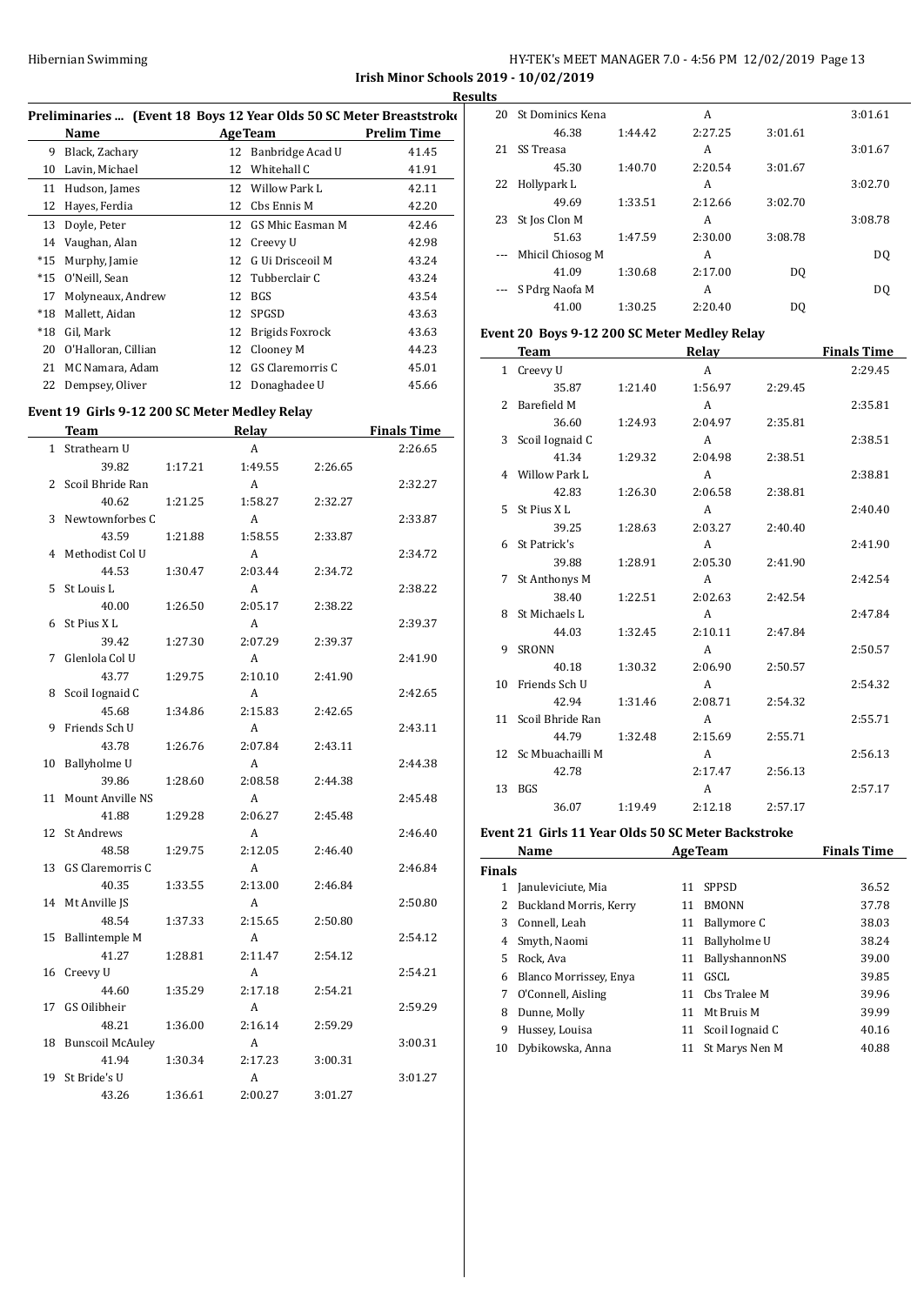|                                              | HY-TEK's MEET MANAGER 7.0 - 4:56 PM 12/02/2019 Page 13 |  |  |
|----------------------------------------------|--------------------------------------------------------|--|--|
| <b>Irish Minor Schools 2019 - 10/02/2019</b> |                                                        |  |  |

**Results**

|       |                                                                     |    |                        | м           |  |  |  |
|-------|---------------------------------------------------------------------|----|------------------------|-------------|--|--|--|
|       | Preliminaries  (Event 18 Boys 12 Year Olds 50 SC Meter Breaststroke |    |                        |             |  |  |  |
|       | Name                                                                |    | <b>AgeTeam</b>         | Prelim Time |  |  |  |
| 9     | Black, Zachary                                                      | 12 | Banbridge Acad U       | 41.45       |  |  |  |
| 10    | Lavin, Michael                                                      | 12 | Whitehall C            | 41.91       |  |  |  |
| 11    | Hudson, James                                                       | 12 | Willow Park L          | 42.11       |  |  |  |
| 12    | Hayes, Ferdia                                                       | 12 | Cbs Ennis M            | 42.20       |  |  |  |
| 13    | Doyle, Peter                                                        |    | 12 GS Mhic Easman M    | 42.46       |  |  |  |
| 14    | Vaughan, Alan                                                       | 12 | Creevy U               | 42.98       |  |  |  |
| $*15$ | Murphy, Jamie                                                       | 12 | G Ui Drisceoil M       | 43.24       |  |  |  |
| $*15$ | O'Neill, Sean                                                       | 12 | Tubberclair C          | 43.24       |  |  |  |
| 17    | Molyneaux, Andrew                                                   | 12 | BGS                    | 43.54       |  |  |  |
| $*18$ | Mallett, Aidan                                                      | 12 | SPGSD                  | 43.63       |  |  |  |
| $*18$ | Gil, Mark                                                           | 12 | <b>Brigids Foxrock</b> | 43.63       |  |  |  |
| 20    | O'Halloran, Cillian                                                 | 12 | Clooney M              | 44.23       |  |  |  |
| 21    | MC Namara, Adam                                                     | 12 | GS Claremorris C       | 45.01       |  |  |  |
| 22    | Dempsey, Oliver                                                     | 12 | Donaghadee U           | 45.66       |  |  |  |
|       |                                                                     |    |                        |             |  |  |  |

# **Event 19 Girls 9-12 200 SC Meter Medley Relay**

|              | <b>Team</b>             |         | <b>Relay</b> |         | <b>Finals Time</b> |
|--------------|-------------------------|---------|--------------|---------|--------------------|
| $\mathbf{1}$ | Strathearn U            |         | A            |         | 2:26.65            |
|              | 39.82                   | 1:17.21 | 1:49.55      | 2:26.65 |                    |
| 2            | Scoil Bhride Ran        |         | A            |         | 2:32.27            |
|              | 40.62                   | 1:21.25 | 1:58.27      | 2:32.27 |                    |
| 3            | Newtownforbes C         |         | A            |         | 2:33.87            |
|              | 43.59                   | 1:21.88 | 1:58.55      | 2:33.87 |                    |
| 4            | Methodist Col U         |         | A            |         | 2:34.72            |
|              | 44.53                   | 1:30.47 | 2:03.44      | 2:34.72 |                    |
| 5            | St Louis L              |         | A            |         | 2:38.22            |
|              | 40.00                   | 1:26.50 | 2:05.17      | 2:38.22 |                    |
| 6            | St Pius XL              |         | A            |         | 2:39.37            |
|              | 39.42                   | 1:27.30 | 2:07.29      | 2:39.37 |                    |
| 7            | Glenlola Col U          |         | A            |         | 2:41.90            |
|              | 43.77                   | 1:29.75 | 2:10.10      | 2:41.90 |                    |
| 8            | Scoil Iognaid C         |         | A            |         | 2:42.65            |
|              | 45.68                   | 1:34.86 | 2:15.83      | 2:42.65 |                    |
| 9            | Friends Sch U           |         | A            |         | 2:43.11            |
|              | 43.78                   | 1:26.76 | 2:07.84      | 2:43.11 |                    |
| 10           | Ballyholme U            |         | A            |         | 2:44.38            |
|              | 39.86                   | 1:28.60 | 2:08.58      | 2:44.38 |                    |
| 11           | Mount Anville NS        |         | A            |         | 2:45.48            |
|              | 41.88                   | 1:29.28 | 2:06.27      | 2:45.48 |                    |
| 12           | <b>St Andrews</b>       |         | A            |         | 2:46.40            |
|              | 48.58                   | 1:29.75 | 2:12.05      | 2:46.40 |                    |
| 13           | GS Claremorris C        |         | A            |         | 2:46.84            |
|              | 40.35                   | 1:33.55 | 2:13.00      | 2:46.84 |                    |
| 14           | Mt Anville JS           |         | A            |         | 2:50.80            |
|              | 48.54                   | 1:37.33 | 2:15.65      | 2:50.80 |                    |
| 15           | <b>Ballintemple M</b>   |         | A            |         | 2:54.12            |
|              | 41.27                   | 1:28.81 | 2:11.47      | 2:54.12 |                    |
| 16           | Creevy U                |         | A            |         | 2:54.21            |
|              | 44.60                   | 1:35.29 | 2:17.18      | 2:54.21 |                    |
| 17           | GS Oilibheir            |         | A            |         | 2:59.29            |
|              | 48.21                   | 1:36.00 | 2:16.14      | 2:59.29 |                    |
| 18           | <b>Bunscoil McAuley</b> |         | A            |         | 3:00.31            |
|              | 41.94                   | 1:30.34 | 2:17.23      | 3:00.31 |                    |
| 19           | St Bride's U            |         | A            |         | 3:01.27            |
|              | 43.26                   | 1:36.61 | 2:00.27      | 3:01.27 |                    |

| 20 | St Dominics Kena |         | A       |         | 3:01.61        |
|----|------------------|---------|---------|---------|----------------|
|    | 46.38            | 1:44.42 | 2:27.25 | 3:01.61 |                |
| 21 | SS Treasa        |         | A       |         | 3:01.67        |
|    | 45.30            | 1:40.70 | 2:20.54 | 3:01.67 |                |
| 22 | Hollypark L      |         | A       |         | 3:02.70        |
|    | 49.69            | 1:33.51 | 2:12.66 | 3:02.70 |                |
| 23 | St Jos Clon M    |         | A       |         | 3:08.78        |
|    | 51.63            | 1:47.59 | 2:30.00 | 3:08.78 |                |
|    | Mhicil Chiosog M |         | A       |         | D <sub>0</sub> |
|    | 41.09            | 1:30.68 | 2:17.00 | DO.     |                |
|    | S Pdrg Naofa M   |         | A       |         | DO.            |
|    | 41.00            | 1:30.25 | 2:20.40 | DO      |                |

# **Event 20 Boys 9-12 200 SC Meter Medley Relay**

|                | Team               |         | Relay   |         | <b>Finals Time</b> |
|----------------|--------------------|---------|---------|---------|--------------------|
|                | 1 Creevy U         |         | A       |         | 2:29.45            |
|                | 35.87              | 1:21.40 | 1:56.97 | 2:29.45 |                    |
| $\overline{2}$ | <b>Barefield M</b> |         | A       |         | 2:35.81            |
|                | 36.60              | 1:24.93 | 2:04.97 | 2:35.81 |                    |
|                | 3 Scoil Iognaid C  |         | A       |         | 2:38.51            |
|                | 41.34              | 1:29.32 | 2:04.98 | 2:38.51 |                    |
|                | 4 Willow Park L    |         | A       |         | 2:38.81            |
|                | 42.83              | 1:26.30 | 2:06.58 | 2:38.81 |                    |
|                | 5 St Pius X L      |         | A       |         | 2:40.40            |
|                | 39.25              | 1:28.63 | 2:03.27 | 2:40.40 |                    |
| 6.             | St Patrick's       |         | A       |         | 2:41.90            |
|                | 39.88              | 1:28.91 | 2:05.30 | 2:41.90 |                    |
| 7              | St Anthonys M      |         | A       |         | 2:42.54            |
|                | 38.40              | 1:22.51 | 2:02.63 | 2:42.54 |                    |
|                | 8 St Michaels L    |         | A       |         | 2:47.84            |
|                | 44.03              | 1:32.45 | 2:10.11 | 2:47.84 |                    |
| 9              | <b>SRONN</b>       |         | A       |         | 2:50.57            |
|                | 40.18              | 1:30.32 | 2:06.90 | 2:50.57 |                    |
|                | 10 Friends Sch U   |         | A       |         | 2:54.32            |
|                | 42.94              | 1:31.46 | 2:08.71 | 2:54.32 |                    |
| 11             | Scoil Bhride Ran   |         | A       |         | 2:55.71            |
|                | 44.79              | 1:32.48 | 2:15.69 | 2:55.71 |                    |
| 12             | Sc Mbuachailli M   |         | A       |         | 2:56.13            |
|                | 42.78              |         | 2:17.47 | 2:56.13 |                    |
| 13             | BGS                |         | A       |         | 2:57.17            |
|                | 36.07              | 1:19.49 | 2:12.18 | 2:57.17 |                    |

#### **Event 21 Girls 11 Year Olds 50 SC Meter Backstroke**

|               | Name                   |    | <b>AgeTeam</b>  | <b>Finals Time</b> |
|---------------|------------------------|----|-----------------|--------------------|
| <b>Finals</b> |                        |    |                 |                    |
|               | Januleviciute, Mia     | 11 | <b>SPPSD</b>    | 36.52              |
| 2             | Buckland Morris, Kerry | 11 | <b>BMONN</b>    | 37.78              |
| 3             | Connell, Leah          | 11 | Ballymore C     | 38.03              |
| 4             | Smyth, Naomi           | 11 | Ballyholme U    | 38.24              |
| 5.            | Rock, Ava              | 11 | BallyshannonNS  | 39.00              |
| 6             | Blanco Morrissey, Enya | 11 | GSCL            | 39.85              |
| 7             | O'Connell, Aisling     | 11 | Chs Tralee M    | 39.96              |
| 8             | Dunne, Molly           | 11 | Mt Bruis M      | 39.99              |
| 9             | Hussey, Louisa         | 11 | Scoil Iognaid C | 40.16              |
| 10            | Dybikowska, Anna       | 11 | St Marys Nen M  | 40.88              |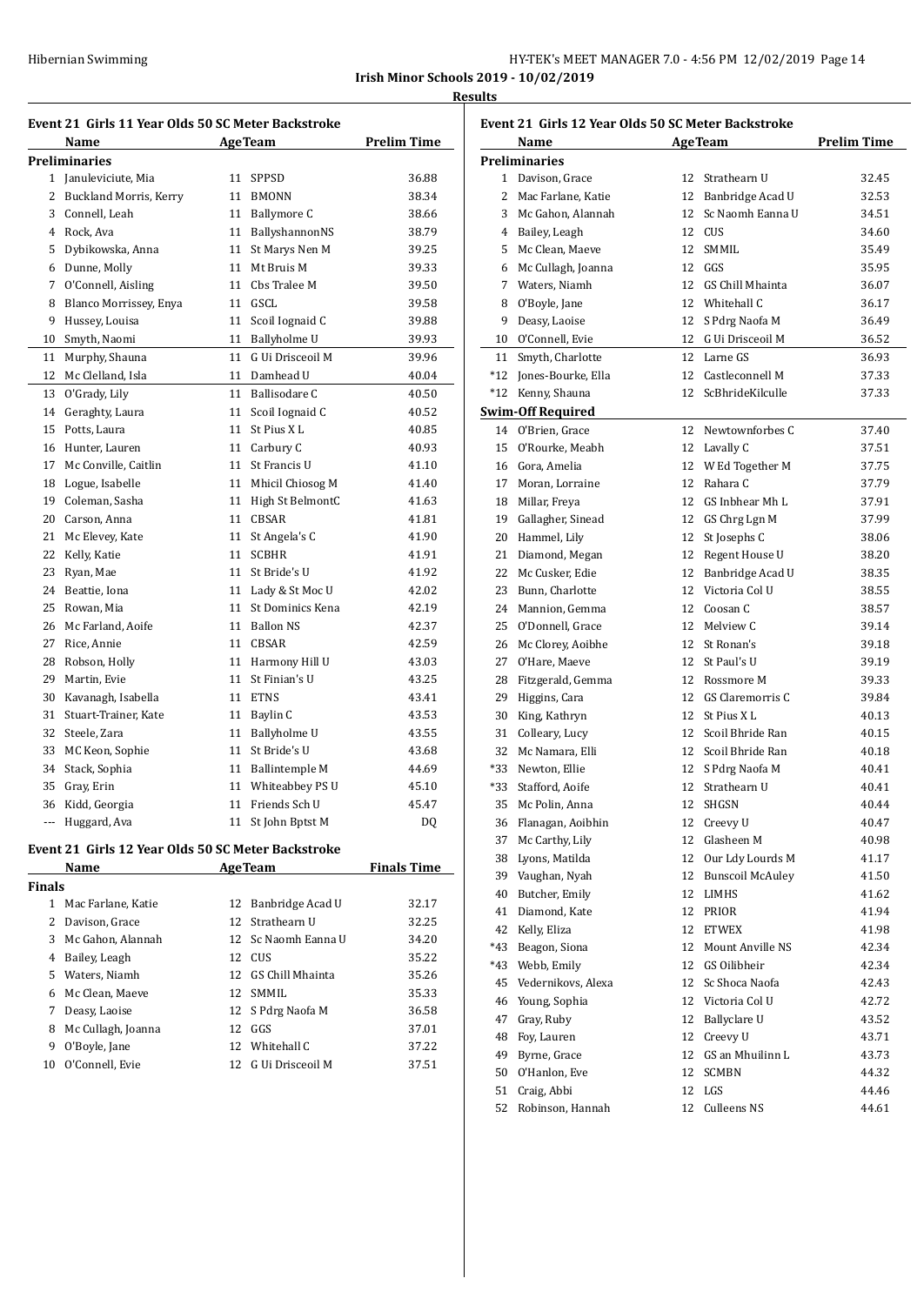|                                              | HY-TEK's MEET MANAGER 7.0 - 4:56 PM 12/02/2019 Page 14 |  |  |
|----------------------------------------------|--------------------------------------------------------|--|--|
| <b>Irish Minor Schools 2019 - 10/02/2019</b> |                                                        |  |  |

**Results**

| Event 21  Girls 11 Year Olds 50 SC Meter Backstroke |                                                    |    |                               |                    |
|-----------------------------------------------------|----------------------------------------------------|----|-------------------------------|--------------------|
|                                                     | Name                                               |    | <b>AgeTeam</b>                | <b>Prelim Time</b> |
|                                                     | Preliminaries                                      |    |                               |                    |
|                                                     | 1 Januleviciute, Mia                               |    | 11 SPPSD                      | 36.88              |
| 2                                                   | <b>Buckland Morris, Kerry</b>                      |    | 11 BMONN                      | 38.34              |
| 3                                                   | Connell, Leah                                      |    | 11 Ballymore C                | 38.66              |
| 4                                                   | Rock, Ava                                          |    | 11 BallyshannonNS             | 38.79              |
| 5                                                   | Dybikowska, Anna                                   |    | 11 St Marys Nen M             | 39.25              |
| 6                                                   | Dunne, Molly                                       |    | 11 Mt Bruis M                 | 39.33              |
| 7                                                   | O'Connell, Aisling                                 |    | 11 Cbs Tralee M               | 39.50              |
| 8                                                   | Blanco Morrissey, Enya                             |    | 11 GSCL                       | 39.58              |
| 9                                                   | Hussey, Louisa                                     |    | 11 Scoil Iognaid C            | 39.88              |
| 10                                                  | Smyth, Naomi                                       |    | 11 Ballyholme U               | 39.93              |
| 11                                                  | Murphy, Shauna                                     |    | 11 G Ui Drisceoil M           | 39.96              |
| 12                                                  | Mc Clelland, Isla                                  |    | 11 Damhead U                  | 40.04              |
| 13                                                  | O'Grady, Lily                                      |    | 11 Ballisodare C              | 40.50              |
| 14                                                  | Geraghty, Laura                                    |    | 11 Scoil Iognaid C            | 40.52              |
| 15                                                  | Potts, Laura                                       |    | 11 St Pius X L                | 40.85              |
| 16                                                  | Hunter, Lauren                                     |    | 11 Carbury C                  | 40.93              |
| 17                                                  | Mc Conville, Caitlin                               |    | 11 St Francis U               | 41.10              |
| 18                                                  | Logue, Isabelle                                    |    | 11 Mhicil Chiosog M           | 41.40              |
| 19                                                  | Coleman, Sasha                                     |    | 11 High St BelmontC           | 41.63              |
| 20                                                  | Carson, Anna                                       |    | 11 CBSAR                      | 41.81              |
| 21                                                  | Mc Elevey, Kate                                    |    | 11 St Angela's C              | 41.90              |
| 22                                                  | Kelly, Katie                                       |    | 11 SCBHR                      | 41.91              |
| 23                                                  | Ryan, Mae                                          |    | 11 St Bride's U               | 41.92              |
| 24                                                  | Beattie, Iona                                      |    | 11 Lady & St Moc U            | 42.02              |
| 25                                                  | Rowan, Mia                                         |    | 11 St Dominics Kena           | 42.19              |
| 26                                                  | Mc Farland, Aoife                                  |    | 11 Ballon NS                  | 42.37              |
| 27                                                  | Rice, Annie                                        |    | 11 CBSAR                      | 42.59              |
| 28                                                  | Robson, Holly                                      |    | 11 Harmony Hill U             | 43.03              |
| 29                                                  | Martin, Evie                                       | 11 | St Finian's U                 | 43.25              |
| 30                                                  | Kavanagh, Isabella                                 |    | 11 ETNS                       | 43.41              |
| 31                                                  | Stuart-Trainer, Kate                               |    | 11 Baylin C                   | 43.53              |
| 32                                                  | Steele, Zara                                       |    | 11 Ballyholme U               | 43.55              |
| 33                                                  | MC Keon, Sophie                                    |    | 11 St Bride's U               | 43.68              |
| 34                                                  | Stack, Sophia                                      |    | 11 Ballintemple M             | 44.69              |
| 35                                                  | Gray, Erin                                         |    | 11 Whiteabbey PS U            | 45.10              |
|                                                     | 36 Kidd, Georgia                                   |    | 11 Friends Sch U              | 45.47              |
|                                                     | --- Huggard, Ava                                   |    | 11 St John Bptst M            | DQ                 |
|                                                     | Event 21 Girls 12 Year Olds 50 SC Meter Backstroke |    |                               |                    |
|                                                     |                                                    |    | <b>AgeTeam</b>                |                    |
|                                                     | Name                                               |    |                               | <b>Finals Time</b> |
| Finals<br>1                                         | Mac Farlane, Katie                                 | 12 | Banbridge Acad U              | 32.17              |
|                                                     | 2 Davison, Grace                                   | 12 | Strathearn U                  | 32.25              |
| 3                                                   | Mc Gahon, Alannah                                  |    |                               |                    |
| 4                                                   |                                                    | 12 | Sc Naomh Eanna U              | 34.20              |
| 5                                                   | Bailey, Leagh<br>Waters, Niamh                     |    | 12 CUS<br>12 GS Chill Mhainta | 35.22              |
|                                                     |                                                    |    | 12 SMMIL                      | 35.26<br>35.33     |
| 6                                                   | Mc Clean, Maeve                                    |    |                               |                    |
| 7                                                   | Deasy, Laoise                                      |    | 12 S Pdrg Naofa M             | 36.58              |
| 8                                                   | Mc Cullagh, Joanna                                 |    | 12 GGS<br>12 Whitehall C      | 37.01              |
| 9                                                   | O'Boyle, Jane                                      |    |                               | 37.22              |
| 10                                                  | O'Connell, Evie                                    |    | 12 G Ui Drisceoil M           | 37.51              |

| Event 21 Girls 12 Year Olds 50 SC Meter Backstroke |                          |    |                         |                    |
|----------------------------------------------------|--------------------------|----|-------------------------|--------------------|
|                                                    | Name                     |    | <b>AgeTeam</b>          | <b>Prelim Time</b> |
|                                                    | <b>Preliminaries</b>     |    |                         |                    |
|                                                    | 1 Davison, Grace         | 12 | Strathearn U            | 32.45              |
| 2                                                  | Mac Farlane, Katie       |    | 12 Banbridge Acad U     | 32.53              |
| 3                                                  | Mc Gahon, Alannah        | 12 | Sc Naomh Eanna U        | 34.51              |
| 4                                                  | Bailey, Leagh            | 12 | CUS                     | 34.60              |
| 5                                                  | Mc Clean, Maeve          | 12 | SMMIL                   | 35.49              |
| 6                                                  | Mc Cullagh, Joanna       | 12 | GGS                     | 35.95              |
| 7                                                  | Waters, Niamh            | 12 | GS Chill Mhainta        | 36.07              |
| 8                                                  | O'Boyle, Jane            |    | 12 Whitehall C          | 36.17              |
| 9                                                  | Deasy, Laoise            | 12 | S Pdrg Naofa M          | 36.49              |
|                                                    | 10 O'Connell, Evie       | 12 | G Ui Drisceoil M        | 36.52              |
| 11                                                 | Smyth, Charlotte         |    | 12 Larne GS             | 36.93              |
| *12                                                | Jones-Bourke, Ella       |    | 12 Castleconnell M      | 37.33              |
| $*12$                                              | Kenny, Shauna            | 12 | ScBhrideKilculle        | 37.33              |
|                                                    | <b>Swim-Off Required</b> |    |                         |                    |
|                                                    | 14 O'Brien, Grace        |    | 12 Newtownforbes C      | 37.40              |
|                                                    | 15 O'Rourke, Meabh       |    | 12 Lavally C            | 37.51              |
|                                                    | 16 Gora, Amelia          |    | 12 W Ed Together M      | 37.75              |
| 17                                                 | Moran, Lorraine          | 12 | Rahara C                | 37.79              |
| 18                                                 | Millar, Freya            | 12 | GS Inbhear Mh L         | 37.91              |
| 19                                                 | Gallagher, Sinead        | 12 | GS Chrg Lgn M           | 37.99              |
|                                                    | 20 Hammel, Lily          | 12 | St Josephs C            | 38.06              |
| 21                                                 | Diamond, Megan           | 12 | Regent House U          | 38.20              |
| 22                                                 | Mc Cusker, Edie          | 12 | Banbridge Acad U        | 38.35              |
| 23                                                 | Bunn, Charlotte          |    | 12 Victoria Col U       | 38.55              |
| 24                                                 | Mannion, Gemma           | 12 | Coosan C                | 38.57              |
| 25                                                 | O'Donnell, Grace         | 12 | Melview C               | 39.14              |
| 26                                                 | Mc Clorey, Aoibhe        | 12 | St Ronan's              | 39.18              |
| 27                                                 | O'Hare, Maeve            | 12 | St Paul's U             | 39.19              |
| 28                                                 | Fitzgerald, Gemma        |    | 12 Rossmore M           | 39.33              |
| 29                                                 | Higgins, Cara            | 12 | GS Claremorris C        | 39.84              |
| 30                                                 | King, Kathryn            | 12 | St Pius X L             | 40.13              |
| 31                                                 | Colleary, Lucy           | 12 | Scoil Bhride Ran        | 40.15              |
| 32                                                 | Mc Namara, Elli          | 12 | Scoil Bhride Ran        | 40.18              |
| *33                                                | Newton, Ellie            | 12 | S Pdrg Naofa M          | 40.41              |
| *33                                                | Stafford, Aoife          | 12 | Strathearn U            | 40.41              |
| 35                                                 | Mc Polin, Anna           | 12 | <b>SHGSN</b>            | 40.44              |
| 36                                                 | Flanagan, Aoibhin        |    | 12 Creevy U             | 40.47              |
| 37                                                 | Mc Carthy, Lily          | 12 | Glasheen M              | 40.98              |
| 38                                                 | Lyons, Matilda           | 12 | Our Ldy Lourds M        | 41.17              |
| 39                                                 | Vaughan, Nyah            | 12 | <b>Bunscoil McAuley</b> | 41.50              |
| 40                                                 | Butcher, Emily           | 12 | LIMHS                   | 41.62              |
| 41                                                 | Diamond, Kate            | 12 | PRIOR                   | 41.94              |
| 42                                                 | Kelly, Eliza             | 12 | ETWEX                   | 41.98              |
| $*43$                                              | Beagon, Siona            | 12 | Mount Anville NS        | 42.34              |
| $*43$                                              | Webb, Emily              | 12 | GS Oilibheir            | 42.34              |
| 45                                                 | Vedernikovs, Alexa       | 12 | Sc Shoca Naofa          | 42.43              |
| 46                                                 | Young, Sophia            | 12 | Victoria Col U          | 42.72              |
| 47                                                 | Gray, Ruby               | 12 | Ballyclare U            | 43.52              |
| 48                                                 | Foy, Lauren              | 12 | Creevy U                | 43.71              |
| 49                                                 | Byrne, Grace             | 12 | GS an Mhuilinn L        | 43.73              |
| 50                                                 | O'Hanlon, Eve            | 12 | <b>SCMBN</b>            | 44.32              |
| 51                                                 | Craig, Abbi              | 12 | LGS                     | 44.46              |
| 52                                                 | Robinson, Hannah         | 12 | Culleens NS             | 44.61              |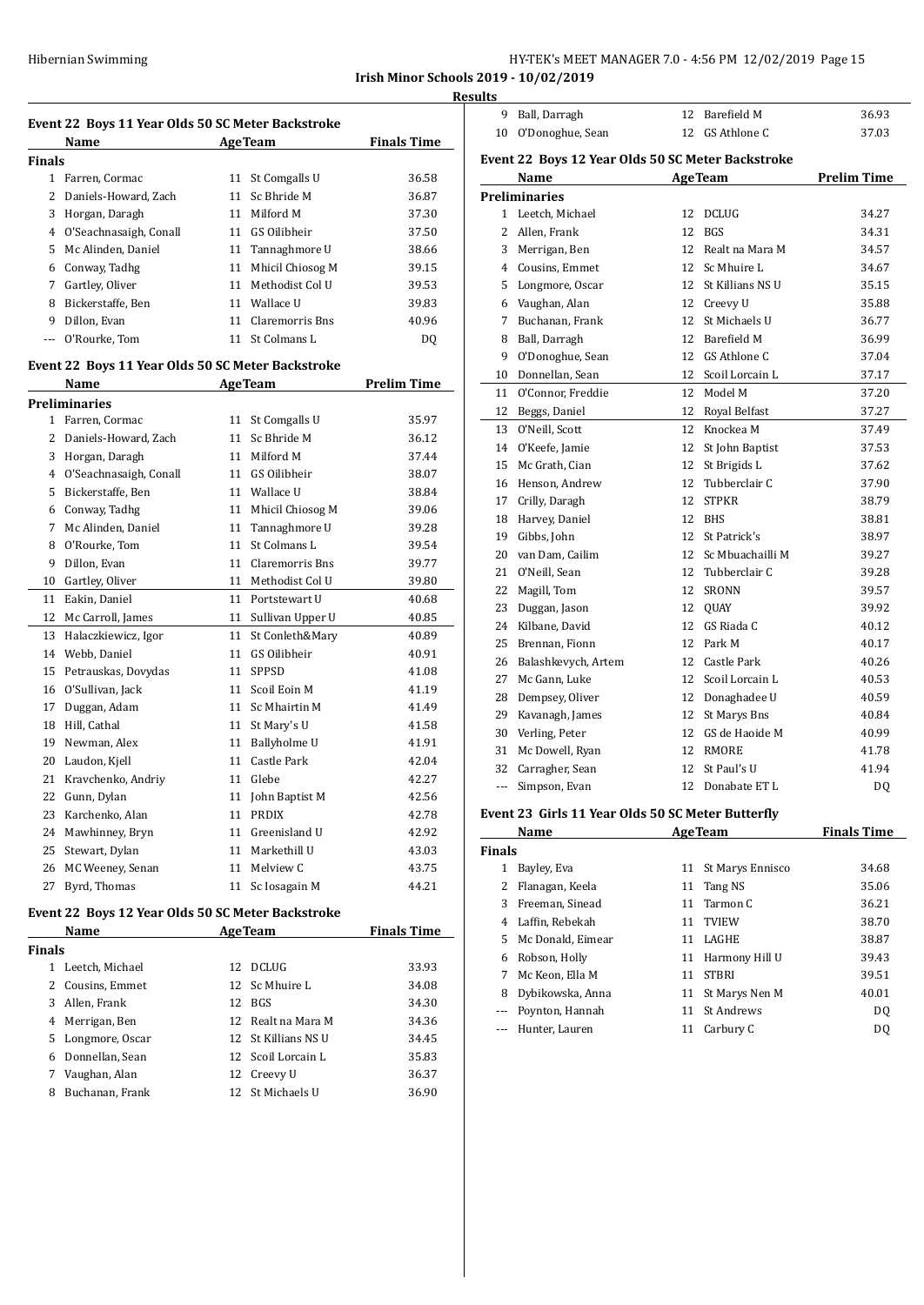**Irish Minor Schools 2019 - 10/02/2019**

**Results**

| <b>Event 22 Boys 11 Year Olds 50 SC Meter Backstroke</b> |                                                   |    |                     |                    |  |
|----------------------------------------------------------|---------------------------------------------------|----|---------------------|--------------------|--|
|                                                          | Name                                              |    | <b>AgeTeam</b>      | <b>Finals Time</b> |  |
| <b>Finals</b>                                            |                                                   |    |                     |                    |  |
|                                                          | 1 Farren, Cormac                                  | 11 | St Comgalls U       | 36.58              |  |
|                                                          | 2 Daniels-Howard, Zach                            | 11 | Sc Bhride M         | 36.87              |  |
| 3                                                        | Horgan, Daragh                                    | 11 | Milford M           | 37.30              |  |
| $\overline{4}$                                           | O'Seachnasaigh, Conall                            |    | 11 GS Oilibheir     | 37.50              |  |
| 5.                                                       | Mc Alinden, Daniel                                |    | 11 Tannaghmore U    | 38.66              |  |
| 6                                                        | Conway, Tadhg                                     |    | 11 Mhicil Chiosog M | 39.15              |  |
| 7                                                        | Gartley, Oliver                                   |    | 11 Methodist Col U  | 39.53              |  |
|                                                          | 8 Bickerstaffe, Ben                               |    | 11 Wallace U        | 39.83              |  |
|                                                          | 9 Dillon, Evan                                    |    | 11 Claremorris Bns  | 40.96              |  |
|                                                          | --- O'Rourke, Tom                                 |    | 11 St Colmans L     | DQ                 |  |
|                                                          | Event 22 Boys 11 Year Olds 50 SC Meter Backstroke |    |                     |                    |  |
| <b>Prelim Time</b><br>Name<br>AgeTeam                    |                                                   |    |                     |                    |  |
|                                                          | Preliminaries                                     |    |                     |                    |  |
| $\mathbf{1}$                                             | Farren, Cormac                                    |    | 11 St Comgalls U    | 35.97              |  |
| $\overline{2}$                                           | Daniels-Howard, Zach                              |    | 11 Sc Bhride M      | 36.12              |  |
| 3                                                        | Horgan, Daragh                                    | 11 | Milford M           | 37.44              |  |
|                                                          | 4 O'Seachnasaigh, Conall                          |    | 11 GS Oilibheir     | 38.07              |  |
| 5                                                        | Bickerstaffe, Ben                                 |    | 11 Wallace U        | 38.84              |  |
| 6                                                        | Conway, Tadhg                                     |    | 11 Mhicil Chiosog M | 39.06              |  |
| 7                                                        | Mc Alinden, Daniel                                |    | 11 Tannaghmore U    | 39.28              |  |
| 8                                                        | O'Rourke, Tom                                     | 11 | St Colmans L        | 39.54              |  |
| 9                                                        | Dillon, Evan                                      |    | 11 Claremorris Bns  | 39.77              |  |
| 10                                                       | Gartley, Oliver                                   |    | 11 Methodist Col U  | 39.80              |  |
| 11                                                       | Eakin, Daniel                                     | 11 | Portstewart U       | 40.68              |  |
| 12                                                       | Mc Carroll, James                                 |    | 11 Sullivan Upper U | 40.85              |  |
| 13                                                       | Halaczkiewicz, Igor                               | 11 | St Conleth&Mary     | 40.89              |  |
| 14                                                       | Webb, Daniel                                      | 11 | GS Oilibheir        | 40.91              |  |
| 15                                                       | Petrauskas, Dovydas                               | 11 | <b>SPPSD</b>        | 41.08              |  |
| 16                                                       | O'Sullivan, Jack                                  | 11 | Scoil Eoin M        | 41.19              |  |
| 17                                                       | Duggan, Adam                                      |    | 11 Sc Mhairtin M    | 41.49              |  |
| 18                                                       | Hill, Cathal                                      | 11 | St Mary's U         | 41.58              |  |
| 19                                                       | Newman, Alex                                      | 11 | Ballyholme U        | 41.91              |  |
| 20                                                       | Laudon, Kjell                                     |    | 11 Castle Park      | 42.04              |  |
| 21                                                       | Kravchenko, Andriy                                | 11 | Glebe               | 42.27              |  |
| 22                                                       | Gunn, Dylan                                       |    | 11 John Baptist M   | 42.56              |  |
| 23                                                       | Karchenko, Alan                                   |    | 11 PRDIX            | 42.78              |  |
| 24                                                       | Mawhinney, Bryn                                   |    | 11 Greenisland U    | 42.92              |  |
| 25                                                       | Stewart, Dylan                                    |    | 11 Markethill U     | 43.03              |  |
| 26                                                       | MC Weeney, Senan                                  | 11 | Melview C           | 43.75              |  |
| 27                                                       | Byrd, Thomas                                      | 11 | Sc Iosagain M       | 44.21              |  |
|                                                          |                                                   |    |                     |                    |  |

# **Event 22 Boys 12 Year Olds 50 SC Meter Backstroke**

| Name                 | <b>AgeTeam</b>      | <b>Finals Time</b> |
|----------------------|---------------------|--------------------|
| <b>Finals</b>        |                     |                    |
| Leetch, Michael<br>1 | <b>DCLUG</b><br>12  | 33.93              |
| 2 Cousins, Emmet     | 12 Sc Mhuire L      | 34.08              |
| 3 Allen, Frank       | BGS<br>12           | 34.30              |
| 4 Merrigan, Ben      | 12 Realt na Mara M  | 34.36              |
| 5 Longmore, Oscar    | 12 St Killians NS U | 34.45              |
| 6 Donnellan, Sean    | 12 Scoil Lorcain L  | 35.83              |
| Vaughan, Alan<br>7   | Creevy U<br>12      | 36.37              |
| Buchanan, Frank<br>8 | 12 St Michaels U    | 36.90              |
|                      |                     |                    |

| uits          |                                                   |    |                     |                    |
|---------------|---------------------------------------------------|----|---------------------|--------------------|
|               | 9 Ball, Darragh                                   |    | 12 Barefield M      | 36.93              |
|               | 10 O'Donoghue, Sean                               |    | 12 GS Athlone C     | 37.03              |
|               | Event 22 Boys 12 Year Olds 50 SC Meter Backstroke |    |                     |                    |
|               | Name                                              |    | <b>AgeTeam</b>      | <b>Prelim Time</b> |
|               | <b>Preliminaries</b>                              |    |                     |                    |
|               | 1 Leetch, Michael                                 |    | 12 DCLUG            | 34.27              |
|               | 2 Allen, Frank                                    | 12 | <b>BGS</b>          | 34.31              |
|               |                                                   |    | 12 Realt na Mara M  | 34.57              |
|               | 3 Merrigan, Ben                                   |    | 12 Sc Mhuire L      |                    |
|               | 4 Cousins, Emmet                                  |    |                     | 34.67              |
|               | 5 Longmore, Oscar                                 |    | 12 St Killians NS U | 35.15              |
|               | 6 Vaughan, Alan                                   |    | 12 Creevy U         | 35.88              |
| 7             | Buchanan, Frank                                   |    | 12 St Michaels U    | 36.77              |
| 8             | Ball, Darragh                                     |    | 12 Barefield M      | 36.99              |
|               | 9 O'Donoghue, Sean                                |    | 12 GS Athlone C     | 37.04              |
|               | 10 Donnellan, Sean                                |    | 12 Scoil Lorcain L  | 37.17              |
|               | 11 O'Connor, Freddie                              |    | 12 Model M          | 37.20              |
|               | 12 Beggs, Daniel                                  |    | 12 Royal Belfast    | 37.27              |
| 13            | O'Neill, Scott                                    | 12 | Knockea M           | 37.49              |
|               | 14 O'Keefe, Jamie                                 |    | 12 St John Baptist  | 37.53              |
|               | 15 Mc Grath, Cian                                 |    | 12 St Brigids L     | 37.62              |
|               | 16 Henson, Andrew                                 | 12 | Tubberclair C       | 37.90              |
|               | 17 Crilly, Daragh                                 | 12 | <b>STPKR</b>        | 38.79              |
|               | 18 Harvey, Daniel                                 |    | 12 BHS              | 38.81              |
|               | 19 Gibbs, John                                    |    | 12 St Patrick's     | 38.97              |
|               | 20 van Dam, Cailim                                |    | 12 Sc Mbuachailli M | 39.27              |
|               | 21 O'Neill, Sean                                  |    | 12 Tubberclair C    | 39.28              |
|               | 22 Magill, Tom                                    |    | 12 SRONN            | 39.57              |
| 23            | Duggan, Jason                                     |    | 12 QUAY             | 39.92              |
|               | 24 Kilbane, David                                 |    | 12 GS Riada C       | 40.12              |
|               | 25 Brennan, Fionn                                 |    | 12 Park M           | 40.17              |
|               | 26 Balashkevych, Artem                            |    | 12 Castle Park      | 40.26              |
|               | 27 Mc Gann, Luke                                  |    | 12 Scoil Lorcain L  | 40.53              |
|               | 28 Dempsey, Oliver                                |    | 12 Donaghadee U     | 40.59              |
|               | 29 Kavanagh, James                                |    | 12 St Marys Bns     | 40.84              |
|               | 30 Verling, Peter                                 |    | 12 GS de Haoide M   | 40.99              |
|               | 31 Mc Dowell, Ryan                                |    | 12 RMORE            | 41.78              |
|               | 32 Carragher, Sean                                | 12 | St Paul's U         | 41.94              |
| $\frac{1}{2}$ | Simpson, Evan                                     |    | 12 Donabate ET L    | DQ                 |
|               | Event 23 Girls 11 Year Olds 50 SC Meter Butterfly |    |                     |                    |
|               | <b>Name</b>                                       |    | <b>AgeTeam</b>      | <b>Finals Time</b> |

| <b>Finals</b> |                     |    |                     |                |
|---------------|---------------------|----|---------------------|----------------|
|               | Bayley, Eva         |    | 11 St Marys Ennisco | 34.68          |
| 2             | Flanagan, Keela     | 11 | Tang NS             | 35.06          |
| 3             | Freeman, Sinead     |    | 11 Tarmon C         | 36.21          |
| 4             | Laffin, Rebekah     |    | 11 TVIEW            | 38.70          |
| 5.            | Mc Donald, Eimear   | 11 | <b>LAGHE</b>        | 38.87          |
| 6             | Robson, Holly       | 11 | Harmony Hill U      | 39.43          |
| 7             | Mc Keon. Ella M     | 11 | STBRI               | 39.51          |
| 8             | Dybikowska, Anna    |    | 11 St Marys Nen M   | 40.01          |
|               | --- Poynton, Hannah |    | 11 St Andrews       | DO.            |
|               | Hunter, Lauren      | 11 | Carbury C           | D <sub>0</sub> |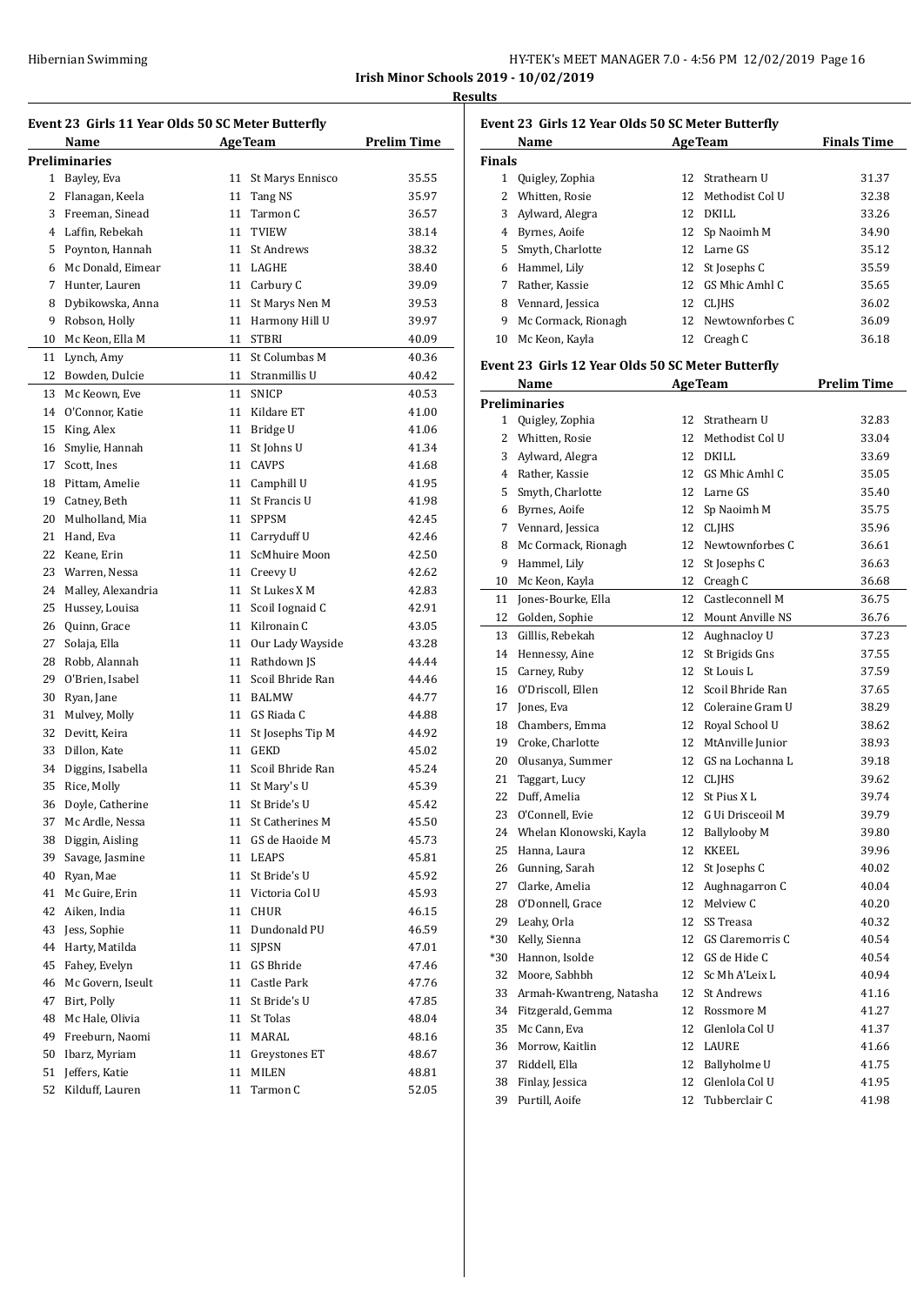|                                              | HY-TEK's MEET MANAGER 7.0 - 4:56 PM 12/02/2019 Page 16 |  |  |
|----------------------------------------------|--------------------------------------------------------|--|--|
| <b>Irish Minor Schools 2019 - 10/02/2019</b> |                                                        |  |  |

**Results**

|    | Event 23 Girls 11 Year Olds 50 SC Meter Butterfly |    |                     |                    |  |
|----|---------------------------------------------------|----|---------------------|--------------------|--|
|    | Name                                              |    | AgeTeam             | <b>Prelim Time</b> |  |
|    | Preliminaries                                     |    |                     |                    |  |
| 1  | Bayley, Eva                                       | 11 | St Marys Ennisco    | 35.55              |  |
| 2  | Flanagan, Keela                                   |    | 11 Tang NS          | 35.97              |  |
| 3  | Freeman, Sinead                                   |    | 11 Tarmon C         | 36.57              |  |
|    | 4 Laffin, Rebekah                                 | 11 | TVIEW               | 38.14              |  |
| 5  | Poynton, Hannah                                   |    | 11 St Andrews       | 38.32              |  |
|    | 6 Mc Donald, Eimear                               |    | 11 LAGHE            | 38.40              |  |
| 7  | Hunter, Lauren                                    |    | 11 Carbury C        | 39.09              |  |
| 8  | Dybikowska, Anna                                  |    | 11 St Marys Nen M   | 39.53              |  |
| 9  | Robson, Holly                                     |    | 11 Harmony Hill U   | 39.97              |  |
| 10 | Mc Keon, Ella M                                   |    | 11 STBRI            | 40.09              |  |
| 11 | Lynch, Amy                                        |    | 11 St Columbas M    | 40.36              |  |
| 12 | Bowden, Dulcie                                    |    | 11 Stranmillis U    | 40.42              |  |
| 13 | Mc Keown, Eve                                     |    | 11 SNICP            | 40.53              |  |
| 14 | O'Connor, Katie                                   |    | 11 Kildare ET       | 41.00              |  |
| 15 | King, Alex                                        |    | 11 Bridge U         | 41.06              |  |
| 16 | Smylie, Hannah                                    | 11 | St Johns U          | 41.34              |  |
| 17 | Scott, Ines                                       |    | 11 CAVPS            | 41.68              |  |
| 18 | Pittam, Amelie                                    |    | 11 Camphill U       | 41.95              |  |
| 19 | Catney, Beth                                      |    | 11 St Francis U     | 41.98              |  |
| 20 | Mulholland, Mia                                   |    | 11 SPPSM            | 42.45              |  |
| 21 | Hand, Eva                                         |    | 11 Carryduff U      | 42.46              |  |
| 22 | Keane, Erin                                       |    | 11 ScMhuire Moon    | 42.50              |  |
| 23 | Warren, Nessa                                     |    | 11 Creevy U         | 42.62              |  |
| 24 | Malley, Alexandria                                |    | 11 St Lukes X M     | 42.83              |  |
| 25 | Hussey, Louisa                                    |    | 11 Scoil Iognaid C  | 42.91              |  |
| 26 | Quinn, Grace                                      |    | 11 Kilronain C      | 43.05              |  |
| 27 | Solaja, Ella                                      |    | 11 Our Lady Wayside | 43.28              |  |
| 28 | Robb, Alannah                                     |    | 11 Rathdown JS      | 44.44              |  |
| 29 | O'Brien, Isabel                                   |    | 11 Scoil Bhride Ran | 44.46              |  |
| 30 | Ryan, Jane                                        |    | 11 BALMW            | 44.77              |  |
| 31 | Mulvey, Molly                                     |    | 11 GS Riada C       | 44.88              |  |
| 32 | Devitt, Keira                                     |    | 11 St Josephs Tip M | 44.92              |  |
| 33 | Dillon, Kate                                      |    | 11 GEKD             | 45.02              |  |
| 34 | Diggins, Isabella                                 |    | 11 Scoil Bhride Ran | 45.24              |  |
| 35 | Rice, Molly                                       |    | 11 St Mary's U      | 45.39              |  |
| 36 | Doyle, Catherine                                  |    | 11 St Bride's U     | 45.42              |  |
| 37 | Mc Ardle, Nessa                                   | 11 | St Catherines M     | 45.50              |  |
| 38 | Diggin, Aisling                                   | 11 | GS de Haoide M      | 45.73              |  |
| 39 | Savage, Jasmine                                   | 11 | LEAPS               | 45.81              |  |
| 40 | Ryan, Mae                                         | 11 | St Bride's U        |                    |  |
|    | Mc Guire, Erin                                    | 11 | Victoria Col U      | 45.92              |  |
| 41 |                                                   |    |                     | 45.93              |  |
| 42 | Aiken, India                                      | 11 | CHUR                | 46.15              |  |
| 43 | Jess, Sophie                                      | 11 | Dundonald PU        | 46.59              |  |
| 44 | Harty, Matilda                                    | 11 | SJPSN               | 47.01              |  |
| 45 | Fahey, Evelyn                                     | 11 | GS Bhride           | 47.46              |  |
| 46 | Mc Govern, Iseult                                 | 11 | Castle Park         | 47.76              |  |
| 47 | Birt, Polly                                       | 11 | St Bride's U        | 47.85              |  |
| 48 | Mc Hale, Olivia                                   | 11 | St Tolas            | 48.04              |  |
| 49 | Freeburn, Naomi                                   | 11 | MARAL               | 48.16              |  |
| 50 | Ibarz, Myriam                                     | 11 | Greystones ET       | 48.67              |  |
| 51 | Jeffers, Katie                                    | 11 | MILEN               | 48.81              |  |
| 52 | Kilduff, Lauren                                   | 11 | Tarmon C            | 52.05              |  |

|               | Name                |     | <b>AgeTeam</b>  | <b>Finals Time</b> |
|---------------|---------------------|-----|-----------------|--------------------|
| <b>Finals</b> |                     |     |                 |                    |
| 1             | Quigley, Zophia     |     | 12 Strathearn U | 31.37              |
|               | Whitten, Rosie      | 12. | Methodist Col U | 32.38              |
| 3             | Aylward, Alegra     | 12  | DKILL           | 33.26              |
| 4             | Byrnes, Aoife       |     | 12 Sp Naoimh M  | 34.90              |
| 5.            | Smyth, Charlotte    | 12  | Larne GS        | 35.12              |
| 6             | Hammel, Lily        |     | 12 St Josephs C | 35.59              |
| 7             | Rather, Kassie      | 12  | GS Mhic Amhl C  | 35.65              |
| 8             | Vennard, Jessica    | 12  | CLIHS           | 36.02              |
| 9             | Mc Cormack, Rionagh | 12  | Newtownforbes C | 36.09              |
| 10            | Mc Keon, Kayla      |     | 12 Creagh C     | 36.18              |

# **Name Age Team Prelim Time**

|           | <b>Preliminaries</b>       |    |                     |       |
|-----------|----------------------------|----|---------------------|-------|
| $1 \quad$ | Quigley, Zophia            |    | 12 Strathearn U     | 32.83 |
|           | 2 Whitten, Rosie           | 12 | Methodist Col U     | 33.04 |
|           | 3 Aylward, Alegra          |    | 12 DKILL            | 33.69 |
|           | 4 Rather, Kassie           |    | 12 GS Mhic Amhl C   | 35.05 |
| 5         | Smyth, Charlotte           |    | 12 Larne GS         | 35.40 |
|           | 6 Byrnes, Aoife            | 12 | Sp Naoimh M         | 35.75 |
|           | 7 Vennard, Jessica         |    | 12 CLJHS            | 35.96 |
|           | 8 Mc Cormack, Rionagh      |    | 12 Newtownforbes C  | 36.61 |
| 9         | Hammel, Lily               | 12 | St Josephs C        | 36.63 |
|           | 10 Mc Keon, Kayla          |    | 12 Creagh C         | 36.68 |
|           | 11 Jones-Bourke, Ella      | 12 | Castleconnell M     | 36.75 |
|           | 12 Golden, Sophie          |    | 12 Mount Anville NS | 36.76 |
| 13        | Gilllis, Rebekah           |    | 12 Aughnacloy U     | 37.23 |
| 14        | Hennessy, Aine             | 12 | St Brigids Gns      | 37.55 |
| 15        | Carney, Ruby               | 12 | St Louis L          | 37.59 |
|           | 16 O'Driscoll, Ellen       |    | 12 Scoil Bhride Ran | 37.65 |
|           | 17 Jones, Eva              |    | 12 Coleraine Gram U | 38.29 |
|           | 18 Chambers, Emma          |    | 12 Royal School U   | 38.62 |
| 19        | Croke, Charlotte           |    | 12 MtAnville Junior | 38.93 |
| 20        | Olusanya, Summer           |    | 12 GS na Lochanna L | 39.18 |
| 21        | Taggart, Lucy              |    | 12 CLIHS            | 39.62 |
| 22        | Duff, Amelia               | 12 | St Pius XL          | 39.74 |
| 23        | O'Connell, Evie            | 12 | G Ui Drisceoil M    | 39.79 |
|           | 24 Whelan Klonowski, Kayla |    | 12 Ballylooby M     | 39.80 |
| 25        | Hanna, Laura               |    | 12 KKEEL            | 39.96 |
|           | 26 Gunning, Sarah          |    | 12 St Josephs C     | 40.02 |
| 27        | Clarke, Amelia             |    | 12 Aughnagarron C   | 40.04 |
| 28        | O'Donnell, Grace           | 12 | Melview C           | 40.20 |
|           | 29 Leahy, Orla             | 12 | SS Treasa           | 40.32 |
| *30       | Kelly, Sienna              | 12 | GS Claremorris C    | 40.54 |
|           | *30 Hannon, Isolde         |    | 12 GS de Hide C     | 40.54 |
| 32        | Moore, Sabhbh              |    | 12 Sc Mh A'Leix L   | 40.94 |
| 33        | Armah-Kwantreng, Natasha   |    | 12 St Andrews       | 41.16 |
| 34        | Fitzgerald, Gemma          |    | 12 Rossmore M       | 41.27 |
| 35        | Mc Cann, Eva               | 12 | Glenlola Col U      | 41.37 |
| 36        | Morrow, Kaitlin            |    | 12 LAURE            | 41.66 |
| 37        | Riddell, Ella              | 12 | Ballyholme U        | 41.75 |
| 38        | Finlay, Jessica            | 12 | Glenlola Col U      | 41.95 |
| 39        | Purtill, Aoife             | 12 | Tubberclair C       | 41.98 |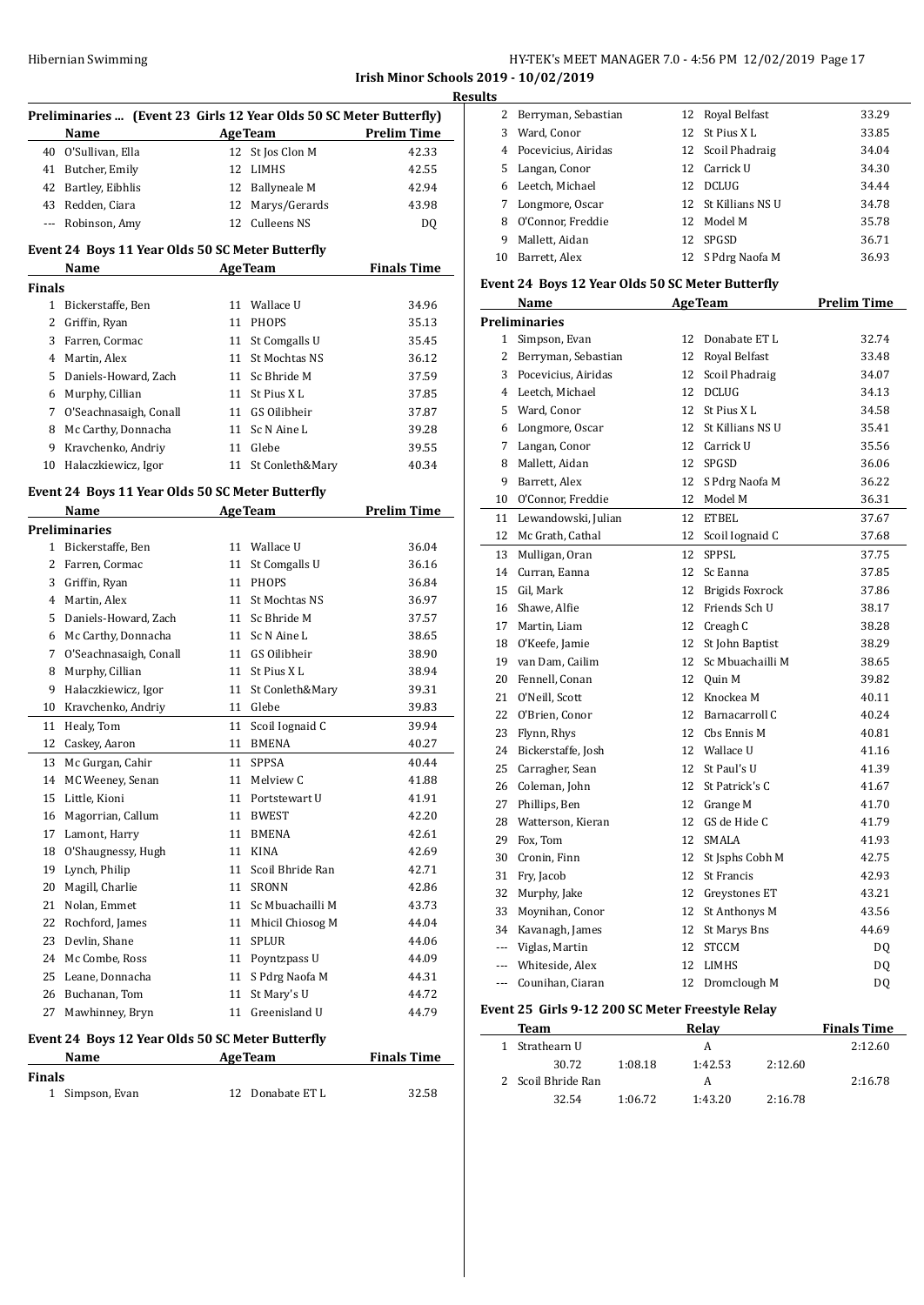**Irish Minor Schools 2019 - 10/02/2019 Results**

 $\overline{a}$ 

 $\overline{a}$ 

| Preliminaries  (Event 23 Girls 12 Year Olds 50 SC Meter Butterfly) |                                                  |    |                     |                    |
|--------------------------------------------------------------------|--------------------------------------------------|----|---------------------|--------------------|
|                                                                    | Name                                             |    | <b>AgeTeam</b>      | <b>Prelim Time</b> |
| 40                                                                 | O'Sullivan, Ella                                 | 12 | St Jos Clon M       | 42.33              |
|                                                                    | 41 Butcher, Emily                                |    | 12 LIMHS            | 42.55              |
|                                                                    | 42 Bartley, Eibhlis                              |    | 12 Ballyneale M     | 42.94              |
|                                                                    | 43 Redden, Ciara                                 |    | 12 Marys/Gerards    | 43.98              |
|                                                                    | --- Robinson, Amy                                |    | 12 Culleens NS      | DQ                 |
|                                                                    | Event 24 Boys 11 Year Olds 50 SC Meter Butterfly |    |                     |                    |
|                                                                    | <b>AgeTeam</b><br>Name                           |    |                     | <b>Finals Time</b> |
| <b>Finals</b>                                                      |                                                  |    |                     |                    |
|                                                                    | 1 Bickerstaffe, Ben                              |    | 11 Wallace U        | 34.96              |
|                                                                    | 2 Griffin, Ryan                                  |    | 11 PHOPS            | 35.13              |
|                                                                    | 3 Farren, Cormac                                 |    | 11 St Comgalls U    | 35.45              |
|                                                                    | 4 Martin, Alex                                   |    | 11 St Mochtas NS    | 36.12              |
|                                                                    | 5 Daniels-Howard, Zach                           |    | 11 Sc Bhride M      | 37.59              |
|                                                                    | 6 Murphy, Cillian                                |    | 11 St Pius X L      | 37.85              |
|                                                                    | 7 O'Seachnasaigh, Conall                         |    | 11 GS Oilibheir     | 37.87              |
|                                                                    | 8 Mc Carthy, Donnacha                            |    | 11 Sc N Aine L      | 39.28              |
|                                                                    | 9 Kravchenko, Andriy                             |    | 11 Glebe            | 39.55              |
| 10                                                                 | Halaczkiewicz, Igor                              |    | 11 St Conleth&Mary  | 40.34              |
|                                                                    |                                                  |    |                     |                    |
|                                                                    | Event 24 Boys 11 Year Olds 50 SC Meter Butterfly |    |                     |                    |
|                                                                    | Name                                             |    | <b>AgeTeam</b>      | <b>Prelim Time</b> |
|                                                                    | <b>Preliminaries</b>                             |    |                     |                    |
|                                                                    | 1 Bickerstaffe, Ben                              |    | 11 Wallace U        | 36.04              |
|                                                                    | 2 Farren, Cormac                                 |    | 11 St Comgalls U    | 36.16              |
|                                                                    | 3 Griffin, Ryan                                  |    | 11 PHOPS            | 36.84              |
|                                                                    | 4 Martin, Alex                                   |    | 11 St Mochtas NS    | 36.97              |
|                                                                    | 5 Daniels-Howard, Zach                           |    | 11 Sc Bhride M      | 37.57              |
|                                                                    | 6 Mc Carthy, Donnacha                            |    | 11 Sc N Aine L      | 38.65              |
| 7                                                                  | O'Seachnasaigh, Conall                           |    | 11 GS Oilibheir     | 38.90              |
| 8                                                                  | Murphy, Cillian                                  |    | 11 St Pius X L      | 38.94              |
| 9                                                                  | Halaczkiewicz, Igor                              |    | 11 St Conleth&Mary  | 39.31              |
| 10                                                                 | Kravchenko, Andriy                               |    | 11 Glebe            | 39.83              |
| 11                                                                 | Healy, Tom                                       | 11 | Scoil Iognaid C     | 39.94              |
| 12                                                                 | Caskey, Aaron                                    |    | 11 BMENA            | 40.27              |
| 13                                                                 | Mc Gurgan, Cahir                                 | 11 | <b>SPPSA</b>        | 40.44              |
| 14                                                                 | MC Weeney, Senan                                 | 11 | Melview C           | 41.88              |
| 15                                                                 | Little, Kioni                                    | 11 | Portstewart U       | 41.91              |
| 16                                                                 | Magorrian, Callum                                | 11 | <b>BWEST</b>        | 42.20              |
| 17                                                                 | Lamont, Harry                                    | 11 | <b>BMENA</b>        | 42.61              |
| 18                                                                 | O'Shaugnessy, Hugh                               | 11 | <b>KINA</b>         | 42.69              |
| 19                                                                 | Lynch, Philip                                    | 11 | Scoil Bhride Ran    | 42.71              |
| 20                                                                 | Magill, Charlie                                  | 11 | <b>SRONN</b>        | 42.86              |
| 21                                                                 | Nolan, Emmet                                     | 11 | Sc Mbuachailli M    | 43.73              |
| 22                                                                 | Rochford, James                                  |    | 11 Mhicil Chiosog M | 44.04              |
| 23                                                                 | Devlin, Shane                                    | 11 | <b>SPLUR</b>        | 44.06              |
| 24                                                                 | Mc Combe, Ross                                   | 11 | Poyntzpass U        | 44.09              |
| 25                                                                 | Leane, Donnacha                                  | 11 | S Pdrg Naofa M      | 44.31              |
| 26                                                                 |                                                  |    |                     |                    |
|                                                                    | Buchanan, Tom                                    | 11 | St Mary's U         | 44.72              |
| 27                                                                 | Mawhinney, Bryn                                  | 11 | Greenisland U       | 44.79              |
|                                                                    | Event 24 Boys 12 Year Olds 50 SC Meter Butterfly |    |                     |                    |
|                                                                    | Name                                             |    | <b>AgeTeam</b>      | <b>Finals Time</b> |
| <b>Finals</b>                                                      |                                                  |    |                     |                    |
| 1                                                                  | Simpson, Evan                                    | 12 | Donabate ET L       | 32.58              |

| э  |                       |    |                     |       |
|----|-----------------------|----|---------------------|-------|
| 2  | Berryman, Sebastian   |    | 12 Royal Belfast    | 33.29 |
| 3  | Ward, Conor           |    | 12 St Pius X L      | 33.85 |
|    | 4 Pocevicius, Airidas |    | 12 Scoil Phadraig   | 34.04 |
| 5. | Langan, Conor         |    | 12 Carrick U        | 34.30 |
| 6. | Leetch, Michael       | 12 | DCLUG               | 34.44 |
|    | Longmore, Oscar       |    | 12 St Killians NS U | 34.78 |
| 8  | O'Connor, Freddie     | 12 | Model M             | 35.78 |
| 9  | Mallett, Aidan        | 12 | SPGSD               | 36.71 |
| 10 | Barrett, Alex         |    | 12 S Pdrg Naofa M   | 36.93 |

# **Event 24 Boys 12 Year Olds 50 SC Meter Butterfly**

|                | Name                | <b>AgeTeam</b> |                        | <b>Prelim Time</b> |
|----------------|---------------------|----------------|------------------------|--------------------|
|                | Preliminaries       |                |                        |                    |
| 1              | Simpson, Evan       | 12             | Donabate ET L          | 32.74              |
| 2              | Berryman, Sebastian | 12             | Royal Belfast          | 33.48              |
| 3              | Pocevicius, Airidas | 12             | Scoil Phadraig         | 34.07              |
| 4              | Leetch, Michael     | 12             | <b>DCLUG</b>           | 34.13              |
| 5              | Ward, Conor         | 12             | St Pius XL             | 34.58              |
| 6              | Longmore, Oscar     | 12             | St Killians NS U       | 35.41              |
| 7              | Langan, Conor       |                | 12 Carrick U           | 35.56              |
| 8              | Mallett, Aidan      |                | 12 SPGSD               | 36.06              |
| 9              | Barrett, Alex       | 12             | S Pdrg Naofa M         | 36.22              |
| 10             | O'Connor, Freddie   | 12             | Model M                | 36.31              |
| 11             | Lewandowski, Julian | 12             | <b>ETBEL</b>           | 37.67              |
| 12             | Mc Grath, Cathal    | 12             | Scoil Iognaid C        | 37.68              |
| 13             | Mulligan, Oran      | 12             | <b>SPPSL</b>           | 37.75              |
| 14             | Curran, Eanna       | 12             | Sc Eanna               | 37.85              |
| 15             | Gil, Mark           | 12             | <b>Brigids Foxrock</b> | 37.86              |
| 16             | Shawe, Alfie        | 12             | Friends Sch U          | 38.17              |
| 17             | Martin, Liam        | 12             | Creagh C               | 38.28              |
| 18             | O'Keefe, Jamie      | 12             | St John Baptist        | 38.29              |
| 19             | van Dam, Cailim     | 12             | Sc Mbuachailli M       | 38.65              |
| 20             | Fennell, Conan      |                | 12 Ouin M              | 39.82              |
| 21             | O'Neill, Scott      | 12             | Knockea M              | 40.11              |
| 22             | O'Brien, Conor      | 12             | Barnacarroll C         | 40.24              |
| 23             | Flynn, Rhys         |                | 12 Cbs Ennis M         | 40.81              |
| 24             | Bickerstaffe, Josh  |                | 12 Wallace U           | 41.16              |
| 25             | Carragher, Sean     | 12             | St Paul's U            | 41.39              |
| 26             | Coleman, John       | 12             | St Patrick's C         | 41.67              |
| 27             | Phillips, Ben       | 12             | Grange M               | 41.70              |
| 28             | Watterson, Kieran   | 12             | GS de Hide C           | 41.79              |
| 29             | Fox, Tom            | 12             | SMALA                  | 41.93              |
| 30             | Cronin, Finn        | 12             | St Jsphs Cobh M        | 42.75              |
| 31             | Fry, Jacob          |                | 12 St Francis          | 42.93              |
| 32             | Murphy, Jake        |                | 12 Greystones ET       | 43.21              |
| 33             | Moynihan, Conor     | 12             | St Anthonys M          | 43.56              |
| 34             | Kavanagh, James     | 12             | St Marys Bns           | 44.69              |
| $---$          | Viglas, Martin      | 12             | <b>STCCM</b>           | DQ                 |
| $---$          | Whiteside, Alex     | 12             | <b>LIMHS</b>           | DQ                 |
| $\overline{a}$ | Counihan, Ciaran    | 12             | Dromclough M           | DQ                 |
|                |                     |                |                        |                    |

# **Event 25 Girls 9-12 200 SC Meter Freestyle Relay**

| Team               |         | Relav   |         | <b>Finals Time</b> |
|--------------------|---------|---------|---------|--------------------|
| 1 Strathearn U     |         | А       |         | 2:12.60            |
| 30.72              | 1:08.18 | 1:42.53 | 2:12.60 |                    |
| 2 Scoil Bhride Ran |         | А       |         | 2:16.78            |
| 32.54              | 1:06.72 | 1:43.20 | 2:16.78 |                    |